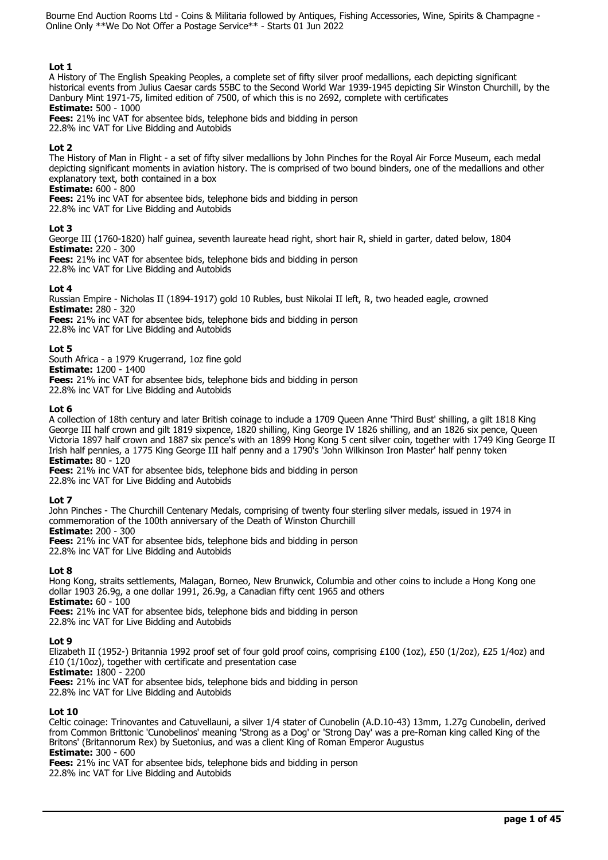# **Lot 1**

A History of The English Speaking Peoples, a complete set of fifty silver proof medallions, each depicting significant historical events from Julius Caesar cards 55BC to the Second World War 1939-1945 depicting Sir Winston Churchill, by the Danbury Mint 1971-75, limited edition of 7500, of which this is no 2692, complete with certificates **Estimate:** 500 - 1000

**Fees:** 21% inc VAT for absentee bids, telephone bids and bidding in person 22.8% inc VAT for Live Bidding and Autobids

# **Lot 2**

The History of Man in Flight - a set of fifty silver medallions by John Pinches for the Royal Air Force Museum, each medal depicting significant moments in aviation history. The is comprised of two bound binders, one of the medallions and other explanatory text, both contained in a box

**Estimate:** 600 - 800

**Fees:** 21% inc VAT for absentee bids, telephone bids and bidding in person

22.8% inc VAT for Live Bidding and Autobids

## **Lot 3**

George III (1760-1820) half guinea, seventh laureate head right, short hair R, shield in garter, dated below, 1804 **Estimate:** 220 - 300

**Fees:** 21% inc VAT for absentee bids, telephone bids and bidding in person 22.8% inc VAT for Live Bidding and Autobids

# **Lot 4**

Russian Empire - Nicholas II (1894-1917) gold 10 Rubles, bust Nikolai II left, ℞, two headed eagle, crowned **Estimate:** 280 - 320

**Fees:** 21% inc VAT for absentee bids, telephone bids and bidding in person 22.8% inc VAT for Live Bidding and Autobids

## **Lot 5**

South Africa - a 1979 Krugerrand, 1oz fine gold

**Estimate:** 1200 - 1400

**Fees:** 21% inc VAT for absentee bids, telephone bids and bidding in person 22.8% inc VAT for Live Bidding and Autobids

**Lot 6** 

A collection of 18th century and later British coinage to include a 1709 Queen Anne 'Third Bust' shilling, a gilt 1818 King George III half crown and gilt 1819 sixpence, 1820 shilling, King George IV 1826 shilling, and an 1826 six pence, Queen Victoria 1897 half crown and 1887 six pence's with an 1899 Hong Kong 5 cent silver coin, together with 1749 King George II Irish half pennies, a 1775 King George III half penny and a 1790's 'John Wilkinson Iron Master' half penny token **Estimate:** 80 - 120

**Fees:** 21% inc VAT for absentee bids, telephone bids and bidding in person 22.8% inc VAT for Live Bidding and Autobids

# **Lot 7**

John Pinches - The Churchill Centenary Medals, comprising of twenty four sterling silver medals, issued in 1974 in commemoration of the 100th anniversary of the Death of Winston Churchill **Estimate:** 200 - 300

**Fees:** 21% inc VAT for absentee bids, telephone bids and bidding in person

22.8% inc VAT for Live Bidding and Autobids

# **Lot 8**

Hong Kong, straits settlements, Malagan, Borneo, New Brunwick, Columbia and other coins to include a Hong Kong one dollar 1903 26.9g, a one dollar 1991, 26.9g, a Canadian fifty cent 1965 and others **Estimate:** 60 - 100

**Fees:** 21% inc VAT for absentee bids, telephone bids and bidding in person

22.8% inc VAT for Live Bidding and Autobids

# **Lot 9**

Elizabeth II (1952-) Britannia 1992 proof set of four gold proof coins, comprising £100 (1oz), £50 (1/2oz), £25 1/4oz) and £10 (1/10oz), together with certificate and presentation case

**Estimate:** 1800 - 2200

**Fees:** 21% inc VAT for absentee bids, telephone bids and bidding in person

22.8% inc VAT for Live Bidding and Autobids

# **Lot 10**

Celtic coinage: Trinovantes and Catuvellauni, a silver 1/4 stater of Cunobelin (A.D.10-43) 13mm, 1.27g Cunobelin, derived from Common Brittonic 'Cunobelinos' meaning 'Strong as a Dog' or 'Strong Day' was a pre-Roman king called King of the Britons' (Britannorum Rex) by Suetonius, and was a client King of Roman Emperor Augustus **Estimate:** 300 - 600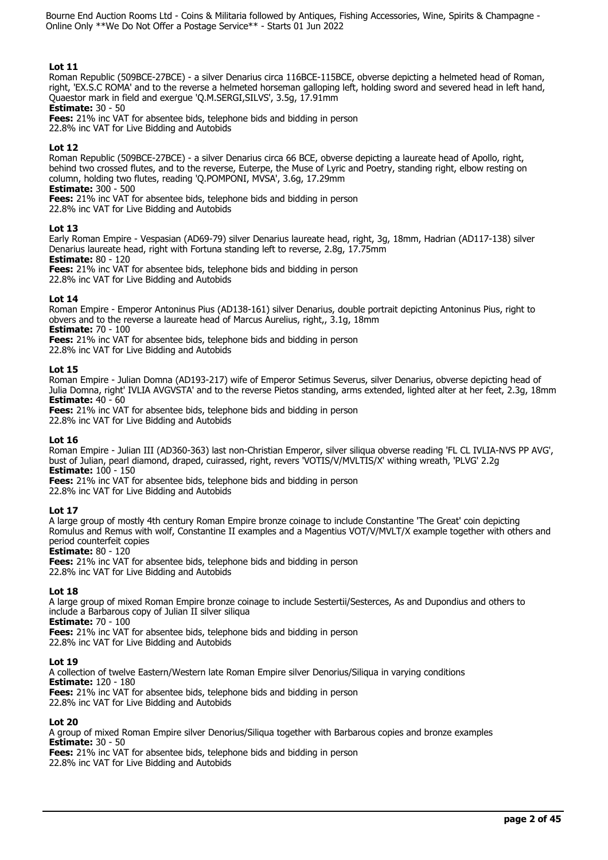# **Lot 11**

Roman Republic (509BCE-27BCE) - a silver Denarius circa 116BCE-115BCE, obverse depicting a helmeted head of Roman, right, 'EX.S.C ROMA' and to the reverse a helmeted horseman galloping left, holding sword and severed head in left hand, Quaestor mark in field and exergue 'Q.M.SERGI,SILVS', 3.5g, 17.91mm

**Estimate:** 30 - 50

**Fees:** 21% inc VAT for absentee bids, telephone bids and bidding in person 22.8% inc VAT for Live Bidding and Autobids

# **Lot 12**

Roman Republic (509BCE-27BCE) - a silver Denarius circa 66 BCE, obverse depicting a laureate head of Apollo, right, behind two crossed flutes, and to the reverse, Euterpe, the Muse of Lyric and Poetry, standing right, elbow resting on column, holding two flutes, reading 'Q.POMPONI, MVSA', 3.6g, 17.29mm

**Estimate:** 300 - 500

**Fees:** 21% inc VAT for absentee bids, telephone bids and bidding in person

22.8% inc VAT for Live Bidding and Autobids

# **Lot 13**

Early Roman Empire - Vespasian (AD69-79) silver Denarius laureate head, right, 3g, 18mm, Hadrian (AD117-138) silver Denarius laureate head, right with Fortuna standing left to reverse, 2.8g, 17.75mm

**Estimate:** 80 - 120

**Fees:** 21% inc VAT for absentee bids, telephone bids and bidding in person

22.8% inc VAT for Live Bidding and Autobids

## **Lot 14**

Roman Empire - Emperor Antoninus Pius (AD138-161) silver Denarius, double portrait depicting Antoninus Pius, right to obvers and to the reverse a laureate head of Marcus Aurelius, right,, 3.1g, 18mm

**Estimate:** 70 - 100

**Fees:** 21% inc VAT for absentee bids, telephone bids and bidding in person

22.8% inc VAT for Live Bidding and Autobids

## **Lot 15**

Roman Empire - Julian Domna (AD193-217) wife of Emperor Setimus Severus, silver Denarius, obverse depicting head of Julia Domna, right' IVLIA AVGVSTA' and to the reverse Pietos standing, arms extended, lighted alter at her feet, 2.3g, 18mm **Estimate:** 40 - 60

**Fees:** 21% inc VAT for absentee bids, telephone bids and bidding in person

22.8% inc VAT for Live Bidding and Autobids

# **Lot 16**

Roman Empire - Julian III (AD360-363) last non-Christian Emperor, silver siliqua obverse reading 'FL CL IVLIA-NVS PP AVG', bust of Julian, pearl diamond, draped, cuirassed, right, revers 'VOTIS/V/MVLTIS/X' withing wreath, 'PLVG' 2.2g **Estimate:** 100 - 150

**Fees:** 21% inc VAT for absentee bids, telephone bids and bidding in person

22.8% inc VAT for Live Bidding and Autobids

# **Lot 17**

A large group of mostly 4th century Roman Empire bronze coinage to include Constantine 'The Great' coin depicting Romulus and Remus with wolf, Constantine II examples and a Magentius VOT/V/MVLT/X example together with others and period counterfeit copies

## **Estimate:** 80 - 120

**Fees:** 21% inc VAT for absentee bids, telephone bids and bidding in person 22.8% inc VAT for Live Bidding and Autobids

# **Lot 18**

A large group of mixed Roman Empire bronze coinage to include Sestertii/Sesterces, As and Dupondius and others to include a Barbarous copy of Julian II silver siliqua

**Estimate:** 70 - 100

**Fees:** 21% inc VAT for absentee bids, telephone bids and bidding in person 22.8% inc VAT for Live Bidding and Autobids

## **Lot 19**

A collection of twelve Eastern/Western late Roman Empire silver Denorius/Siliqua in varying conditions **Estimate:** 120 - 180 **Fees:** 21% inc VAT for absentee bids, telephone bids and bidding in person 22.8% inc VAT for Live Bidding and Autobids

# **Lot 20**

A group of mixed Roman Empire silver Denorius/Siliqua together with Barbarous copies and bronze examples **Estimate:** 30 - 50 **Fees:** 21% inc VAT for absentee bids, telephone bids and bidding in person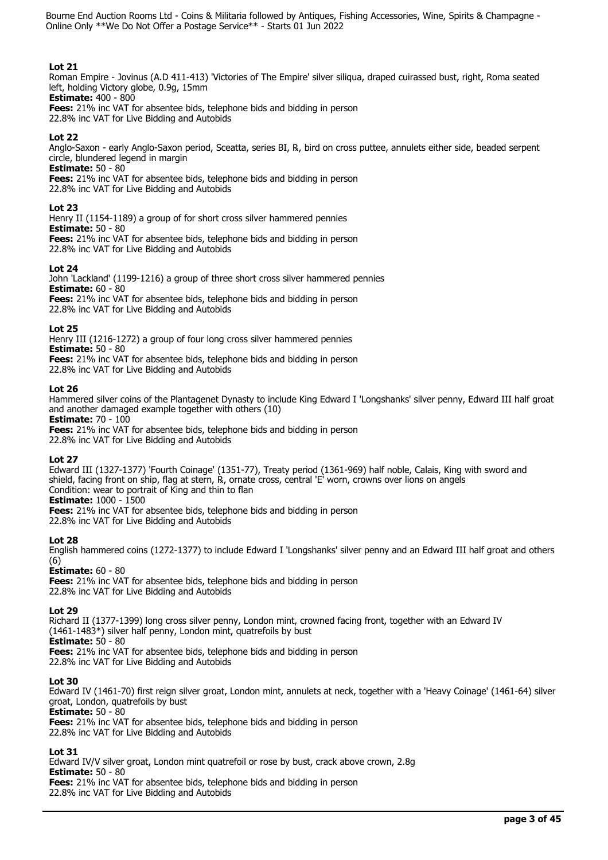# **Lot 21**

Roman Empire - Jovinus (A.D 411-413) 'Victories of The Empire' silver siliqua, draped cuirassed bust, right, Roma seated left, holding Victory globe, 0.9g, 15mm

**Estimate:** 400 - 800

**Fees:** 21% inc VAT for absentee bids, telephone bids and bidding in person 22.8% inc VAT for Live Bidding and Autobids

# **Lot 22**

Anglo-Saxon - early Anglo-Saxon period, Sceatta, series BI, ℞, bird on cross puttee, annulets either side, beaded serpent circle, blundered legend in margin

**Estimate:** 50 - 80

**Fees:** 21% inc VAT for absentee bids, telephone bids and bidding in person

22.8% inc VAT for Live Bidding and Autobids

# **Lot 23**

Henry II (1154-1189) a group of for short cross silver hammered pennies

**Estimate:** 50 - 80 **Fees:** 21% inc VAT for absentee bids, telephone bids and bidding in person 22.8% inc VAT for Live Bidding and Autobids

## **Lot 24**

John 'Lackland' (1199-1216) a group of three short cross silver hammered pennies **Estimate:** 60 - 80 **Fees:** 21% inc VAT for absentee bids, telephone bids and bidding in person 22.8% inc VAT for Live Bidding and Autobids

## **Lot 25**

Henry III (1216-1272) a group of four long cross silver hammered pennies **Estimate:** 50 - 80 **Fees:** 21% inc VAT for absentee bids, telephone bids and bidding in person

22.8% inc VAT for Live Bidding and Autobids

## **Lot 26**

Hammered silver coins of the Plantagenet Dynasty to include King Edward I 'Longshanks' silver penny, Edward III half groat and another damaged example together with others (10)

**Estimate:** 70 - 100

**Fees:** 21% inc VAT for absentee bids, telephone bids and bidding in person

22.8% inc VAT for Live Bidding and Autobids

# **Lot 27**

Edward III (1327-1377) 'Fourth Coinage' (1351-77), Treaty period (1361-969) half noble, Calais, King with sword and shield, facing front on ship, flag at stern, R, ornate cross, central 'E' worn, crowns over lions on angels Condition: wear to portrait of King and thin to flan

**Estimate:** 1000 - 1500

**Fees:** 21% inc VAT for absentee bids, telephone bids and bidding in person 22.8% inc VAT for Live Bidding and Autobids

# **Lot 28**

English hammered coins (1272-1377) to include Edward I 'Longshanks' silver penny and an Edward III half groat and others (6)

**Estimate:** 60 - 80

**Fees:** 21% inc VAT for absentee bids, telephone bids and bidding in person 22.8% inc VAT for Live Bidding and Autobids

## **Lot 29**

Richard II (1377-1399) long cross silver penny, London mint, crowned facing front, together with an Edward IV (1461-1483\*) silver half penny, London mint, quatrefoils by bust **Estimate:** 50 - 80

**Fees:** 21% inc VAT for absentee bids, telephone bids and bidding in person 22.8% inc VAT for Live Bidding and Autobids

# **Lot 30**

Edward IV (1461-70) first reign silver groat, London mint, annulets at neck, together with a 'Heavy Coinage' (1461-64) silver groat, London, quatrefoils by bust

**Estimate:** 50 - 80

**Fees:** 21% inc VAT for absentee bids, telephone bids and bidding in person

22.8% inc VAT for Live Bidding and Autobids

# **Lot 31**

Edward IV/V silver groat, London mint quatrefoil or rose by bust, crack above crown, 2.8g

**Estimate:** 50 - 80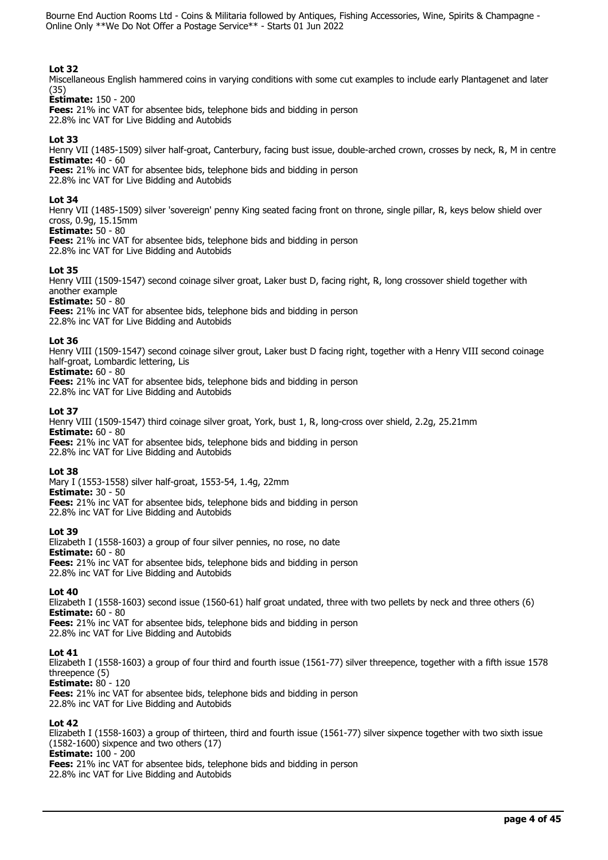# **Lot 32**

Miscellaneous English hammered coins in varying conditions with some cut examples to include early Plantagenet and later (35)

# **Estimate:** 150 - 200

**Fees:** 21% inc VAT for absentee bids, telephone bids and bidding in person 22.8% inc VAT for Live Bidding and Autobids

## **Lot 33**

Henry VII (1485-1509) silver half-groat, Canterbury, facing bust issue, double-arched crown, crosses by neck, ℞, M in centre **Estimate:** 40 - 60

**Fees:** 21% inc VAT for absentee bids, telephone bids and bidding in person 22.8% inc VAT for Live Bidding and Autobids

## **Lot 34**

Henry VII (1485-1509) silver 'sovereign' penny King seated facing front on throne, single pillar, ℞, keys below shield over cross, 0.9g, 15.15mm

#### **Estimate:** 50 - 80

**Fees:** 21% inc VAT for absentee bids, telephone bids and bidding in person 22.8% inc VAT for Live Bidding and Autobids

## **Lot 35**

Henry VIII (1509-1547) second coinage silver groat, Laker bust D, facing right, ℞, long crossover shield together with another example

#### **Estimate:** 50 - 80

**Fees:** 21% inc VAT for absentee bids, telephone bids and bidding in person 22.8% inc VAT for Live Bidding and Autobids

#### **Lot 36**

Henry VIII (1509-1547) second coinage silver grout, Laker bust D facing right, together with a Henry VIII second coinage half-groat, Lombardic lettering, Lis

#### **Estimate:** 60 - 80

**Fees:** 21% inc VAT for absentee bids, telephone bids and bidding in person 22.8% inc VAT for Live Bidding and Autobids

#### **Lot 37**

Henry VIII (1509-1547) third coinage silver groat, York, bust 1, ℞, long-cross over shield, 2.2g, 25.21mm **Estimate:** 60 - 80 **Fees:** 21% inc VAT for absentee bids, telephone bids and bidding in person

22.8% inc VAT for Live Bidding and Autobids

## **Lot 38**

Mary I (1553-1558) silver half-groat, 1553-54, 1.4g, 22mm **Estimate:** 30 - 50 **Fees:** 21% inc VAT for absentee bids, telephone bids and bidding in person 22.8% inc VAT for Live Bidding and Autobids

## **Lot 39**

Elizabeth I (1558-1603) a group of four silver pennies, no rose, no date **Estimate:** 60 - 80 **Fees:** 21% inc VAT for absentee bids, telephone bids and bidding in person 22.8% inc VAT for Live Bidding and Autobids

## **Lot 40**

Elizabeth I (1558-1603) second issue (1560-61) half groat undated, three with two pellets by neck and three others (6) **Estimate:** 60 - 80

**Fees:** 21% inc VAT for absentee bids, telephone bids and bidding in person 22.8% inc VAT for Live Bidding and Autobids

## **Lot 41**

Elizabeth I (1558-1603) a group of four third and fourth issue (1561-77) silver threepence, together with a fifth issue 1578 threepence (5)

**Estimate:** 80 - 120

**Fees:** 21% inc VAT for absentee bids, telephone bids and bidding in person 22.8% inc VAT for Live Bidding and Autobids

## **Lot 42**

Elizabeth I (1558-1603) a group of thirteen, third and fourth issue (1561-77) silver sixpence together with two sixth issue (1582-1600) sixpence and two others (17) **Estimate:** 100 - 200 **Fees:** 21% inc VAT for absentee bids, telephone bids and bidding in person 22.8% inc VAT for Live Bidding and Autobids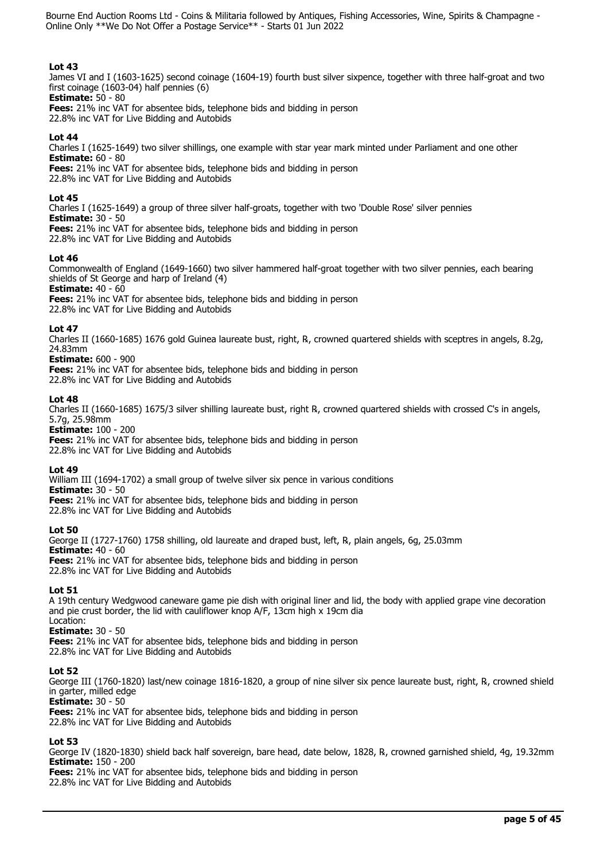# **Lot 43**

James VI and I (1603-1625) second coinage (1604-19) fourth bust silver sixpence, together with three half-groat and two first coinage (1603-04) half pennies (6)

**Estimate:** 50 - 80 **Fees:** 21% inc VAT for absentee bids, telephone bids and bidding in person

22.8% inc VAT for Live Bidding and Autobids

# **Lot 44**

Charles I (1625-1649) two silver shillings, one example with star year mark minted under Parliament and one other **Estimate:** 60 - 80

**Fees:** 21% inc VAT for absentee bids, telephone bids and bidding in person

22.8% inc VAT for Live Bidding and Autobids

## **Lot 45**

Charles I (1625-1649) a group of three silver half-groats, together with two 'Double Rose' silver pennies **Estimate:** 30 - 50 **Fees:** 21% inc VAT for absentee bids, telephone bids and bidding in person 22.8% inc VAT for Live Bidding and Autobids

## **Lot 46**

Commonwealth of England (1649-1660) two silver hammered half-groat together with two silver pennies, each bearing shields of St George and harp of Ireland (4)

**Estimate:** 40 - 60

**Fees:** 21% inc VAT for absentee bids, telephone bids and bidding in person 22.8% inc VAT for Live Bidding and Autobids

## **Lot 47**

Charles II (1660-1685) 1676 gold Guinea laureate bust, right, ℞, crowned quartered shields with sceptres in angels, 8.2g, 24.83mm

## **Estimate:** 600 - 900

**Fees:** 21% inc VAT for absentee bids, telephone bids and bidding in person 22.8% inc VAT for Live Bidding and Autobids

## **Lot 48**

Charles II (1660-1685) 1675/3 silver shilling laureate bust, right ℞, crowned quartered shields with crossed C's in angels, 5.7g, 25.98mm

**Estimate:** 100 - 200

**Fees:** 21% inc VAT for absentee bids, telephone bids and bidding in person 22.8% inc VAT for Live Bidding and Autobids

## **Lot 49**

William III (1694-1702) a small group of twelve silver six pence in various conditions **Estimate:** 30 - 50 **Fees:** 21% inc VAT for absentee bids, telephone bids and bidding in person 22.8% inc VAT for Live Bidding and Autobids

## **Lot 50**

George II (1727-1760) 1758 shilling, old laureate and draped bust, left, ℞, plain angels, 6g, 25.03mm **Estimate:** 40 - 60 **Fees:** 21% inc VAT for absentee bids, telephone bids and bidding in person 22.8% inc VAT for Live Bidding and Autobids

## **Lot 51**

A 19th century Wedgwood caneware game pie dish with original liner and lid, the body with applied grape vine decoration and pie crust border, the lid with cauliflower knop A/F, 13cm high x 19cm dia Location:

# **Estimate:** 30 - 50

**Fees:** 21% inc VAT for absentee bids, telephone bids and bidding in person 22.8% inc VAT for Live Bidding and Autobids

## **Lot 52**

George III (1760-1820) last/new coinage 1816-1820, a group of nine silver six pence laureate bust, right, ℞, crowned shield in garter, milled edge

**Estimate:** 30 - 50

**Fees:** 21% inc VAT for absentee bids, telephone bids and bidding in person 22.8% inc VAT for Live Bidding and Autobids

# **Lot 53**

George IV (1820-1830) shield back half sovereign, bare head, date below, 1828, ℞, crowned garnished shield, 4g, 19.32mm **Estimate:** 150 - 200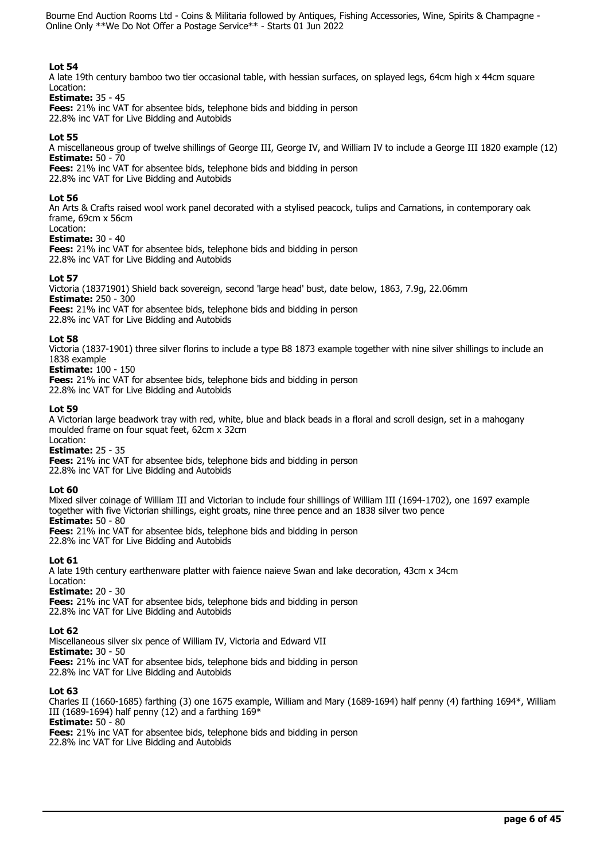# **Lot 54**

A late 19th century bamboo two tier occasional table, with hessian surfaces, on splayed legs, 64cm high x 44cm square Location:

## **Estimate:** 35 - 45

**Fees:** 21% inc VAT for absentee bids, telephone bids and bidding in person 22.8% inc VAT for Live Bidding and Autobids

## **Lot 55**

A miscellaneous group of twelve shillings of George III, George IV, and William IV to include a George III 1820 example (12) **Estimate:** 50 - 70

**Fees:** 21% inc VAT for absentee bids, telephone bids and bidding in person

22.8% inc VAT for Live Bidding and Autobids

## **Lot 56**

An Arts & Crafts raised wool work panel decorated with a stylised peacock, tulips and Carnations, in contemporary oak frame, 69cm x 56cm

#### Location: **Estimate:** 30 - 40

**Fees:** 21% inc VAT for absentee bids, telephone bids and bidding in person 22.8% inc VAT for Live Bidding and Autobids

## **Lot 57**

Victoria (18371901) Shield back sovereign, second 'large head' bust, date below, 1863, 7.9g, 22.06mm **Estimate:** 250 - 300 **Fees:** 21% inc VAT for absentee bids, telephone bids and bidding in person

22.8% inc VAT for Live Bidding and Autobids

## **Lot 58**

Victoria (1837-1901) three silver florins to include a type B8 1873 example together with nine silver shillings to include an 1838 example

# **Estimate:** 100 - 150

**Fees:** 21% inc VAT for absentee bids, telephone bids and bidding in person 22.8% inc VAT for Live Bidding and Autobids

## **Lot 59**

A Victorian large beadwork tray with red, white, blue and black beads in a floral and scroll design, set in a mahogany moulded frame on four squat feet, 62cm x 32cm

#### Location: **Estimate:** 25 - 35

**Fees:** 21% inc VAT for absentee bids, telephone bids and bidding in person 22.8% inc VAT for Live Bidding and Autobids

## **Lot 60**

Mixed silver coinage of William III and Victorian to include four shillings of William III (1694-1702), one 1697 example together with five Victorian shillings, eight groats, nine three pence and an 1838 silver two pence **Estimate:** 50 - 80

**Fees:** 21% inc VAT for absentee bids, telephone bids and bidding in person 22.8% inc VAT for Live Bidding and Autobids

## **Lot 61**

A late 19th century earthenware platter with faience naieve Swan and lake decoration, 43cm x 34cm Location: **Estimate:** 20 - 30

**Fees:** 21% inc VAT for absentee bids, telephone bids and bidding in person 22.8% inc VAT for Live Bidding and Autobids

## **Lot 62**

Miscellaneous silver six pence of William IV, Victoria and Edward VII **Estimate:** 30 - 50 **Fees:** 21% inc VAT for absentee bids, telephone bids and bidding in person 22.8% inc VAT for Live Bidding and Autobids

## **Lot 63**

Charles II (1660-1685) farthing (3) one 1675 example, William and Mary (1689-1694) half penny (4) farthing 1694\*, William III (1689-1694) half penny (12) and a farthing  $169*$ **Estimate:** 50 - 80

**Fees:** 21% inc VAT for absentee bids, telephone bids and bidding in person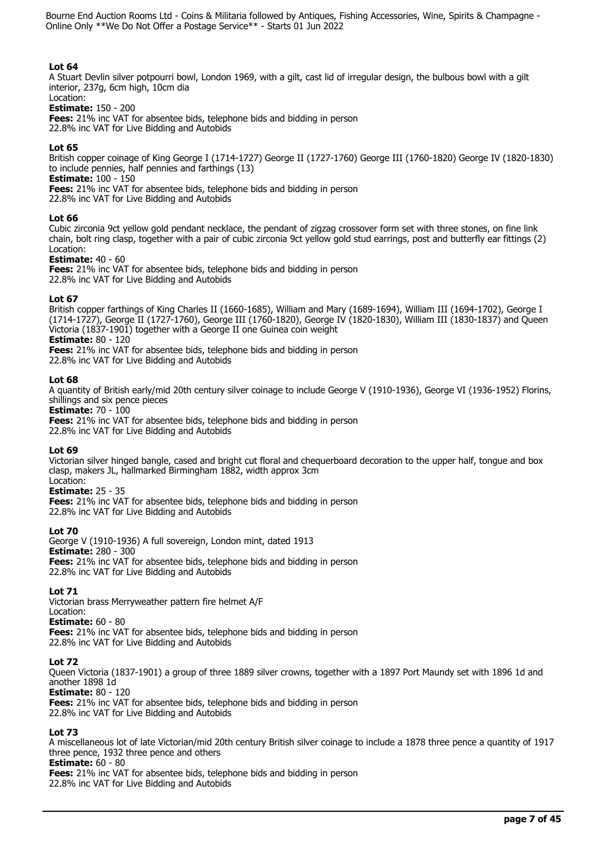# **Lot 64**

A Stuart Devlin silver potpourri bowl, London 1969, with a gilt, cast lid of irregular design, the bulbous bowl with a gilt interior, 237g, 6cm high, 10cm dia

## Location:

**Estimate:** 150 - 200

**Fees:** 21% inc VAT for absentee bids, telephone bids and bidding in person 22.8% inc VAT for Live Bidding and Autobids

## **Lot 65**

British copper coinage of King George I (1714-1727) George II (1727-1760) George III (1760-1820) George IV (1820-1830) to include pennies, half pennies and farthings (13)

**Estimate:** 100 - 150

**Fees:** 21% inc VAT for absentee bids, telephone bids and bidding in person

22.8% inc VAT for Live Bidding and Autobids

## **Lot 66**

Cubic zirconia 9ct yellow gold pendant necklace, the pendant of zigzag crossover form set with three stones, on fine link chain, bolt ring clasp, together with a pair of cubic zirconia 9ct yellow gold stud earrings, post and butterfly ear fittings (2) Location:

## **Estimate:** 40 - 60

**Fees:** 21% inc VAT for absentee bids, telephone bids and bidding in person 22.8% inc VAT for Live Bidding and Autobids

## **Lot 67**

British copper farthings of King Charles II (1660-1685), William and Mary (1689-1694), William III (1694-1702), George I (1714-1727), George II (1727-1760), George III (1760-1820), George IV (1820-1830), William III (1830-1837) and Queen Victoria (1837-1901) together with a George II one Guinea coin weight **Estimate:** 80 - 120

**Fees:** 21% inc VAT for absentee bids, telephone bids and bidding in person 22.8% inc VAT for Live Bidding and Autobids

## **Lot 68**

A quantity of British early/mid 20th century silver coinage to include George V (1910-1936), George VI (1936-1952) Florins, shillings and six pence pieces

**Estimate:** 70 - 100

**Fees:** 21% inc VAT for absentee bids, telephone bids and bidding in person 22.8% inc VAT for Live Bidding and Autobids

## **Lot 69**

Victorian silver hinged bangle, cased and bright cut floral and chequerboard decoration to the upper half, tongue and box clasp, makers JL, hallmarked Birmingham 1882, width approx 3cm Location:

## **Estimate:** 25 - 35

**Fees:** 21% inc VAT for absentee bids, telephone bids and bidding in person 22.8% inc VAT for Live Bidding and Autobids

## **Lot 70**

George V (1910-1936) A full sovereign, London mint, dated 1913 **Estimate:** 280 - 300 **Fees:** 21% inc VAT for absentee bids, telephone bids and bidding in person 22.8% inc VAT for Live Bidding and Autobids

## **Lot 71**

Victorian brass Merryweather pattern fire helmet A/F Location:

**Estimate:** 60 - 80

**Fees:** 21% inc VAT for absentee bids, telephone bids and bidding in person 22.8% inc VAT for Live Bidding and Autobids

## **Lot 72**

Queen Victoria (1837-1901) a group of three 1889 silver crowns, together with a 1897 Port Maundy set with 1896 1d and another 1898 1d

**Estimate:** 80 - 120

**Fees:** 21% inc VAT for absentee bids, telephone bids and bidding in person

22.8% inc VAT for Live Bidding and Autobids

## **Lot 73**

A miscellaneous lot of late Victorian/mid 20th century British silver coinage to include a 1878 three pence a quantity of 1917 three pence, 1932 three pence and others

**Estimate:** 60 - 80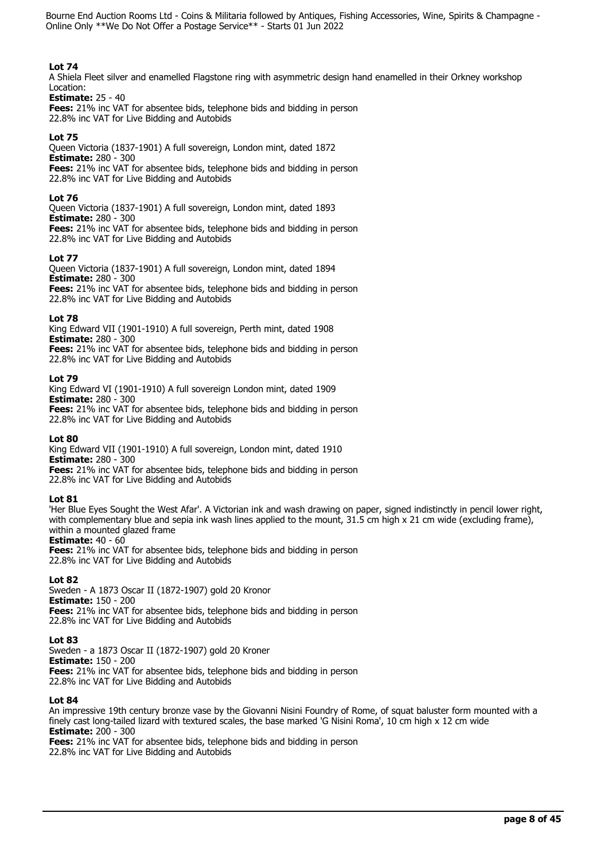# **Lot 74**

A Shiela Fleet silver and enamelled Flagstone ring with asymmetric design hand enamelled in their Orkney workshop Location:

## **Estimate:** 25 - 40

**Fees:** 21% inc VAT for absentee bids, telephone bids and bidding in person 22.8% inc VAT for Live Bidding and Autobids

# **Lot 75**

Queen Victoria (1837-1901) A full sovereign, London mint, dated 1872 **Estimate:** 280 - 300 **Fees:** 21% inc VAT for absentee bids, telephone bids and bidding in person 22.8% inc VAT for Live Bidding and Autobids

## **Lot 76**

Queen Victoria (1837-1901) A full sovereign, London mint, dated 1893 **Estimate:** 280 - 300 **Fees:** 21% inc VAT for absentee bids, telephone bids and bidding in person 22.8% inc VAT for Live Bidding and Autobids

## **Lot 77**

Queen Victoria (1837-1901) A full sovereign, London mint, dated 1894 **Estimate:** 280 - 300 **Fees:** 21% inc VAT for absentee bids, telephone bids and bidding in person 22.8% inc VAT for Live Bidding and Autobids

## **Lot 78**

King Edward VII (1901-1910) A full sovereign, Perth mint, dated 1908 **Estimate:** 280 - 300

**Fees:** 21% inc VAT for absentee bids, telephone bids and bidding in person 22.8% inc VAT for Live Bidding and Autobids

## **Lot 79**

King Edward VI (1901-1910) A full sovereign London mint, dated 1909 **Estimate:** 280 - 300 **Fees:** 21% inc VAT for absentee bids, telephone bids and bidding in person 22.8% inc VAT for Live Bidding and Autobids

## **Lot 80**

King Edward VII (1901-1910) A full sovereign, London mint, dated 1910 **Estimate:** 280 - 300 **Fees:** 21% inc VAT for absentee bids, telephone bids and bidding in person

22.8% inc VAT for Live Bidding and Autobids

## **Lot 81**

'Her Blue Eyes Sought the West Afar'. A Victorian ink and wash drawing on paper, signed indistinctly in pencil lower right, with complementary blue and sepia ink wash lines applied to the mount, 31.5 cm high x 21 cm wide (excluding frame), within a mounted glazed frame

## **Estimate:** 40 - 60

**Fees:** 21% inc VAT for absentee bids, telephone bids and bidding in person 22.8% inc VAT for Live Bidding and Autobids

## **Lot 82**

Sweden - A 1873 Oscar II (1872-1907) gold 20 Kronor **Estimate:** 150 - 200 **Fees:** 21% inc VAT for absentee bids, telephone bids and bidding in person 22.8% inc VAT for Live Bidding and Autobids

## **Lot 83**

Sweden - a 1873 Oscar II (1872-1907) gold 20 Kroner **Estimate:** 150 - 200 **Fees:** 21% inc VAT for absentee bids, telephone bids and bidding in person 22.8% inc VAT for Live Bidding and Autobids

## **Lot 84**

An impressive 19th century bronze vase by the Giovanni Nisini Foundry of Rome, of squat baluster form mounted with a finely cast long-tailed lizard with textured scales, the base marked 'G Nisini Roma', 10 cm high x 12 cm wide **Estimate:** 200 - 300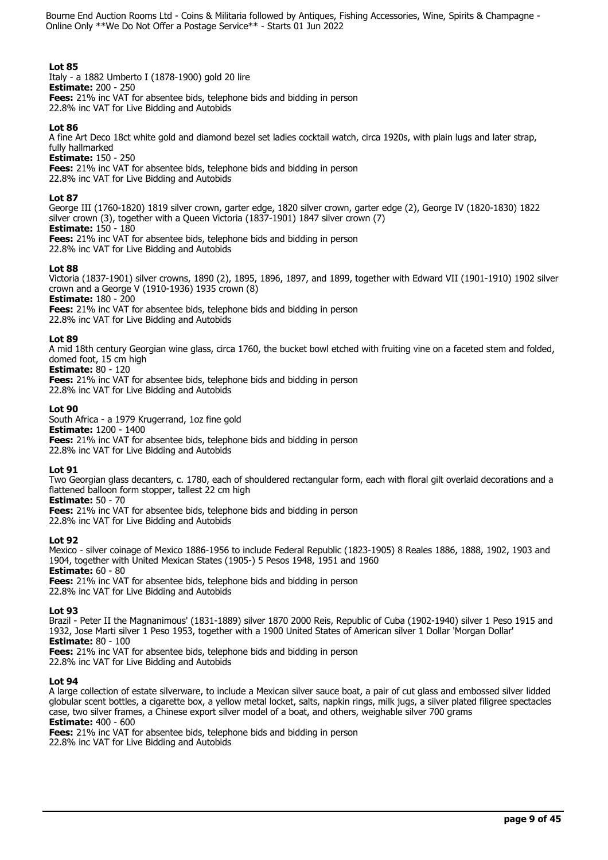# **Lot 85**

Italy - a 1882 Umberto I (1878-1900) gold 20 lire **Estimate:** 200 - 250 **Fees:** 21% inc VAT for absentee bids, telephone bids and bidding in person 22.8% inc VAT for Live Bidding and Autobids

## **Lot 86**

A fine Art Deco 18ct white gold and diamond bezel set ladies cocktail watch, circa 1920s, with plain lugs and later strap, fully hallmarked

**Estimate:** 150 - 250 **Fees:** 21% inc VAT for absentee bids, telephone bids and bidding in person 22.8% inc VAT for Live Bidding and Autobids

## **Lot 87**

George III (1760-1820) 1819 silver crown, garter edge, 1820 silver crown, garter edge (2), George IV (1820-1830) 1822 silver crown (3), together with a Queen Victoria (1837-1901) 1847 silver crown (7) **Estimate:** 150 - 180 **Fees:** 21% inc VAT for absentee bids, telephone bids and bidding in person

22.8% inc VAT for Live Bidding and Autobids

## **Lot 88**

Victoria (1837-1901) silver crowns, 1890 (2), 1895, 1896, 1897, and 1899, together with Edward VII (1901-1910) 1902 silver crown and a George V (1910-1936) 1935 crown (8) **Estimate:** 180 - 200

**Fees:** 21% inc VAT for absentee bids, telephone bids and bidding in person

22.8% inc VAT for Live Bidding and Autobids

## **Lot 89**

A mid 18th century Georgian wine glass, circa 1760, the bucket bowl etched with fruiting vine on a faceted stem and folded, domed foot, 15 cm high

**Estimate:** 80 - 120

**Fees:** 21% inc VAT for absentee bids, telephone bids and bidding in person 22.8% inc VAT for Live Bidding and Autobids

## **Lot 90**

South Africa - a 1979 Krugerrand, 1oz fine gold **Estimate:** 1200 - 1400 **Fees:** 21% inc VAT for absentee bids, telephone bids and bidding in person 22.8% inc VAT for Live Bidding and Autobids

# **Lot 91**

Two Georgian glass decanters, c. 1780, each of shouldered rectangular form, each with floral gilt overlaid decorations and a flattened balloon form stopper, tallest 22 cm high

**Estimate:** 50 - 70

**Fees:** 21% inc VAT for absentee bids, telephone bids and bidding in person 22.8% inc VAT for Live Bidding and Autobids

## **Lot 92**

Mexico - silver coinage of Mexico 1886-1956 to include Federal Republic (1823-1905) 8 Reales 1886, 1888, 1902, 1903 and 1904, together with United Mexican States (1905-) 5 Pesos 1948, 1951 and 1960 **Estimate:** 60 - 80

**Fees:** 21% inc VAT for absentee bids, telephone bids and bidding in person 22.8% inc VAT for Live Bidding and Autobids

## **Lot 93**

Brazil - Peter II the Magnanimous' (1831-1889) silver 1870 2000 Reis, Republic of Cuba (1902-1940) silver 1 Peso 1915 and 1932, Jose Marti silver 1 Peso 1953, together with a 1900 United States of American silver 1 Dollar 'Morgan Dollar' **Estimate:** 80 - 100

**Fees:** 21% inc VAT for absentee bids, telephone bids and bidding in person

22.8% inc VAT for Live Bidding and Autobids

# **Lot 94**

A large collection of estate silverware, to include a Mexican silver sauce boat, a pair of cut glass and embossed silver lidded globular scent bottles, a cigarette box, a yellow metal locket, salts, napkin rings, milk jugs, a silver plated filigree spectacles case, two silver frames, a Chinese export silver model of a boat, and others, weighable silver 700 grams **Estimate:** 400 - 600

**Fees:** 21% inc VAT for absentee bids, telephone bids and bidding in person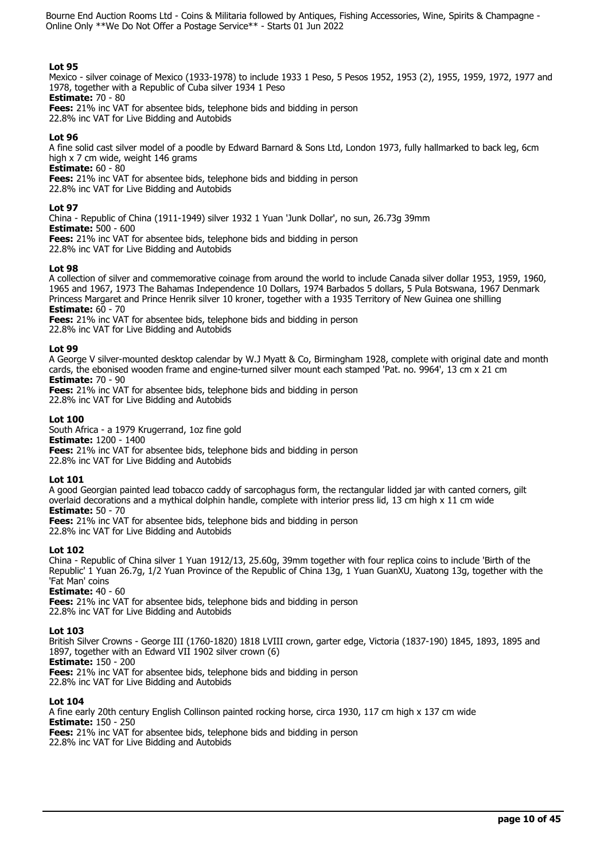# **Lot 95**

Mexico - silver coinage of Mexico (1933-1978) to include 1933 1 Peso, 5 Pesos 1952, 1953 (2), 1955, 1959, 1972, 1977 and 1978, together with a Republic of Cuba silver 1934 1 Peso

**Estimate:** 70 - 80 **Fees:** 21% inc VAT for absentee bids, telephone bids and bidding in person

22.8% inc VAT for Live Bidding and Autobids

# **Lot 96**

A fine solid cast silver model of a poodle by Edward Barnard & Sons Ltd, London 1973, fully hallmarked to back leg, 6cm high x 7 cm wide, weight 146 grams

**Estimate:** 60 - 80

**Fees:** 21% inc VAT for absentee bids, telephone bids and bidding in person

22.8% inc VAT for Live Bidding and Autobids

## **Lot 97**

China - Republic of China (1911-1949) silver 1932 1 Yuan 'Junk Dollar', no sun, 26.73g 39mm

**Estimate:** 500 - 600

**Fees:** 21% inc VAT for absentee bids, telephone bids and bidding in person

22.8% inc VAT for Live Bidding and Autobids

## **Lot 98**

A collection of silver and commemorative coinage from around the world to include Canada silver dollar 1953, 1959, 1960, 1965 and 1967, 1973 The Bahamas Independence 10 Dollars, 1974 Barbados 5 dollars, 5 Pula Botswana, 1967 Denmark Princess Margaret and Prince Henrik silver 10 kroner, together with a 1935 Territory of New Guinea one shilling **Estimate:** 60 - 70

**Fees:** 21% inc VAT for absentee bids, telephone bids and bidding in person 22.8% inc VAT for Live Bidding and Autobids

## **Lot 99**

A George V silver-mounted desktop calendar by W.J Myatt & Co, Birmingham 1928, complete with original date and month cards, the ebonised wooden frame and engine-turned silver mount each stamped 'Pat. no. 9964', 13 cm x 21 cm **Estimate:** 70 - 90

**Fees:** 21% inc VAT for absentee bids, telephone bids and bidding in person 22.8% inc VAT for Live Bidding and Autobids

## **Lot 100**

South Africa - a 1979 Krugerrand, 1oz fine gold **Estimate:** 1200 - 1400 **Fees:** 21% inc VAT for absentee bids, telephone bids and bidding in person 22.8% inc VAT for Live Bidding and Autobids

## **Lot 101**

A good Georgian painted lead tobacco caddy of sarcophagus form, the rectangular lidded jar with canted corners, gilt overlaid decorations and a mythical dolphin handle, complete with interior press lid, 13 cm high x 11 cm wide **Estimate:** 50 - 70

**Fees:** 21% inc VAT for absentee bids, telephone bids and bidding in person

22.8% inc VAT for Live Bidding and Autobids

## **Lot 102**

China - Republic of China silver 1 Yuan 1912/13, 25.60g, 39mm together with four replica coins to include 'Birth of the Republic' 1 Yuan 26.7g, 1/2 Yuan Province of the Republic of China 13g, 1 Yuan GuanXU, Xuatong 13g, together with the 'Fat Man' coins

**Estimate:** 40 - 60

**Fees:** 21% inc VAT for absentee bids, telephone bids and bidding in person 22.8% inc VAT for Live Bidding and Autobids

## **Lot 103**

British Silver Crowns - George III (1760-1820) 1818 LVIII crown, garter edge, Victoria (1837-190) 1845, 1893, 1895 and 1897, together with an Edward VII 1902 silver crown (6)

**Estimate:** 150 - 200

**Fees:** 21% inc VAT for absentee bids, telephone bids and bidding in person 22.8% inc VAT for Live Bidding and Autobids

## **Lot 104**

A fine early 20th century English Collinson painted rocking horse, circa 1930, 117 cm high x 137 cm wide **Estimate:** 150 - 250 **Fees:** 21% inc VAT for absentee bids, telephone bids and bidding in person 22.8% inc VAT for Live Bidding and Autobids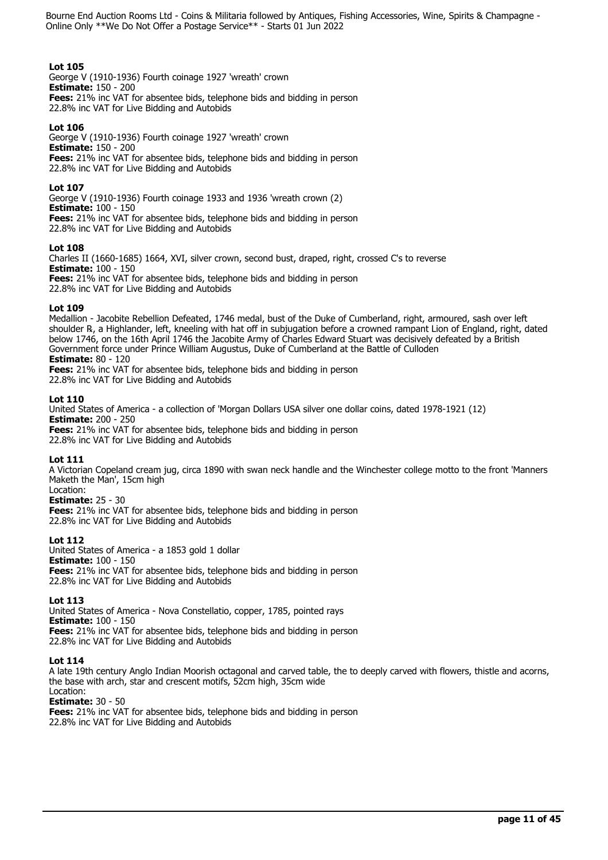## **Lot 105**

George V (1910-1936) Fourth coinage 1927 'wreath' crown **Estimate:** 150 - 200 **Fees:** 21% inc VAT for absentee bids, telephone bids and bidding in person 22.8% inc VAT for Live Bidding and Autobids

## **Lot 106**

George V (1910-1936) Fourth coinage 1927 'wreath' crown **Estimate:** 150 - 200 **Fees:** 21% inc VAT for absentee bids, telephone bids and bidding in person 22.8% inc VAT for Live Bidding and Autobids

## **Lot 107**

George V (1910-1936) Fourth coinage 1933 and 1936 'wreath crown (2) **Estimate:** 100 - 150 **Fees:** 21% inc VAT for absentee bids, telephone bids and bidding in person 22.8% inc VAT for Live Bidding and Autobids

## **Lot 108**

Charles II (1660-1685) 1664, XVI, silver crown, second bust, draped, right, crossed C's to reverse **Estimate:** 100 - 150 **Fees:** 21% inc VAT for absentee bids, telephone bids and bidding in person 22.8% inc VAT for Live Bidding and Autobids

## **Lot 109**

Medallion - Jacobite Rebellion Defeated, 1746 medal, bust of the Duke of Cumberland, right, armoured, sash over left shoulder ℞, a Highlander, left, kneeling with hat off in subjugation before a crowned rampant Lion of England, right, dated below 1746, on the 16th April 1746 the Jacobite Army of Charles Edward Stuart was decisively defeated by a British Government force under Prince William Augustus, Duke of Cumberland at the Battle of Culloden **Estimate:** 80 - 120

**Fees:** 21% inc VAT for absentee bids, telephone bids and bidding in person 22.8% inc VAT for Live Bidding and Autobids

## **Lot 110**

United States of America - a collection of 'Morgan Dollars USA silver one dollar coins, dated 1978-1921 (12) **Estimate:** 200 - 250 **Fees:** 21% inc VAT for absentee bids, telephone bids and bidding in person 22.8% inc VAT for Live Bidding and Autobids

## **Lot 111**

A Victorian Copeland cream jug, circa 1890 with swan neck handle and the Winchester college motto to the front 'Manners Maketh the Man', 15cm high Location:

## **Estimate:** 25 - 30

**Fees:** 21% inc VAT for absentee bids, telephone bids and bidding in person 22.8% inc VAT for Live Bidding and Autobids

## **Lot 112**

United States of America - a 1853 gold 1 dollar **Estimate:** 100 - 150 **Fees:** 21% inc VAT for absentee bids, telephone bids and bidding in person 22.8% inc VAT for Live Bidding and Autobids

## **Lot 113**

United States of America - Nova Constellatio, copper, 1785, pointed rays **Estimate:** 100 - 150 **Fees:** 21% inc VAT for absentee bids, telephone bids and bidding in person 22.8% inc VAT for Live Bidding and Autobids

## **Lot 114**

A late 19th century Anglo Indian Moorish octagonal and carved table, the to deeply carved with flowers, thistle and acorns, the base with arch, star and crescent motifs, 52cm high, 35cm wide Location:

## **Estimate:** 30 - 50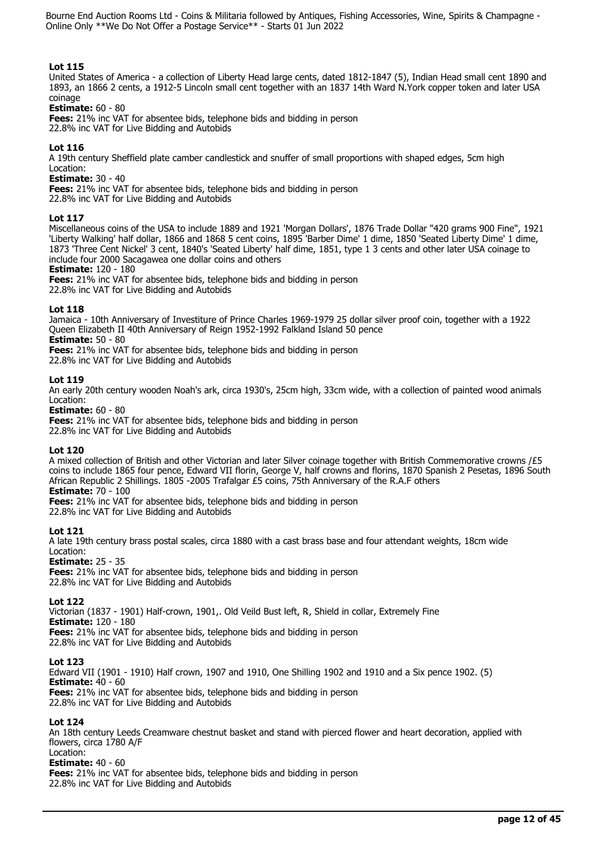# **Lot 115**

United States of America - a collection of Liberty Head large cents, dated 1812-1847 (5), Indian Head small cent 1890 and 1893, an 1866 2 cents, a 1912-5 Lincoln small cent together with an 1837 14th Ward N.York copper token and later USA coinage

## **Estimate:** 60 - 80

**Fees:** 21% inc VAT for absentee bids, telephone bids and bidding in person 22.8% inc VAT for Live Bidding and Autobids

# **Lot 116**

A 19th century Sheffield plate camber candlestick and snuffer of small proportions with shaped edges, 5cm high Location:

## **Estimate:** 30 - 40

**Fees:** 21% inc VAT for absentee bids, telephone bids and bidding in person 22.8% inc VAT for Live Bidding and Autobids

**Lot 117** 

Miscellaneous coins of the USA to include 1889 and 1921 'Morgan Dollars', 1876 Trade Dollar "420 grams 900 Fine", 1921 'Liberty Walking' half dollar, 1866 and 1868 5 cent coins, 1895 'Barber Dime' 1 dime, 1850 'Seated Liberty Dime' 1 dime, 1873 'Three Cent Nickel' 3 cent, 1840's 'Seated Liberty' half dime, 1851, type 1 3 cents and other later USA coinage to include four 2000 Sacagawea one dollar coins and others

**Estimate:** 120 - 180

**Fees:** 21% inc VAT for absentee bids, telephone bids and bidding in person 22.8% inc VAT for Live Bidding and Autobids

## **Lot 118**

Jamaica - 10th Anniversary of Investiture of Prince Charles 1969-1979 25 dollar silver proof coin, together with a 1922 Queen Elizabeth II 40th Anniversary of Reign 1952-1992 Falkland Island 50 pence

**Estimate:** 50 - 80

**Fees:** 21% inc VAT for absentee bids, telephone bids and bidding in person 22.8% inc VAT for Live Bidding and Autobids

## **Lot 119**

An early 20th century wooden Noah's ark, circa 1930's, 25cm high, 33cm wide, with a collection of painted wood animals Location:

**Estimate:** 60 - 80

**Fees:** 21% inc VAT for absentee bids, telephone bids and bidding in person 22.8% inc VAT for Live Bidding and Autobids

## **Lot 120**

A mixed collection of British and other Victorian and later Silver coinage together with British Commemorative crowns /£5 coins to include 1865 four pence, Edward VII florin, George V, half crowns and florins, 1870 Spanish 2 Pesetas, 1896 South African Republic 2 Shillings. 1805 -2005 Trafalgar £5 coins, 75th Anniversary of the R.A.F others

# **Estimate:** 70 - 100

**Fees:** 21% inc VAT for absentee bids, telephone bids and bidding in person 22.8% inc VAT for Live Bidding and Autobids

# **Lot 121**

A late 19th century brass postal scales, circa 1880 with a cast brass base and four attendant weights, 18cm wide Location:

**Estimate:** 25 - 35

**Fees:** 21% inc VAT for absentee bids, telephone bids and bidding in person 22.8% inc VAT for Live Bidding and Autobids

# **Lot 122**

Victorian (1837 - 1901) Half-crown, 1901,. Old Veild Bust left, ℞, Shield in collar, Extremely Fine **Estimate:** 120 - 180 **Fees:** 21% inc VAT for absentee bids, telephone bids and bidding in person 22.8% inc VAT for Live Bidding and Autobids

## **Lot 123**

Edward VII (1901 - 1910) Half crown, 1907 and 1910, One Shilling 1902 and 1910 and a Six pence 1902. (5) **Estimate:** 40 - 60 **Fees:** 21% inc VAT for absentee bids, telephone bids and bidding in person 22.8% inc VAT for Live Bidding and Autobids

## **Lot 124**

An 18th century Leeds Creamware chestnut basket and stand with pierced flower and heart decoration, applied with flowers, circa 1780 A/F

#### Location: **Estimate:** 40 - 60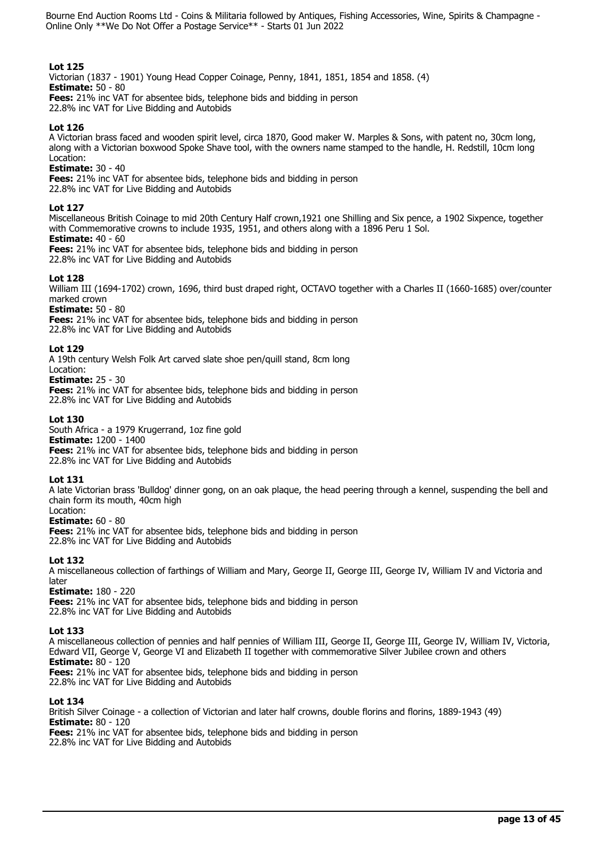# **Lot 125**

Victorian (1837 - 1901) Young Head Copper Coinage, Penny, 1841, 1851, 1854 and 1858. (4) **Estimate:** 50 - 80

**Fees:** 21% inc VAT for absentee bids, telephone bids and bidding in person 22.8% inc VAT for Live Bidding and Autobids

## **Lot 126**

A Victorian brass faced and wooden spirit level, circa 1870, Good maker W. Marples & Sons, with patent no, 30cm long, along with a Victorian boxwood Spoke Shave tool, with the owners name stamped to the handle, H. Redstill, 10cm long Location:

## **Estimate:** 30 - 40

**Fees:** 21% inc VAT for absentee bids, telephone bids and bidding in person

22.8% inc VAT for Live Bidding and Autobids

## **Lot 127**

Miscellaneous British Coinage to mid 20th Century Half crown,1921 one Shilling and Six pence, a 1902 Sixpence, together with Commemorative crowns to include 1935, 1951, and others along with a 1896 Peru 1 Sol.

# **Estimate:** 40 - 60

**Fees:** 21% inc VAT for absentee bids, telephone bids and bidding in person 22.8% inc VAT for Live Bidding and Autobids

## **Lot 128**

William III (1694-1702) crown, 1696, third bust draped right, OCTAVO together with a Charles II (1660-1685) over/counter marked crown

# **Estimate:** 50 - 80

**Fees:** 21% inc VAT for absentee bids, telephone bids and bidding in person 22.8% inc VAT for Live Bidding and Autobids

## **Lot 129**

A 19th century Welsh Folk Art carved slate shoe pen/quill stand, 8cm long

## Location:

**Estimate:** 25 - 30

**Fees:** 21% inc VAT for absentee bids, telephone bids and bidding in person 22.8% inc VAT for Live Bidding and Autobids

## **Lot 130**

South Africa - a 1979 Krugerrand, 1oz fine gold **Estimate:** 1200 - 1400 **Fees:** 21% inc VAT for absentee bids, telephone bids and bidding in person 22.8% inc VAT for Live Bidding and Autobids

# **Lot 131**

A late Victorian brass 'Bulldog' dinner gong, on an oak plaque, the head peering through a kennel, suspending the bell and chain form its mouth, 40cm high

#### Location: **Estimate:** 60 - 80

**Fees:** 21% inc VAT for absentee bids, telephone bids and bidding in person 22.8% inc VAT for Live Bidding and Autobids

## **Lot 132**

A miscellaneous collection of farthings of William and Mary, George II, George III, George IV, William IV and Victoria and later

## **Estimate:** 180 - 220

**Fees:** 21% inc VAT for absentee bids, telephone bids and bidding in person 22.8% inc VAT for Live Bidding and Autobids

## **Lot 133**

A miscellaneous collection of pennies and half pennies of William III, George II, George III, George IV, William IV, Victoria, Edward VII, George V, George VI and Elizabeth II together with commemorative Silver Jubilee crown and others **Estimate:** 80 - 120

**Fees:** 21% inc VAT for absentee bids, telephone bids and bidding in person 22.8% inc VAT for Live Bidding and Autobids

# **Lot 134**

British Silver Coinage - a collection of Victorian and later half crowns, double florins and florins, 1889-1943 (49) **Estimate:** 80 - 120 **Fees:** 21% inc VAT for absentee bids, telephone bids and bidding in person 22.8% inc VAT for Live Bidding and Autobids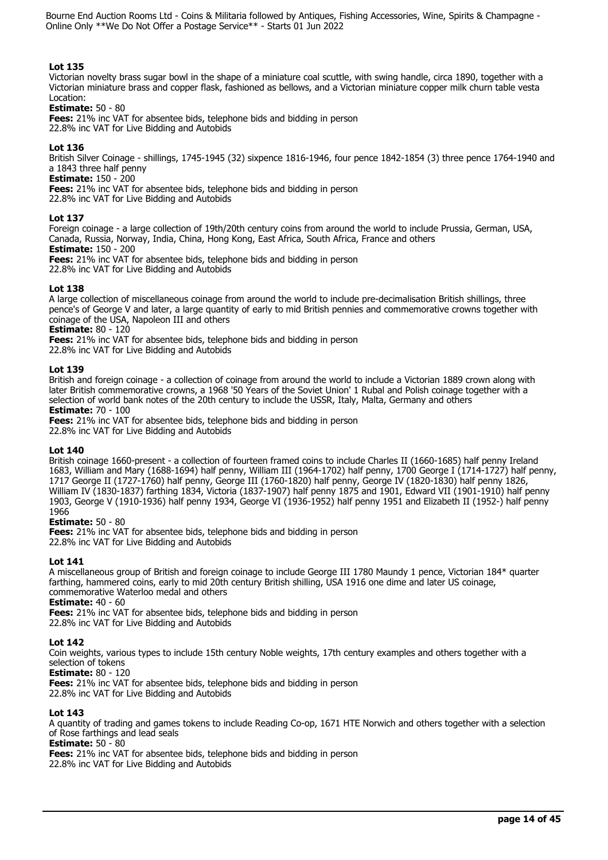# **Lot 135**

Victorian novelty brass sugar bowl in the shape of a miniature coal scuttle, with swing handle, circa 1890, together with a Victorian miniature brass and copper flask, fashioned as bellows, and a Victorian miniature copper milk churn table vesta Location:

## **Estimate:** 50 - 80

**Fees:** 21% inc VAT for absentee bids, telephone bids and bidding in person 22.8% inc VAT for Live Bidding and Autobids

## **Lot 136**

British Silver Coinage - shillings, 1745-1945 (32) sixpence 1816-1946, four pence 1842-1854 (3) three pence 1764-1940 and a 1843 three half penny

# **Estimate:** 150 - 200

**Fees:** 21% inc VAT for absentee bids, telephone bids and bidding in person

22.8% inc VAT for Live Bidding and Autobids

## **Lot 137**

Foreign coinage - a large collection of 19th/20th century coins from around the world to include Prussia, German, USA, Canada, Russia, Norway, India, China, Hong Kong, East Africa, South Africa, France and others

**Estimate:** 150 - 200

**Fees:** 21% inc VAT for absentee bids, telephone bids and bidding in person 22.8% inc VAT for Live Bidding and Autobids

## **Lot 138**

A large collection of miscellaneous coinage from around the world to include pre-decimalisation British shillings, three pence's of George V and later, a large quantity of early to mid British pennies and commemorative crowns together with coinage of the USA, Napoleon III and others

**Estimate:** 80 - 120

**Fees:** 21% inc VAT for absentee bids, telephone bids and bidding in person

22.8% inc VAT for Live Bidding and Autobids

## **Lot 139**

British and foreign coinage - a collection of coinage from around the world to include a Victorian 1889 crown along with later British commemorative crowns, a 1968 '50 Years of the Soviet Union' 1 Rubal and Polish coinage together with a selection of world bank notes of the 20th century to include the USSR, Italy, Malta, Germany and others **Estimate:** 70 - 100

**Fees:** 21% inc VAT for absentee bids, telephone bids and bidding in person 22.8% inc VAT for Live Bidding and Autobids

## **Lot 140**

British coinage 1660-present - a collection of fourteen framed coins to include Charles II (1660-1685) half penny Ireland 1683, William and Mary (1688-1694) half penny, William III (1964-1702) half penny, 1700 George I (1714-1727) half penny, 1717 George II (1727-1760) half penny, George III (1760-1820) half penny, George IV (1820-1830) half penny 1826, William IV (1830-1837) farthing 1834, Victoria (1837-1907) half penny 1875 and 1901, Edward VII (1901-1910) half penny 1903, George V (1910-1936) half penny 1934, George VI (1936-1952) half penny 1951 and Elizabeth II (1952-) half penny 1966

## **Estimate:** 50 - 80

**Fees:** 21% inc VAT for absentee bids, telephone bids and bidding in person 22.8% inc VAT for Live Bidding and Autobids

# **Lot 141**

A miscellaneous group of British and foreign coinage to include George III 1780 Maundy 1 pence, Victorian 184\* quarter farthing, hammered coins, early to mid 20th century British shilling, USA 1916 one dime and later US coinage, commemorative Waterloo medal and others

**Estimate:** 40 - 60

**Fees:** 21% inc VAT for absentee bids, telephone bids and bidding in person

22.8% inc VAT for Live Bidding and Autobids

# **Lot 142**

Coin weights, various types to include 15th century Noble weights, 17th century examples and others together with a selection of tokens

## **Estimate:** 80 - 120

**Fees:** 21% inc VAT for absentee bids, telephone bids and bidding in person

22.8% inc VAT for Live Bidding and Autobids

# **Lot 143**

A quantity of trading and games tokens to include Reading Co-op, 1671 HTE Norwich and others together with a selection of Rose farthings and lead seals

# **Estimate:** 50 - 80

**Fees:** 21% inc VAT for absentee bids, telephone bids and bidding in person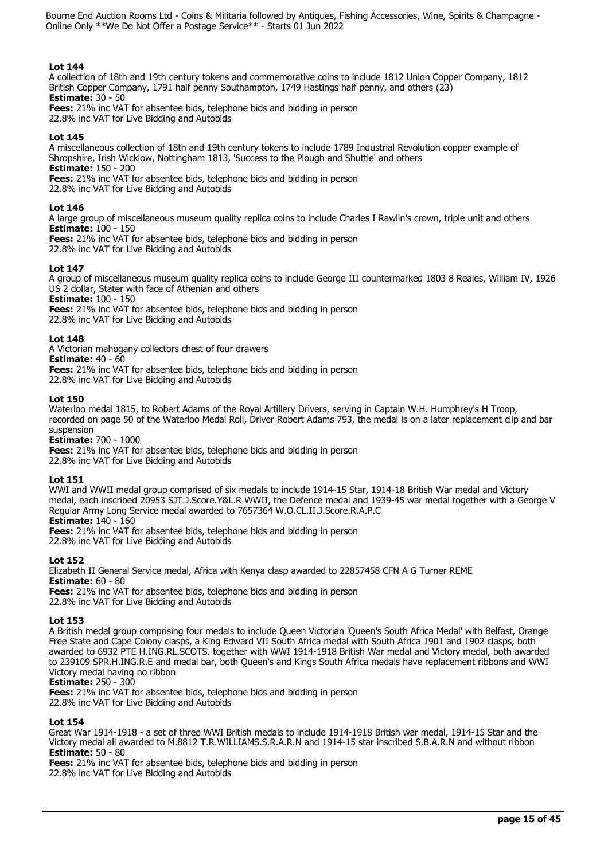# **Lot 144**

A collection of 18th and 19th century tokens and commemorative coins to include 1812 Union Copper Company, 1812 British Copper Company, 1791 half penny Southampton, 1749 Hastings half penny, and others (23) **Estimate:** 30 - 50

**Fees:** 21% inc VAT for absentee bids, telephone bids and bidding in person

22.8% inc VAT for Live Bidding and Autobids

# **Lot 145**

A miscellaneous collection of 18th and 19th century tokens to include 1789 Industrial Revolution copper example of Shropshire, Irish Wicklow, Nottingham 1813, 'Success to the Plough and Shuttle' and others **Estimate:** 150 - 200

**Fees:** 21% inc VAT for absentee bids, telephone bids and bidding in person

22.8% inc VAT for Live Bidding and Autobids

# **Lot 146**

A large group of miscellaneous museum quality replica coins to include Charles I Rawlin's crown, triple unit and others **Estimate:** 100 - 150

**Fees:** 21% inc VAT for absentee bids, telephone bids and bidding in person 22.8% inc VAT for Live Bidding and Autobids

**Lot 147** 

A group of miscellaneous museum quality replica coins to include George III countermarked 1803 8 Reales, William IV, 1926 US 2 dollar, Stater with face of Athenian and others

**Estimate:** 100 - 150

**Fees:** 21% inc VAT for absentee bids, telephone bids and bidding in person

22.8% inc VAT for Live Bidding and Autobids

# **Lot 148**

A Victorian mahogany collectors chest of four drawers

**Estimate:** 40 - 60

**Fees:** 21% inc VAT for absentee bids, telephone bids and bidding in person 22.8% inc VAT for Live Bidding and Autobids

## **Lot 150**

Waterloo medal 1815, to Robert Adams of the Royal Artillery Drivers, serving in Captain W.H. Humphrey's H Troop, recorded on page 50 of the Waterloo Medal Roll, Driver Robert Adams 793, the medal is on a later replacement clip and bar suspension

**Estimate:** 700 - 1000

**Fees:** 21% inc VAT for absentee bids, telephone bids and bidding in person 22.8% inc VAT for Live Bidding and Autobids

# **Lot 151**

WWI and WWII medal group comprised of six medals to include 1914-15 Star, 1914-18 British War medal and Victory medal, each inscribed 20953 SJT.J.Score.Y&L.R WWII, the Defence medal and 1939-45 war medal together with a George V Regular Army Long Service medal awarded to 7657364 W.O.CL.II.J.Score.R.A.P.C **Estimate:** 140 - 160

**Fees:** 21% inc VAT for absentee bids, telephone bids and bidding in person 22.8% inc VAT for Live Bidding and Autobids

# **Lot 152**

Elizabeth II General Service medal, Africa with Kenya clasp awarded to 22857458 CFN A G Turner REME **Estimate:** 60 - 80 **Fees:** 21% inc VAT for absentee bids, telephone bids and bidding in person

22.8% inc VAT for Live Bidding and Autobids

# **Lot 153**

A British medal group comprising four medals to include Queen Victorian 'Queen's South Africa Medal' with Belfast, Orange Free State and Cape Colony clasps, a King Edward VII South Africa medal with South Africa 1901 and 1902 clasps, both awarded to 6932 PTE H.ING.RL.SCOTS. together with WWI 1914-1918 British War medal and Victory medal, both awarded to 239109 SPR.H.ING.R.E and medal bar, both Queen's and Kings South Africa medals have replacement ribbons and WWI Victory medal having no ribbon

## **Estimate:** 250 - 300

**Fees:** 21% inc VAT for absentee bids, telephone bids and bidding in person 22.8% inc VAT for Live Bidding and Autobids

## **Lot 154**

Great War 1914-1918 - a set of three WWI British medals to include 1914-1918 British war medal, 1914-15 Star and the Victory medal all awarded to M.8812 T.R.WILLIAMS.S.R.A.R.N and 1914-15 star inscribed S.B.A.R.N and without ribbon **Estimate:** 50 - 80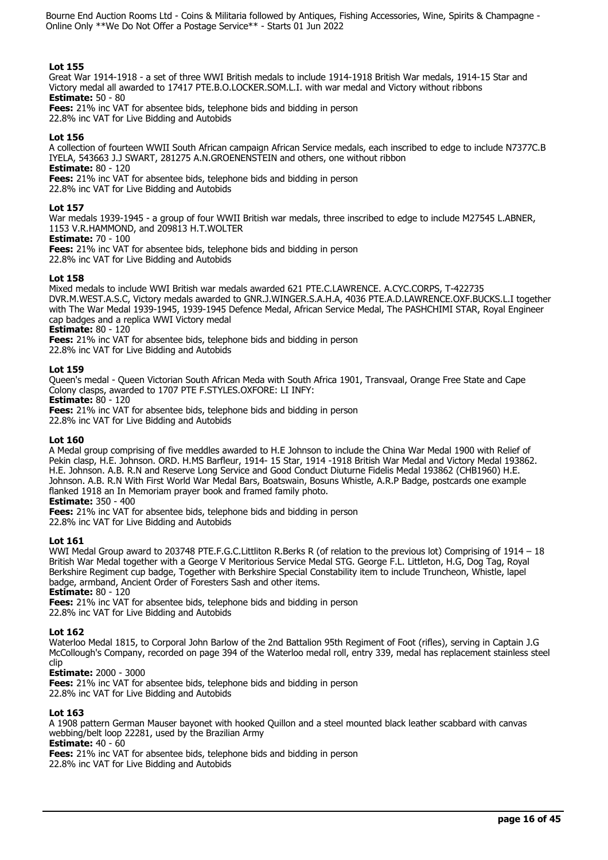# **Lot 155**

Great War 1914-1918 - a set of three WWI British medals to include 1914-1918 British War medals, 1914-15 Star and Victory medal all awarded to 17417 PTE.B.O.LOCKER.SOM.L.I. with war medal and Victory without ribbons **Estimate:** 50 - 80

**Fees:** 21% inc VAT for absentee bids, telephone bids and bidding in person

22.8% inc VAT for Live Bidding and Autobids

# **Lot 156**

A collection of fourteen WWII South African campaign African Service medals, each inscribed to edge to include N7377C.B IYELA, 543663 J.J SWART, 281275 A.N.GROENENSTEIN and others, one without ribbon **Estimate:** 80 - 120

**Fees:** 21% inc VAT for absentee bids, telephone bids and bidding in person

22.8% inc VAT for Live Bidding and Autobids

# **Lot 157**

War medals 1939-1945 - a group of four WWII British war medals, three inscribed to edge to include M27545 L.ABNER, 1153 V.R.HAMMOND, and 209813 H.T.WOLTER

# **Estimate:** 70 - 100

**Fees:** 21% inc VAT for absentee bids, telephone bids and bidding in person

22.8% inc VAT for Live Bidding and Autobids

## **Lot 158**

Mixed medals to include WWI British war medals awarded 621 PTE.C.LAWRENCE. A.CYC.CORPS, T-422735 DVR.M.WEST.A.S.C, Victory medals awarded to GNR.J.WINGER.S.A.H.A, 4036 PTE.A.D.LAWRENCE.OXF.BUCKS.L.I together with The War Medal 1939-1945, 1939-1945 Defence Medal, African Service Medal, The PASHCHIMI STAR, Royal Engineer cap badges and a replica WWI Victory medal

**Estimate:** 80 - 120

**Fees:** 21% inc VAT for absentee bids, telephone bids and bidding in person

22.8% inc VAT for Live Bidding and Autobids

## **Lot 159**

Queen's medal - Queen Victorian South African Meda with South Africa 1901, Transvaal, Orange Free State and Cape Colony clasps, awarded to 1707 PTE F.STYLES.OXFORE: LI INFY:

**Estimate:** 80 - 120

**Fees:** 21% inc VAT for absentee bids, telephone bids and bidding in person

22.8% inc VAT for Live Bidding and Autobids

# **Lot 160**

A Medal group comprising of five meddles awarded to H.E Johnson to include the China War Medal 1900 with Relief of Pekin clasp, H.E. Johnson. ORD. H.MS Barfleur, 1914- 15 Star, 1914 -1918 British War Medal and Victory Medal 193862. H.E. Johnson. A.B. R.N and Reserve Long Service and Good Conduct Diuturne Fidelis Medal 193862 (CHB1960) H.E. Johnson. A.B. R.N With First World War Medal Bars, Boatswain, Bosuns Whistle, A.R.P Badge, postcards one example flanked 1918 an In Memoriam prayer book and framed family photo.

**Estimate:** 350 - 400

**Fees:** 21% inc VAT for absentee bids, telephone bids and bidding in person

22.8% inc VAT for Live Bidding and Autobids

# **Lot 161**

WWI Medal Group award to 203748 PTE.F.G.C.Littliton R.Berks R (of relation to the previous lot) Comprising of 1914 - 18 British War Medal together with a George V Meritorious Service Medal STG. George F.L. Littleton, H.G, Dog Tag, Royal Berkshire Regiment cup badge, Together with Berkshire Special Constability item to include Truncheon, Whistle, lapel badge, armband, Ancient Order of Foresters Sash and other items.

**Estimate:** 80 - 120

**Fees:** 21% inc VAT for absentee bids, telephone bids and bidding in person 22.8% inc VAT for Live Bidding and Autobids

## **Lot 162**

Waterloo Medal 1815, to Corporal John Barlow of the 2nd Battalion 95th Regiment of Foot (rifles), serving in Captain J.G McCollough's Company, recorded on page 394 of the Waterloo medal roll, entry 339, medal has replacement stainless steel clip

# **Estimate:** 2000 - 3000

**Fees:** 21% inc VAT for absentee bids, telephone bids and bidding in person 22.8% inc VAT for Live Bidding and Autobids

# **Lot 163**

A 1908 pattern German Mauser bayonet with hooked Quillon and a steel mounted black leather scabbard with canvas webbing/belt loop 22281, used by the Brazilian Army

**Estimate:** 40 - 60

**Fees:** 21% inc VAT for absentee bids, telephone bids and bidding in person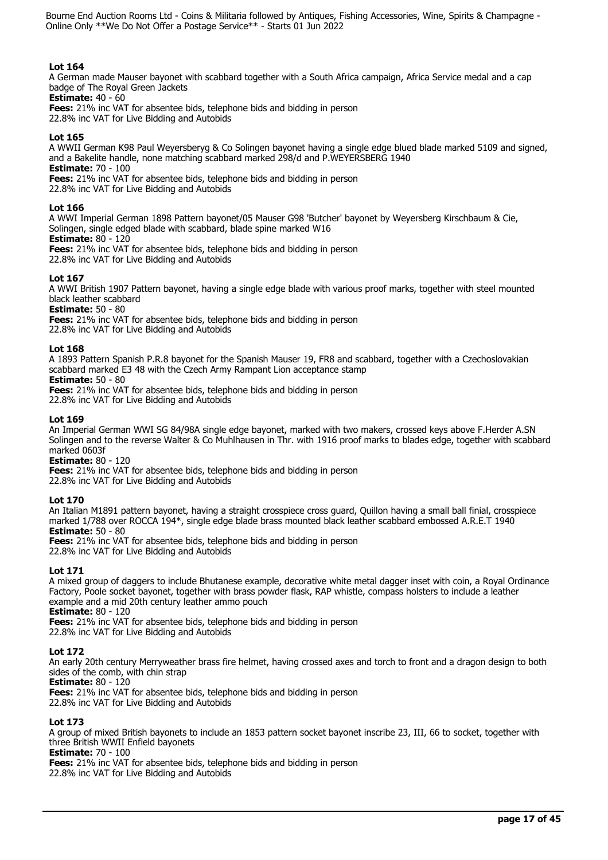# **Lot 164**

A German made Mauser bayonet with scabbard together with a South Africa campaign, Africa Service medal and a cap badge of The Royal Green Jackets

**Estimate:** 40 - 60

**Fees:** 21% inc VAT for absentee bids, telephone bids and bidding in person

22.8% inc VAT for Live Bidding and Autobids

# **Lot 165**

A WWII German K98 Paul Weyersberyg & Co Solingen bayonet having a single edge blued blade marked 5109 and signed, and a Bakelite handle, none matching scabbard marked 298/d and P.WEYERSBERG 1940 **Estimate:** 70 - 100

**Fees:** 21% inc VAT for absentee bids, telephone bids and bidding in person

22.8% inc VAT for Live Bidding and Autobids

# **Lot 166**

A WWI Imperial German 1898 Pattern bayonet/05 Mauser G98 'Butcher' bayonet by Weyersberg Kirschbaum & Cie, Solingen, single edged blade with scabbard, blade spine marked W16

# **Estimate:** 80 - 120

**Fees:** 21% inc VAT for absentee bids, telephone bids and bidding in person

22.8% inc VAT for Live Bidding and Autobids

# **Lot 167**

A WWI British 1907 Pattern bayonet, having a single edge blade with various proof marks, together with steel mounted black leather scabbard

**Estimate:** 50 - 80

**Fees:** 21% inc VAT for absentee bids, telephone bids and bidding in person 22.8% inc VAT for Live Bidding and Autobids

# **Lot 168**

A 1893 Pattern Spanish P.R.8 bayonet for the Spanish Mauser 19, FR8 and scabbard, together with a Czechoslovakian scabbard marked E3 48 with the Czech Army Rampant Lion acceptance stamp

# **Estimate:** 50 - 80

**Fees:** 21% inc VAT for absentee bids, telephone bids and bidding in person 22.8% inc VAT for Live Bidding and Autobids

## **Lot 169**

An Imperial German WWI SG 84/98A single edge bayonet, marked with two makers, crossed keys above F.Herder A.SN Solingen and to the reverse Walter & Co Muhlhausen in Thr. with 1916 proof marks to blades edge, together with scabbard marked 0603f

**Estimate:** 80 - 120

**Fees:** 21% inc VAT for absentee bids, telephone bids and bidding in person

22.8% inc VAT for Live Bidding and Autobids

# **Lot 170**

An Italian M1891 pattern bayonet, having a straight crosspiece cross guard, Quillon having a small ball finial, crosspiece marked 1/788 over ROCCA 194\*, single edge blade brass mounted black leather scabbard embossed A.R.E.T 1940 **Estimate:** 50 - 80

**Fees:** 21% inc VAT for absentee bids, telephone bids and bidding in person 22.8% inc VAT for Live Bidding and Autobids

# **Lot 171**

A mixed group of daggers to include Bhutanese example, decorative white metal dagger inset with coin, a Royal Ordinance Factory, Poole socket bayonet, together with brass powder flask, RAP whistle, compass holsters to include a leather example and a mid 20th century leather ammo pouch

**Estimate:** 80 - 120

**Fees:** 21% inc VAT for absentee bids, telephone bids and bidding in person 22.8% inc VAT for Live Bidding and Autobids

# **Lot 172**

An early 20th century Merryweather brass fire helmet, having crossed axes and torch to front and a dragon design to both sides of the comb, with chin strap

**Estimate:** 80 - 120

**Fees:** 21% inc VAT for absentee bids, telephone bids and bidding in person 22.8% inc VAT for Live Bidding and Autobids

# **Lot 173**

A group of mixed British bayonets to include an 1853 pattern socket bayonet inscribe 23, III, 66 to socket, together with three British WWII Enfield bayonets

**Estimate:** 70 - 100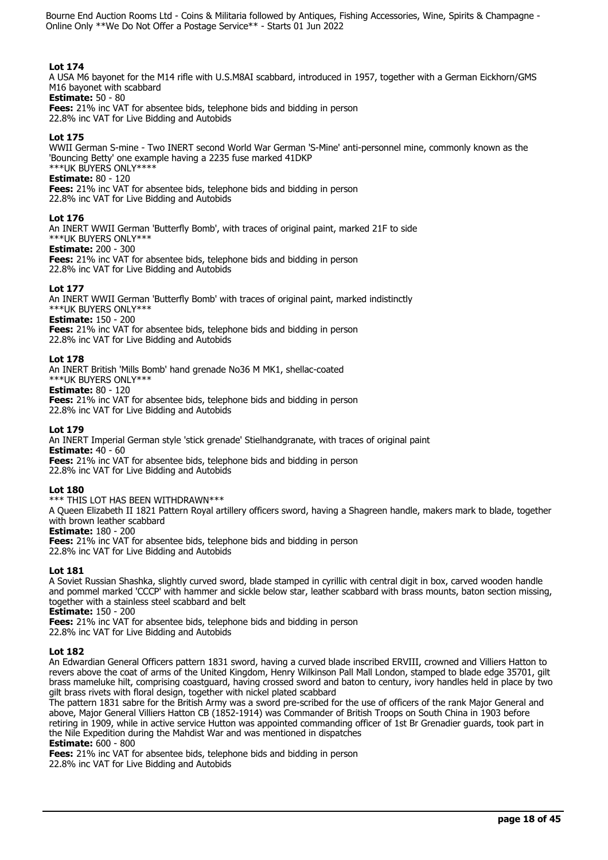# **Lot 174**

A USA M6 bayonet for the M14 rifle with U.S.M8AI scabbard, introduced in 1957, together with a German Eickhorn/GMS M16 bayonet with scabbard

## **Estimate:** 50 - 80

**Fees:** 21% inc VAT for absentee bids, telephone bids and bidding in person 22.8% inc VAT for Live Bidding and Autobids

## **Lot 175**

WWII German S-mine - Two INERT second World War German 'S-Mine' anti-personnel mine, commonly known as the 'Bouncing Betty' one example having a 2235 fuse marked 41DKP \*\*\*UK BUYERS ONLY\*\*\*\*

## **Estimate:** 80 - 120

**Fees:** 21% inc VAT for absentee bids, telephone bids and bidding in person 22.8% inc VAT for Live Bidding and Autobids

## **Lot 176**

An INERT WWII German 'Butterfly Bomb', with traces of original paint, marked 21F to side \*\*\*UK BUYERS ONLY\*\*\*

# **Estimate:** 200 - 300

**Fees:** 21% inc VAT for absentee bids, telephone bids and bidding in person 22.8% inc VAT for Live Bidding and Autobids

## **Lot 177**

An INERT WWII German 'Butterfly Bomb' with traces of original paint, marked indistinctly \*\*\*UK BUYERS ONLY\*\*\*

## **Estimate:** 150 - 200

**Fees:** 21% inc VAT for absentee bids, telephone bids and bidding in person 22.8% inc VAT for Live Bidding and Autobids

## **Lot 178**

An INERT British 'Mills Bomb' hand grenade No36 M MK1, shellac-coated

\*\*\*UK BUYERS ONLY\*\*\*

**Estimate:** 80 - 120 **Fees:** 21% inc VAT for absentee bids, telephone bids and bidding in person 22.8% inc VAT for Live Bidding and Autobids

## **Lot 179**

An INERT Imperial German style 'stick grenade' Stielhandgranate, with traces of original paint **Estimate:** 40 - 60

**Fees:** 21% inc VAT for absentee bids, telephone bids and bidding in person 22.8% inc VAT for Live Bidding and Autobids

# **Lot 180**

\*\*\* THIS LOT HAS BEEN WITHDRAWN\*\*\*

A Queen Elizabeth II 1821 Pattern Royal artillery officers sword, having a Shagreen handle, makers mark to blade, together with brown leather scabbard

# **Estimate:** 180 - 200

**Fees:** 21% inc VAT for absentee bids, telephone bids and bidding in person 22.8% inc VAT for Live Bidding and Autobids

# **Lot 181**

A Soviet Russian Shashka, slightly curved sword, blade stamped in cyrillic with central digit in box, carved wooden handle and pommel marked 'CCCP' with hammer and sickle below star, leather scabbard with brass mounts, baton section missing, together with a stainless steel scabbard and belt

**Estimate:** 150 - 200

**Fees:** 21% inc VAT for absentee bids, telephone bids and bidding in person 22.8% inc VAT for Live Bidding and Autobids

# **Lot 182**

An Edwardian General Officers pattern 1831 sword, having a curved blade inscribed ERVIII, crowned and Villiers Hatton to revers above the coat of arms of the United Kingdom, Henry Wilkinson Pall Mall London, stamped to blade edge 35701, gilt brass mameluke hilt, comprising coastguard, having crossed sword and baton to century, ivory handles held in place by two gilt brass rivets with floral design, together with nickel plated scabbard

The pattern 1831 sabre for the British Army was a sword pre-scribed for the use of officers of the rank Major General and above, Major General Villiers Hatton CB (1852-1914) was Commander of British Troops on South China in 1903 before retiring in 1909, while in active service Hutton was appointed commanding officer of 1st Br Grenadier guards, took part in the Nile Expedition during the Mahdist War and was mentioned in dispatches

**Estimate:** 600 - 800

**Fees:** 21% inc VAT for absentee bids, telephone bids and bidding in person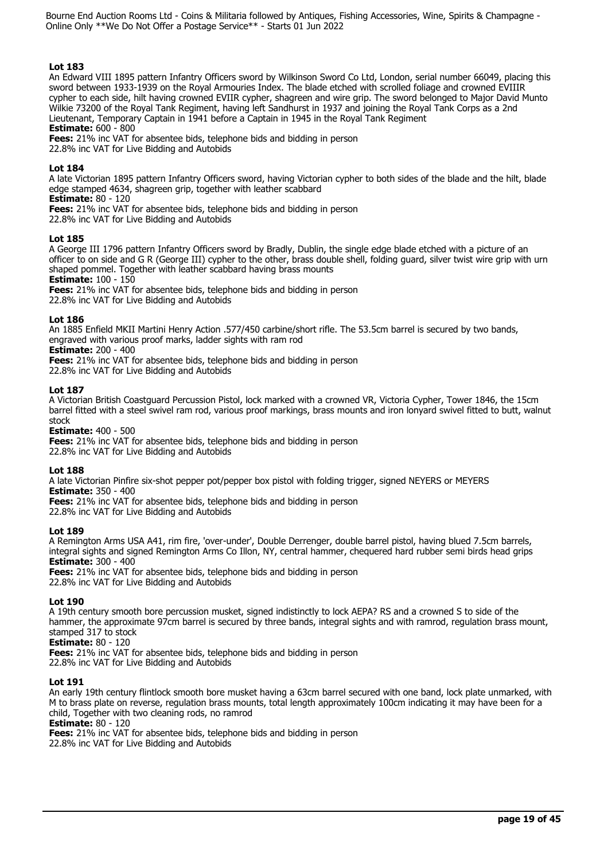# **Lot 183**

An Edward VIII 1895 pattern Infantry Officers sword by Wilkinson Sword Co Ltd, London, serial number 66049, placing this sword between 1933-1939 on the Royal Armouries Index. The blade etched with scrolled foliage and crowned EVIIIR cypher to each side, hilt having crowned EVIIR cypher, shagreen and wire grip. The sword belonged to Major David Munto Wilkie 73200 of the Royal Tank Regiment, having left Sandhurst in 1937 and joining the Royal Tank Corps as a 2nd Lieutenant, Temporary Captain in 1941 before a Captain in 1945 in the Royal Tank Regiment **Estimate:** 600 - 800

**Fees:** 21% inc VAT for absentee bids, telephone bids and bidding in person 22.8% inc VAT for Live Bidding and Autobids

## **Lot 184**

A late Victorian 1895 pattern Infantry Officers sword, having Victorian cypher to both sides of the blade and the hilt, blade edge stamped 4634, shagreen grip, together with leather scabbard

**Estimate:** 80 - 120

**Fees:** 21% inc VAT for absentee bids, telephone bids and bidding in person 22.8% inc VAT for Live Bidding and Autobids

## **Lot 185**

A George III 1796 pattern Infantry Officers sword by Bradly, Dublin, the single edge blade etched with a picture of an officer to on side and G R (George III) cypher to the other, brass double shell, folding guard, silver twist wire grip with urn shaped pommel. Together with leather scabbard having brass mounts

**Estimate:** 100 - 150

**Fees:** 21% inc VAT for absentee bids, telephone bids and bidding in person

22.8% inc VAT for Live Bidding and Autobids

## **Lot 186**

An 1885 Enfield MKII Martini Henry Action .577/450 carbine/short rifle. The 53.5cm barrel is secured by two bands, engraved with various proof marks, ladder sights with ram rod

**Estimate:** 200 - 400

**Fees:** 21% inc VAT for absentee bids, telephone bids and bidding in person

22.8% inc VAT for Live Bidding and Autobids

## **Lot 187**

A Victorian British Coastguard Percussion Pistol, lock marked with a crowned VR, Victoria Cypher, Tower 1846, the 15cm barrel fitted with a steel swivel ram rod, various proof markings, brass mounts and iron lonyard swivel fitted to butt, walnut stock

**Estimate:** 400 - 500

**Fees:** 21% inc VAT for absentee bids, telephone bids and bidding in person 22.8% inc VAT for Live Bidding and Autobids

# **Lot 188**

A late Victorian Pinfire six-shot pepper pot/pepper box pistol with folding trigger, signed NEYERS or MEYERS **Estimate:** 350 - 400

**Fees:** 21% inc VAT for absentee bids, telephone bids and bidding in person

22.8% inc VAT for Live Bidding and Autobids

# **Lot 189**

A Remington Arms USA A41, rim fire, 'over-under', Double Derrenger, double barrel pistol, having blued 7.5cm barrels, integral sights and signed Remington Arms Co Illon, NY, central hammer, chequered hard rubber semi birds head grips **Estimate:** 300 - 400

**Fees:** 21% inc VAT for absentee bids, telephone bids and bidding in person 22.8% inc VAT for Live Bidding and Autobids

# **Lot 190**

A 19th century smooth bore percussion musket, signed indistinctly to lock AEPA? RS and a crowned S to side of the hammer, the approximate 97cm barrel is secured by three bands, integral sights and with ramrod, regulation brass mount, stamped 317 to stock

**Estimate:** 80 - 120

**Fees:** 21% inc VAT for absentee bids, telephone bids and bidding in person 22.8% inc VAT for Live Bidding and Autobids

# **Lot 191**

An early 19th century flintlock smooth bore musket having a 63cm barrel secured with one band, lock plate unmarked, with M to brass plate on reverse, regulation brass mounts, total length approximately 100cm indicating it may have been for a child, Together with two cleaning rods, no ramrod

# **Estimate:** 80 - 120

**Fees:** 21% inc VAT for absentee bids, telephone bids and bidding in person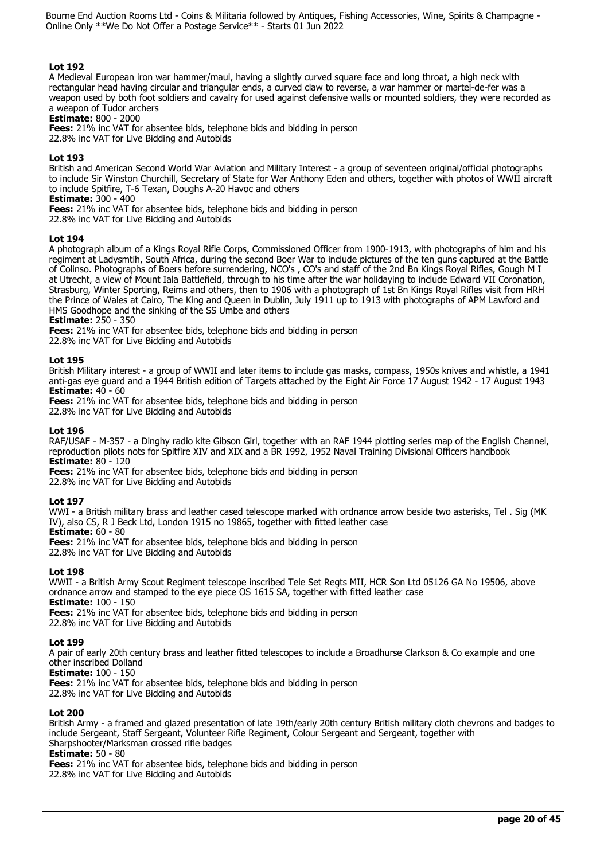# **Lot 192**

A Medieval European iron war hammer/maul, having a slightly curved square face and long throat, a high neck with rectangular head having circular and triangular ends, a curved claw to reverse, a war hammer or martel-de-fer was a weapon used by both foot soldiers and cavalry for used against defensive walls or mounted soldiers, they were recorded as a weapon of Tudor archers

## **Estimate:** 800 - 2000

**Fees:** 21% inc VAT for absentee bids, telephone bids and bidding in person

22.8% inc VAT for Live Bidding and Autobids

# **Lot 193**

British and American Second World War Aviation and Military Interest - a group of seventeen original/official photographs to include Sir Winston Churchill, Secretary of State for War Anthony Eden and others, together with photos of WWII aircraft to include Spitfire, T-6 Texan, Doughs A-20 Havoc and others

**Estimate:** 300 - 400

**Fees:** 21% inc VAT for absentee bids, telephone bids and bidding in person 22.8% inc VAT for Live Bidding and Autobids

## **Lot 194**

A photograph album of a Kings Royal Rifle Corps, Commissioned Officer from 1900-1913, with photographs of him and his regiment at Ladysmtih, South Africa, during the second Boer War to include pictures of the ten guns captured at the Battle of Colinso. Photographs of Boers before surrendering, NCO's , CO's and staff of the 2nd Bn Kings Royal Rifles, Gough M I at Utrecht, a view of Mount Iala Battlefield, through to his time after the war holidaying to include Edward VII Coronation, Strasburg, Winter Sporting, Reims and others, then to 1906 with a photograph of 1st Bn Kings Royal Rifles visit from HRH the Prince of Wales at Cairo, The King and Queen in Dublin, July 1911 up to 1913 with photographs of APM Lawford and HMS Goodhope and the sinking of the SS Umbe and others

**Estimate:** 250 - 350

**Fees:** 21% inc VAT for absentee bids, telephone bids and bidding in person

22.8% inc VAT for Live Bidding and Autobids

# **Lot 195**

British Military interest - a group of WWII and later items to include gas masks, compass, 1950s knives and whistle, a 1941 anti-gas eye guard and a 1944 British edition of Targets attached by the Eight Air Force 17 August 1942 - 17 August 1943 **Estimate:** 40 - 60

**Fees:** 21% inc VAT for absentee bids, telephone bids and bidding in person 22.8% inc VAT for Live Bidding and Autobids

# **Lot 196**

RAF/USAF - M-357 - a Dinghy radio kite Gibson Girl, together with an RAF 1944 plotting series map of the English Channel, reproduction pilots nots for Spitfire XIV and XIX and a BR 1992, 1952 Naval Training Divisional Officers handbook **Estimate:** 80 - 120

**Fees:** 21% inc VAT for absentee bids, telephone bids and bidding in person

22.8% inc VAT for Live Bidding and Autobids

# **Lot 197**

WWI - a British military brass and leather cased telescope marked with ordnance arrow beside two asterisks, Tel . Sig (MK IV), also CS, R J Beck Ltd, London 1915 no 19865, together with fitted leather case

**Estimate:** 60 - 80

**Fees:** 21% inc VAT for absentee bids, telephone bids and bidding in person

22.8% inc VAT for Live Bidding and Autobids

# **Lot 198**

WWII - a British Army Scout Regiment telescope inscribed Tele Set Regts MII, HCR Son Ltd 05126 GA No 19506, above ordnance arrow and stamped to the eye piece OS 1615 SA, together with fitted leather case **Estimate:** 100 - 150

**Fees:** 21% inc VAT for absentee bids, telephone bids and bidding in person

22.8% inc VAT for Live Bidding and Autobids

# **Lot 199**

A pair of early 20th century brass and leather fitted telescopes to include a Broadhurse Clarkson & Co example and one other inscribed Dolland

## **Estimate:** 100 - 150

**Fees:** 21% inc VAT for absentee bids, telephone bids and bidding in person

22.8% inc VAT for Live Bidding and Autobids

# **Lot 200**

British Army - a framed and glazed presentation of late 19th/early 20th century British military cloth chevrons and badges to include Sergeant, Staff Sergeant, Volunteer Rifle Regiment, Colour Sergeant and Sergeant, together with Sharpshooter/Marksman crossed rifle badges

# **Estimate:** 50 - 80

**Fees:** 21% inc VAT for absentee bids, telephone bids and bidding in person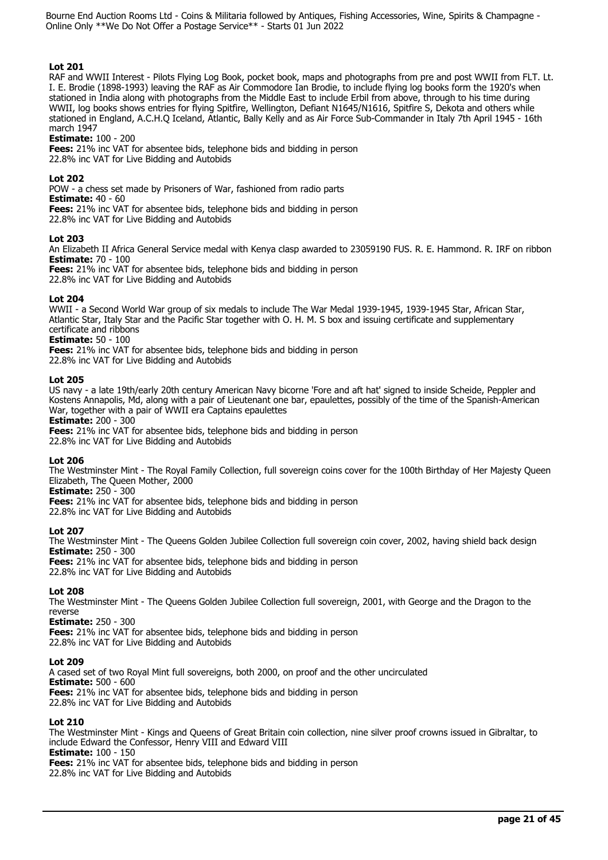# **Lot 201**

RAF and WWII Interest - Pilots Flying Log Book, pocket book, maps and photographs from pre and post WWII from FLT. Lt. I. E. Brodie (1898-1993) leaving the RAF as Air Commodore Ian Brodie, to include flying log books form the 1920's when stationed in India along with photographs from the Middle East to include Erbil from above, through to his time during WWII, log books shows entries for flying Spitfire, Wellington, Defiant N1645/N1616, Spitfire S, Dekota and others while stationed in England, A.C.H.Q Iceland, Atlantic, Bally Kelly and as Air Force Sub-Commander in Italy 7th April 1945 - 16th march 1947

## **Estimate:** 100 - 200

**Fees:** 21% inc VAT for absentee bids, telephone bids and bidding in person 22.8% inc VAT for Live Bidding and Autobids

**Lot 202** 

POW - a chess set made by Prisoners of War, fashioned from radio parts

**Estimate:** 40 - 60

**Fees:** 21% inc VAT for absentee bids, telephone bids and bidding in person 22.8% inc VAT for Live Bidding and Autobids

## **Lot 203**

An Elizabeth II Africa General Service medal with Kenya clasp awarded to 23059190 FUS. R. E. Hammond. R. IRF on ribbon **Estimate:** 70 - 100

**Fees:** 21% inc VAT for absentee bids, telephone bids and bidding in person

22.8% inc VAT for Live Bidding and Autobids

## **Lot 204**

WWII - a Second World War group of six medals to include The War Medal 1939-1945, 1939-1945 Star, African Star, Atlantic Star, Italy Star and the Pacific Star together with O. H. M. S box and issuing certificate and supplementary certificate and ribbons

**Estimate:** 50 - 100

**Fees:** 21% inc VAT for absentee bids, telephone bids and bidding in person 22.8% inc VAT for Live Bidding and Autobids

## **Lot 205**

US navy - a late 19th/early 20th century American Navy bicorne 'Fore and aft hat' signed to inside Scheide, Peppler and Kostens Annapolis, Md, along with a pair of Lieutenant one bar, epaulettes, possibly of the time of the Spanish-American War, together with a pair of WWII era Captains epaulettes

## **Estimate:** 200 - 300

**Fees:** 21% inc VAT for absentee bids, telephone bids and bidding in person 22.8% inc VAT for Live Bidding and Autobids

## **Lot 206**

The Westminster Mint - The Royal Family Collection, full sovereign coins cover for the 100th Birthday of Her Majesty Queen Elizabeth, The Queen Mother, 2000

**Estimate:** 250 - 300

**Fees:** 21% inc VAT for absentee bids, telephone bids and bidding in person

22.8% inc VAT for Live Bidding and Autobids

# **Lot 207**

The Westminster Mint - The Queens Golden Jubilee Collection full sovereign coin cover, 2002, having shield back design **Estimate:** 250 - 300

**Fees:** 21% inc VAT for absentee bids, telephone bids and bidding in person 22.8% inc VAT for Live Bidding and Autobids

## **Lot 208**

The Westminster Mint - The Queens Golden Jubilee Collection full sovereign, 2001, with George and the Dragon to the reverse

**Estimate:** 250 - 300

**Fees:** 21% inc VAT for absentee bids, telephone bids and bidding in person 22.8% inc VAT for Live Bidding and Autobids

## **Lot 209**

A cased set of two Royal Mint full sovereigns, both 2000, on proof and the other uncirculated **Estimate:** 500 - 600 **Fees:** 21% inc VAT for absentee bids, telephone bids and bidding in person 22.8% inc VAT for Live Bidding and Autobids

# **Lot 210**

The Westminster Mint - Kings and Queens of Great Britain coin collection, nine silver proof crowns issued in Gibraltar, to include Edward the Confessor, Henry VIII and Edward VIII **Estimate:** 100 - 150 **Fees:** 21% inc VAT for absentee bids, telephone bids and bidding in person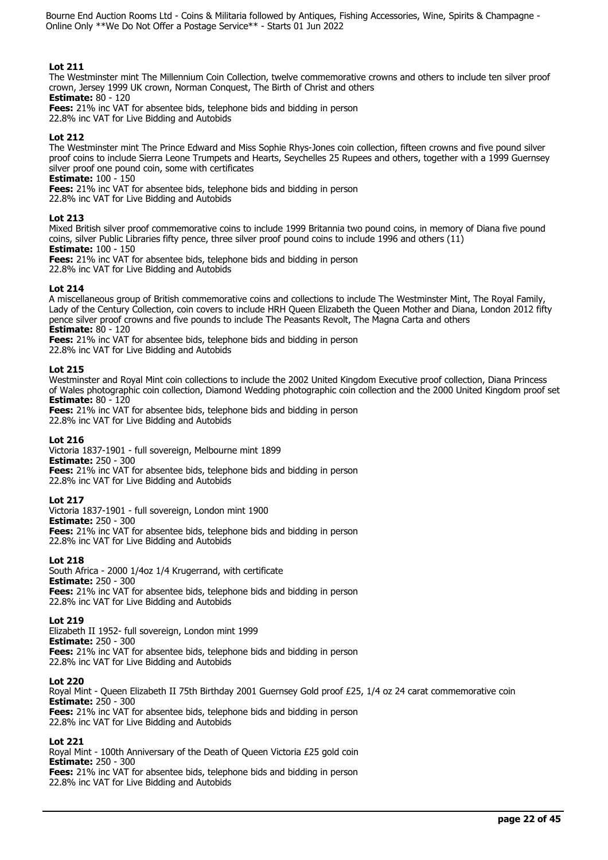# **Lot 211**

The Westminster mint The Millennium Coin Collection, twelve commemorative crowns and others to include ten silver proof crown, Jersey 1999 UK crown, Norman Conquest, The Birth of Christ and others **Estimate:** 80 - 120

**Fees:** 21% inc VAT for absentee bids, telephone bids and bidding in person

22.8% inc VAT for Live Bidding and Autobids

# **Lot 212**

The Westminster mint The Prince Edward and Miss Sophie Rhys-Jones coin collection, fifteen crowns and five pound silver proof coins to include Sierra Leone Trumpets and Hearts, Seychelles 25 Rupees and others, together with a 1999 Guernsey silver proof one pound coin, some with certificates

**Estimate:** 100 - 150

**Fees:** 21% inc VAT for absentee bids, telephone bids and bidding in person

22.8% inc VAT for Live Bidding and Autobids

## **Lot 213**

Mixed British silver proof commemorative coins to include 1999 Britannia two pound coins, in memory of Diana five pound coins, silver Public Libraries fifty pence, three silver proof pound coins to include 1996 and others (11)

**Estimate:** 100 - 150

**Fees:** 21% inc VAT for absentee bids, telephone bids and bidding in person 22.8% inc VAT for Live Bidding and Autobids

## **Lot 214**

A miscellaneous group of British commemorative coins and collections to include The Westminster Mint, The Royal Family, Lady of the Century Collection, coin covers to include HRH Queen Elizabeth the Queen Mother and Diana, London 2012 fifty pence silver proof crowns and five pounds to include The Peasants Revolt, The Magna Carta and others **Estimate:** 80 - 120

**Fees:** 21% inc VAT for absentee bids, telephone bids and bidding in person

22.8% inc VAT for Live Bidding and Autobids

## **Lot 215**

Westminster and Royal Mint coin collections to include the 2002 United Kingdom Executive proof collection, Diana Princess of Wales photographic coin collection, Diamond Wedding photographic coin collection and the 2000 United Kingdom proof set **Estimate:** 80 - 120

**Fees:** 21% inc VAT for absentee bids, telephone bids and bidding in person 22.8% inc VAT for Live Bidding and Autobids

## **Lot 216**

Victoria 1837-1901 - full sovereign, Melbourne mint 1899 **Estimate:** 250 - 300 **Fees:** 21% inc VAT for absentee bids, telephone bids and bidding in person 22.8% inc VAT for Live Bidding and Autobids

## **Lot 217**

Victoria 1837-1901 - full sovereign, London mint 1900 **Estimate:** 250 - 300 **Fees:** 21% inc VAT for absentee bids, telephone bids and bidding in person 22.8% inc VAT for Live Bidding and Autobids

# **Lot 218**

South Africa - 2000 1/4oz 1/4 Krugerrand, with certificate **Estimate:** 250 - 300 **Fees:** 21% inc VAT for absentee bids, telephone bids and bidding in person 22.8% inc VAT for Live Bidding and Autobids

## **Lot 219**

Elizabeth II 1952- full sovereign, London mint 1999 **Estimate:** 250 - 300 **Fees:** 21% inc VAT for absentee bids, telephone bids and bidding in person 22.8% inc VAT for Live Bidding and Autobids

## **Lot 220**

Royal Mint - Queen Elizabeth II 75th Birthday 2001 Guernsey Gold proof £25, 1/4 oz 24 carat commemorative coin **Estimate:** 250 - 300 **Fees:** 21% inc VAT for absentee bids, telephone bids and bidding in person 22.8% inc VAT for Live Bidding and Autobids

# **Lot 221**

Royal Mint - 100th Anniversary of the Death of Queen Victoria £25 gold coin **Estimate:** 250 - 300 **Fees:** 21% inc VAT for absentee bids, telephone bids and bidding in person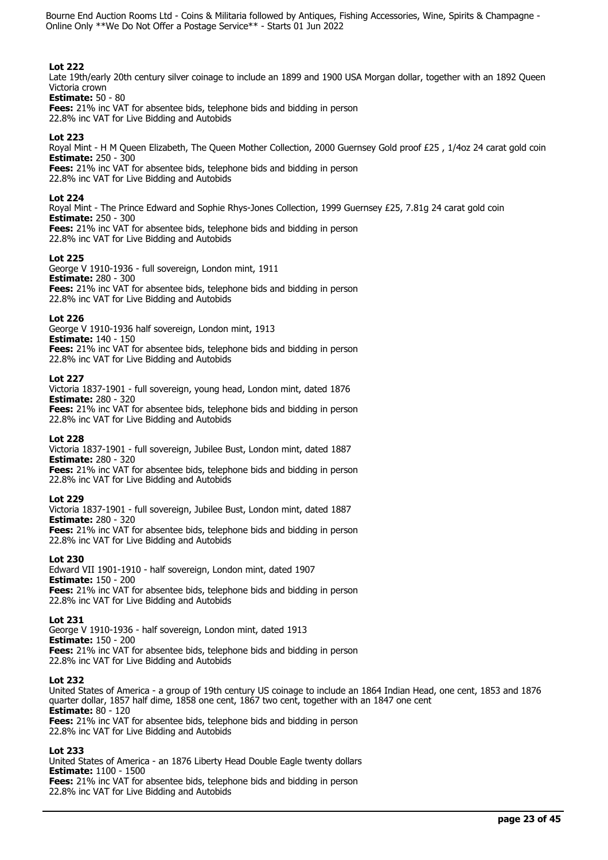# **Lot 222**

Late 19th/early 20th century silver coinage to include an 1899 and 1900 USA Morgan dollar, together with an 1892 Oueen Victoria crown

**Estimate:** 50 - 80 **Fees:** 21% inc VAT for absentee bids, telephone bids and bidding in person 22.8% inc VAT for Live Bidding and Autobids

# **Lot 223**

Royal Mint - H M Queen Elizabeth, The Queen Mother Collection, 2000 Guernsey Gold proof £25 , 1/4oz 24 carat gold coin **Estimate:** 250 - 300 **Fees:** 21% inc VAT for absentee bids, telephone bids and bidding in person

22.8% inc VAT for Live Bidding and Autobids

## **Lot 224**

Royal Mint - The Prince Edward and Sophie Rhys-Jones Collection, 1999 Guernsey £25, 7.81g 24 carat gold coin **Estimate:** 250 - 300 **Fees:** 21% inc VAT for absentee bids, telephone bids and bidding in person 22.8% inc VAT for Live Bidding and Autobids

# **Lot 225**

George V 1910-1936 - full sovereign, London mint, 1911 **Estimate:** 280 - 300 **Fees:** 21% inc VAT for absentee bids, telephone bids and bidding in person 22.8% inc VAT for Live Bidding and Autobids

## **Lot 226**

George V 1910-1936 half sovereign, London mint, 1913 **Estimate:** 140 - 150 **Fees:** 21% inc VAT for absentee bids, telephone bids and bidding in person 22.8% inc VAT for Live Bidding and Autobids

## **Lot 227**

Victoria 1837-1901 - full sovereign, young head, London mint, dated 1876 **Estimate:** 280 - 320 **Fees:** 21% inc VAT for absentee bids, telephone bids and bidding in person 22.8% inc VAT for Live Bidding and Autobids

## **Lot 228**

Victoria 1837-1901 - full sovereign, Jubilee Bust, London mint, dated 1887 **Estimate:** 280 - 320

**Fees:** 21% inc VAT for absentee bids, telephone bids and bidding in person 22.8% inc VAT for Live Bidding and Autobids

## **Lot 229**

Victoria 1837-1901 - full sovereign, Jubilee Bust, London mint, dated 1887 **Estimate:** 280 - 320

**Fees:** 21% inc VAT for absentee bids, telephone bids and bidding in person 22.8% inc VAT for Live Bidding and Autobids

## **Lot 230**

Edward VII 1901-1910 - half sovereign, London mint, dated 1907 **Estimate:** 150 - 200 **Fees:** 21% inc VAT for absentee bids, telephone bids and bidding in person 22.8% inc VAT for Live Bidding and Autobids

## **Lot 231**

George V 1910-1936 - half sovereign, London mint, dated 1913 **Estimate:** 150 - 200 **Fees:** 21% inc VAT for absentee bids, telephone bids and bidding in person 22.8% inc VAT for Live Bidding and Autobids

## **Lot 232**

United States of America - a group of 19th century US coinage to include an 1864 Indian Head, one cent, 1853 and 1876 quarter dollar, 1857 half dime, 1858 one cent, 1867 two cent, together with an 1847 one cent **Estimate:** 80 - 120 **Fees:** 21% inc VAT for absentee bids, telephone bids and bidding in person 22.8% inc VAT for Live Bidding and Autobids

# **Lot 233**

United States of America - an 1876 Liberty Head Double Eagle twenty dollars **Estimate:** 1100 - 1500 **Fees:** 21% inc VAT for absentee bids, telephone bids and bidding in person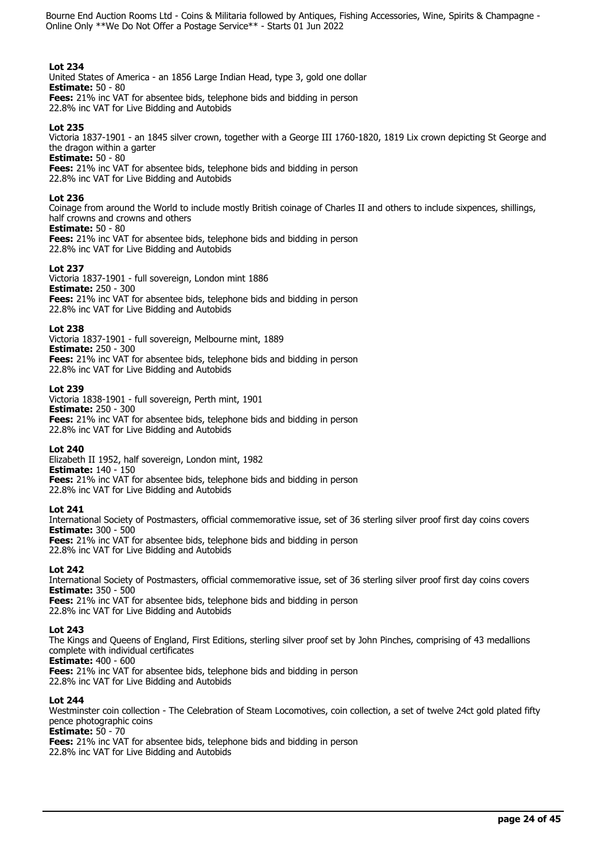## **Lot 234**

United States of America - an 1856 Large Indian Head, type 3, gold one dollar **Estimate:** 50 - 80 **Fees:** 21% inc VAT for absentee bids, telephone bids and bidding in person 22.8% inc VAT for Live Bidding and Autobids

## **Lot 235**

Victoria 1837-1901 - an 1845 silver crown, together with a George III 1760-1820, 1819 Lix crown depicting St George and the dragon within a garter

**Estimate:** 50 - 80

**Fees:** 21% inc VAT for absentee bids, telephone bids and bidding in person 22.8% inc VAT for Live Bidding and Autobids

## **Lot 236**

Coinage from around the World to include mostly British coinage of Charles II and others to include sixpences, shillings, half crowns and crowns and others **Estimate:** 50 - 80

**Fees:** 21% inc VAT for absentee bids, telephone bids and bidding in person 22.8% inc VAT for Live Bidding and Autobids

## **Lot 237**

Victoria 1837-1901 - full sovereign, London mint 1886 **Estimate:** 250 - 300 **Fees:** 21% inc VAT for absentee bids, telephone bids and bidding in person 22.8% inc VAT for Live Bidding and Autobids

## **Lot 238**

Victoria 1837-1901 - full sovereign, Melbourne mint, 1889 **Estimate:** 250 - 300 **Fees:** 21% inc VAT for absentee bids, telephone bids and bidding in person 22.8% inc VAT for Live Bidding and Autobids

## **Lot 239**

Victoria 1838-1901 - full sovereign, Perth mint, 1901 **Estimate:** 250 - 300 **Fees:** 21% inc VAT for absentee bids, telephone bids and bidding in person 22.8% inc VAT for Live Bidding and Autobids

## **Lot 240**

Elizabeth II 1952, half sovereign, London mint, 1982 **Estimate:** 140 - 150 **Fees:** 21% inc VAT for absentee bids, telephone bids and bidding in person 22.8% inc VAT for Live Bidding and Autobids

# **Lot 241**

International Society of Postmasters, official commemorative issue, set of 36 sterling silver proof first day coins covers **Estimate:** 300 - 500 **Fees:** 21% inc VAT for absentee bids, telephone bids and bidding in person 22.8% inc VAT for Live Bidding and Autobids

# **Lot 242**

International Society of Postmasters, official commemorative issue, set of 36 sterling silver proof first day coins covers **Estimate:** 350 - 500 **Fees:** 21% inc VAT for absentee bids, telephone bids and bidding in person

22.8% inc VAT for Live Bidding and Autobids

## **Lot 243**

The Kings and Queens of England, First Editions, sterling silver proof set by John Pinches, comprising of 43 medallions complete with individual certificates

**Estimate:** 400 - 600

**Fees:** 21% inc VAT for absentee bids, telephone bids and bidding in person 22.8% inc VAT for Live Bidding and Autobids

# **Lot 244**

Westminster coin collection - The Celebration of Steam Locomotives, coin collection, a set of twelve 24ct gold plated fifty pence photographic coins

# **Estimate:** 50 - 70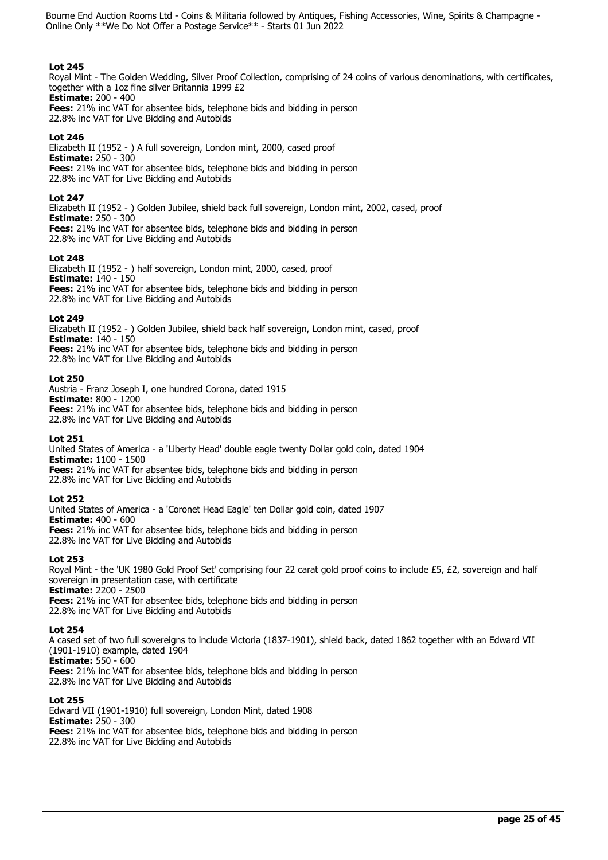# **Lot 245**

Royal Mint - The Golden Wedding, Silver Proof Collection, comprising of 24 coins of various denominations, with certificates, together with a 1oz fine silver Britannia 1999 £2 **Estimate:** 200 - 400

**Fees:** 21% inc VAT for absentee bids, telephone bids and bidding in person 22.8% inc VAT for Live Bidding and Autobids

## **Lot 246**

Elizabeth II (1952 - ) A full sovereign, London mint, 2000, cased proof **Estimate:** 250 - 300 **Fees:** 21% inc VAT for absentee bids, telephone bids and bidding in person 22.8% inc VAT for Live Bidding and Autobids

## **Lot 247**

Elizabeth II (1952 - ) Golden Jubilee, shield back full sovereign, London mint, 2002, cased, proof **Estimate:** 250 - 300 **Fees:** 21% inc VAT for absentee bids, telephone bids and bidding in person 22.8% inc VAT for Live Bidding and Autobids

## **Lot 248**

Elizabeth II (1952 - ) half sovereign, London mint, 2000, cased, proof **Estimate:** 140 - 150 **Fees:** 21% inc VAT for absentee bids, telephone bids and bidding in person 22.8% inc VAT for Live Bidding and Autobids

## **Lot 249**

Elizabeth II (1952 - ) Golden Jubilee, shield back half sovereign, London mint, cased, proof **Estimate:** 140 - 150 **Fees:** 21% inc VAT for absentee bids, telephone bids and bidding in person 22.8% inc VAT for Live Bidding and Autobids

## **Lot 250**

Austria - Franz Joseph I, one hundred Corona, dated 1915 **Estimate:** 800 - 1200 **Fees:** 21% inc VAT for absentee bids, telephone bids and bidding in person 22.8% inc VAT for Live Bidding and Autobids

## **Lot 251**

United States of America - a 'Liberty Head' double eagle twenty Dollar gold coin, dated 1904 **Estimate:** 1100 - 1500 **Fees:** 21% inc VAT for absentee bids, telephone bids and bidding in person 22.8% inc VAT for Live Bidding and Autobids

## **Lot 252**

United States of America - a 'Coronet Head Eagle' ten Dollar gold coin, dated 1907 **Estimate:** 400 - 600 **Fees:** 21% inc VAT for absentee bids, telephone bids and bidding in person 22.8% inc VAT for Live Bidding and Autobids

## **Lot 253**

Royal Mint - the 'UK 1980 Gold Proof Set' comprising four 22 carat gold proof coins to include £5, £2, sovereign and half sovereign in presentation case, with certificate **Estimate:** 2200 - 2500

**Fees:** 21% inc VAT for absentee bids, telephone bids and bidding in person 22.8% inc VAT for Live Bidding and Autobids

## **Lot 254**

A cased set of two full sovereigns to include Victoria (1837-1901), shield back, dated 1862 together with an Edward VII (1901-1910) example, dated 1904 **Estimate:** 550 - 600

**Fees:** 21% inc VAT for absentee bids, telephone bids and bidding in person 22.8% inc VAT for Live Bidding and Autobids

## **Lot 255**

Edward VII (1901-1910) full sovereign, London Mint, dated 1908 **Estimate:** 250 - 300 **Fees:** 21% inc VAT for absentee bids, telephone bids and bidding in person 22.8% inc VAT for Live Bidding and Autobids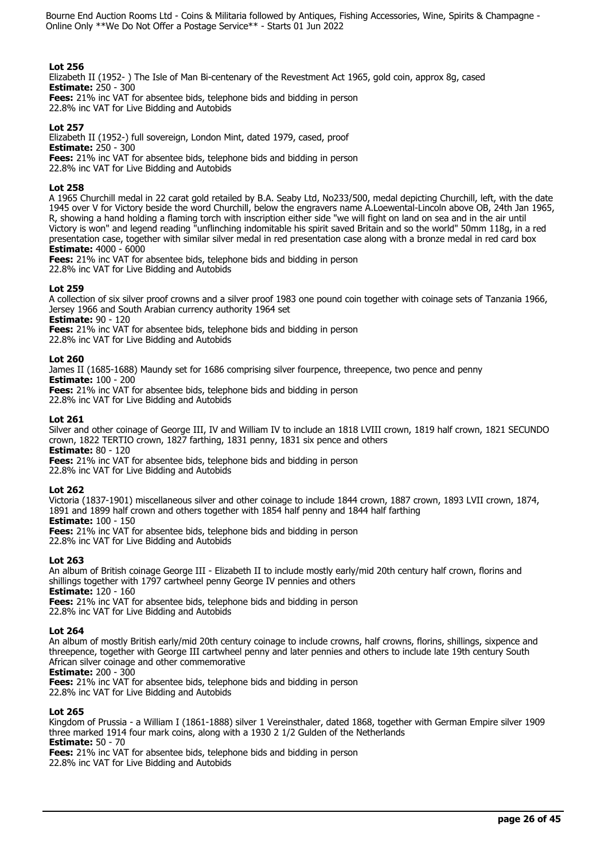## **Lot 256**

Elizabeth II (1952- ) The Isle of Man Bi-centenary of the Revestment Act 1965, gold coin, approx 8g, cased **Estimate:** 250 - 300

**Fees:** 21% inc VAT for absentee bids, telephone bids and bidding in person 22.8% inc VAT for Live Bidding and Autobids

# **Lot 257**

Elizabeth II (1952-) full sovereign, London Mint, dated 1979, cased, proof **Estimate:** 250 - 300 **Fees:** 21% inc VAT for absentee bids, telephone bids and bidding in person 22.8% inc VAT for Live Bidding and Autobids

## **Lot 258**

A 1965 Churchill medal in 22 carat gold retailed by B.A. Seaby Ltd, No233/500, medal depicting Churchill, left, with the date 1945 over V for Victory beside the word Churchill, below the engravers name A.Loewental-Lincoln above OB, 24th Jan 1965, R, showing a hand holding a flaming torch with inscription either side "we will fight on land on sea and in the air until Victory is won" and legend reading "unflinching indomitable his spirit saved Britain and so the world" 50mm 118g, in a red presentation case, together with similar silver medal in red presentation case along with a bronze medal in red card box **Estimate:** 4000 - 6000

**Fees:** 21% inc VAT for absentee bids, telephone bids and bidding in person 22.8% inc VAT for Live Bidding and Autobids

## **Lot 259**

A collection of six silver proof crowns and a silver proof 1983 one pound coin together with coinage sets of Tanzania 1966, Jersey 1966 and South Arabian currency authority 1964 set

**Estimate:** 90 - 120

**Fees:** 21% inc VAT for absentee bids, telephone bids and bidding in person

22.8% inc VAT for Live Bidding and Autobids

## **Lot 260**

James II (1685-1688) Maundy set for 1686 comprising silver fourpence, threepence, two pence and penny **Estimate:** 100 - 200

**Fees:** 21% inc VAT for absentee bids, telephone bids and bidding in person 22.8% inc VAT for Live Bidding and Autobids

## **Lot 261**

Silver and other coinage of George III, IV and William IV to include an 1818 LVIII crown, 1819 half crown, 1821 SECUNDO crown, 1822 TERTIO crown, 1827 farthing, 1831 penny, 1831 six pence and others **Estimate:** 80 - 120

**Fees:** 21% inc VAT for absentee bids, telephone bids and bidding in person 22.8% inc VAT for Live Bidding and Autobids

# **Lot 262**

Victoria (1837-1901) miscellaneous silver and other coinage to include 1844 crown, 1887 crown, 1893 LVII crown, 1874, 1891 and 1899 half crown and others together with 1854 half penny and 1844 half farthing

**Estimate:** 100 - 150

**Fees:** 21% inc VAT for absentee bids, telephone bids and bidding in person 22.8% inc VAT for Live Bidding and Autobids

# **Lot 263**

An album of British coinage George III - Elizabeth II to include mostly early/mid 20th century half crown, florins and shillings together with 1797 cartwheel penny George IV pennies and others

**Estimate:** 120 - 160

**Fees:** 21% inc VAT for absentee bids, telephone bids and bidding in person 22.8% inc VAT for Live Bidding and Autobids

# **Lot 264**

An album of mostly British early/mid 20th century coinage to include crowns, half crowns, florins, shillings, sixpence and threepence, together with George III cartwheel penny and later pennies and others to include late 19th century South African silver coinage and other commemorative

**Estimate:** 200 - 300

**Fees:** 21% inc VAT for absentee bids, telephone bids and bidding in person

22.8% inc VAT for Live Bidding and Autobids

# **Lot 265**

Kingdom of Prussia - a William I (1861-1888) silver 1 Vereinsthaler, dated 1868, together with German Empire silver 1909 three marked 1914 four mark coins, along with a 1930 2 1/2 Gulden of the Netherlands **Estimate:** 50 - 70

**Fees:** 21% inc VAT for absentee bids, telephone bids and bidding in person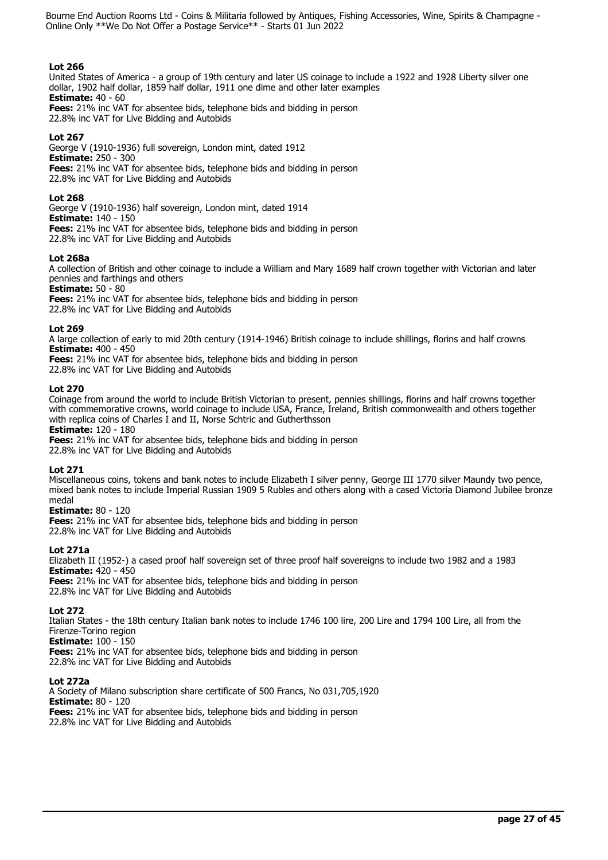## **Lot 266**

United States of America - a group of 19th century and later US coinage to include a 1922 and 1928 Liberty silver one dollar, 1902 half dollar, 1859 half dollar, 1911 one dime and other later examples **Estimate:** 40 - 60 **Fees:** 21% inc VAT for absentee bids, telephone bids and bidding in person 22.8% inc VAT for Live Bidding and Autobids

## **Lot 267**

George V (1910-1936) full sovereign, London mint, dated 1912 **Estimate:** 250 - 300 **Fees:** 21% inc VAT for absentee bids, telephone bids and bidding in person 22.8% inc VAT for Live Bidding and Autobids

## **Lot 268**

George V (1910-1936) half sovereign, London mint, dated 1914 **Estimate:** 140 - 150 **Fees:** 21% inc VAT for absentee bids, telephone bids and bidding in person 22.8% inc VAT for Live Bidding and Autobids

## **Lot 268a**

A collection of British and other coinage to include a William and Mary 1689 half crown together with Victorian and later pennies and farthings and others

**Estimate:** 50 - 80

**Fees:** 21% inc VAT for absentee bids, telephone bids and bidding in person 22.8% inc VAT for Live Bidding and Autobids

## **Lot 269**

A large collection of early to mid 20th century (1914-1946) British coinage to include shillings, florins and half crowns **Estimate:** 400 - 450

**Fees:** 21% inc VAT for absentee bids, telephone bids and bidding in person

22.8% inc VAT for Live Bidding and Autobids

## **Lot 270**

Coinage from around the world to include British Victorian to present, pennies shillings, florins and half crowns together with commemorative crowns, world coinage to include USA, France, Ireland, British commonwealth and others together with replica coins of Charles I and II, Norse Schtric and Gutherthsson

**Estimate:** 120 - 180

**Fees:** 21% inc VAT for absentee bids, telephone bids and bidding in person 22.8% inc VAT for Live Bidding and Autobids

# **Lot 271**

Miscellaneous coins, tokens and bank notes to include Elizabeth I silver penny, George III 1770 silver Maundy two pence, mixed bank notes to include Imperial Russian 1909 5 Rubles and others along with a cased Victoria Diamond Jubilee bronze medal

## **Estimate:** 80 - 120

**Fees:** 21% inc VAT for absentee bids, telephone bids and bidding in person 22.8% inc VAT for Live Bidding and Autobids

# **Lot 271a**

Elizabeth II (1952-) a cased proof half sovereign set of three proof half sovereigns to include two 1982 and a 1983 **Estimate:** 420 - 450 **Fees:** 21% inc VAT for absentee bids, telephone bids and bidding in person

22.8% inc VAT for Live Bidding and Autobids

# **Lot 272**

Italian States - the 18th century Italian bank notes to include 1746 100 lire, 200 Lire and 1794 100 Lire, all from the Firenze-Torino region

**Estimate:** 100 - 150

**Fees:** 21% inc VAT for absentee bids, telephone bids and bidding in person 22.8% inc VAT for Live Bidding and Autobids

# **Lot 272a**

A Society of Milano subscription share certificate of 500 Francs, No 031,705,1920 **Estimate:** 80 - 120 **Fees:** 21% inc VAT for absentee bids, telephone bids and bidding in person 22.8% inc VAT for Live Bidding and Autobids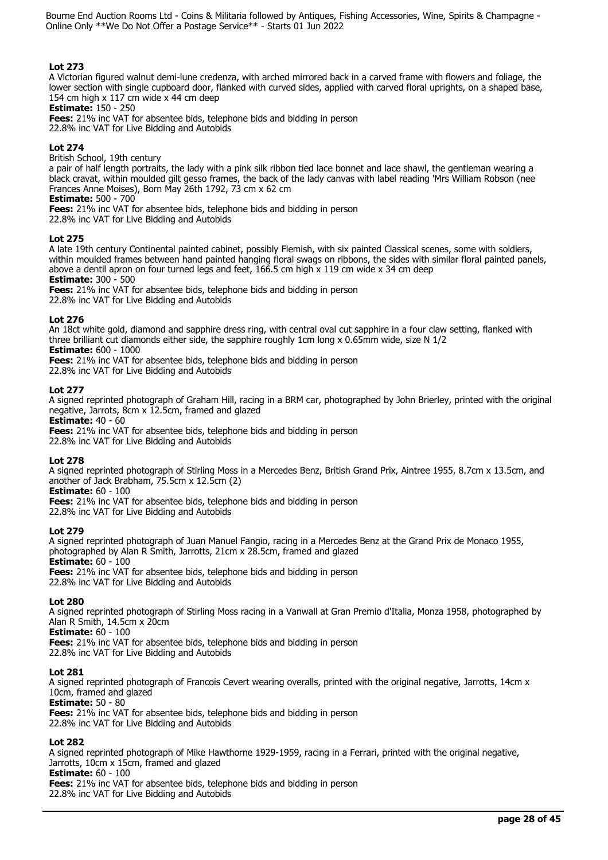# **Lot 273**

A Victorian figured walnut demi-lune credenza, with arched mirrored back in a carved frame with flowers and foliage, the lower section with single cupboard door, flanked with curved sides, applied with carved floral uprights, on a shaped base, 154 cm high x 117 cm wide x 44 cm deep

**Estimate:** 150 - 250

**Fees:** 21% inc VAT for absentee bids, telephone bids and bidding in person 22.8% inc VAT for Live Bidding and Autobids

# **Lot 274**

British School, 19th century

a pair of half length portraits, the lady with a pink silk ribbon tied lace bonnet and lace shawl, the gentleman wearing a black cravat, within moulded gilt gesso frames, the back of the lady canvas with label reading 'Mrs William Robson (nee Frances Anne Moises), Born May 26th 1792, 73 cm x 62 cm

**Estimate:** 500 - 700

**Fees:** 21% inc VAT for absentee bids, telephone bids and bidding in person 22.8% inc VAT for Live Bidding and Autobids

# **Lot 275**

A late 19th century Continental painted cabinet, possibly Flemish, with six painted Classical scenes, some with soldiers, within moulded frames between hand painted hanging floral swags on ribbons, the sides with similar floral painted panels, above a dentil apron on four turned legs and feet,  $166.5$  cm high x 119 cm wide x 34 cm deep

**Estimate:** 300 - 500

**Fees:** 21% inc VAT for absentee bids, telephone bids and bidding in person

22.8% inc VAT for Live Bidding and Autobids

# **Lot 276**

An 18ct white gold, diamond and sapphire dress ring, with central oval cut sapphire in a four claw setting, flanked with three brilliant cut diamonds either side, the sapphire roughly 1cm long x 0.65mm wide, size N 1/2

# **Estimate:** 600 - 1000

**Fees:** 21% inc VAT for absentee bids, telephone bids and bidding in person

22.8% inc VAT for Live Bidding and Autobids

# **Lot 277**

A signed reprinted photograph of Graham Hill, racing in a BRM car, photographed by John Brierley, printed with the original negative, Jarrots, 8cm x 12.5cm, framed and glazed

**Estimate:** 40 - 60

**Fees:** 21% inc VAT for absentee bids, telephone bids and bidding in person 22.8% inc VAT for Live Bidding and Autobids

# **Lot 278**

A signed reprinted photograph of Stirling Moss in a Mercedes Benz, British Grand Prix, Aintree 1955, 8.7cm x 13.5cm, and another of Jack Brabham, 75.5cm x 12.5cm (2)

# **Estimate:** 60 - 100

**Fees:** 21% inc VAT for absentee bids, telephone bids and bidding in person

22.8% inc VAT for Live Bidding and Autobids

# **Lot 279**

A signed reprinted photograph of Juan Manuel Fangio, racing in a Mercedes Benz at the Grand Prix de Monaco 1955, photographed by Alan R Smith, Jarrotts, 21cm x 28.5cm, framed and glazed **Estimate:** 60 - 100 **Fees:** 21% inc VAT for absentee bids, telephone bids and bidding in person

22.8% inc VAT for Live Bidding and Autobids

# **Lot 280**

A signed reprinted photograph of Stirling Moss racing in a Vanwall at Gran Premio d'Italia, Monza 1958, photographed by Alan R Smith, 14.5cm x 20cm

**Estimate:** 60 - 100

**Fees:** 21% inc VAT for absentee bids, telephone bids and bidding in person

22.8% inc VAT for Live Bidding and Autobids

# **Lot 281**

A signed reprinted photograph of Francois Cevert wearing overalls, printed with the original negative, Jarrotts, 14cm x 10cm, framed and glazed

**Estimate:** 50 - 80

**Fees:** 21% inc VAT for absentee bids, telephone bids and bidding in person 22.8% inc VAT for Live Bidding and Autobids

# **Lot 282**

A signed reprinted photograph of Mike Hawthorne 1929-1959, racing in a Ferrari, printed with the original negative, Jarrotts, 10cm x 15cm, framed and glazed **Estimate:** 60 - 100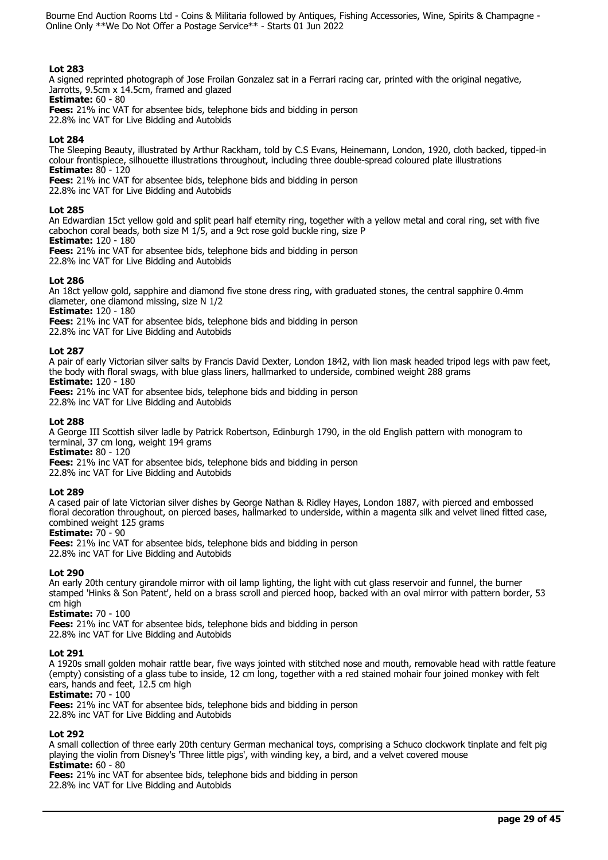# **Lot 283**

A signed reprinted photograph of Jose Froilan Gonzalez sat in a Ferrari racing car, printed with the original negative, Jarrotts, 9.5cm x 14.5cm, framed and glazed

**Estimate:** 60 - 80

**Fees:** 21% inc VAT for absentee bids, telephone bids and bidding in person

22.8% inc VAT for Live Bidding and Autobids

# **Lot 284**

The Sleeping Beauty, illustrated by Arthur Rackham, told by C.S Evans, Heinemann, London, 1920, cloth backed, tipped-in colour frontispiece, silhouette illustrations throughout, including three double-spread coloured plate illustrations **Estimate:** 80 - 120

**Fees:** 21% inc VAT for absentee bids, telephone bids and bidding in person

22.8% inc VAT for Live Bidding and Autobids

# **Lot 285**

An Edwardian 15ct yellow gold and split pearl half eternity ring, together with a yellow metal and coral ring, set with five cabochon coral beads, both size M 1/5, and a 9ct rose gold buckle ring, size P

**Estimate:** 120 - 180

**Fees:** 21% inc VAT for absentee bids, telephone bids and bidding in person

22.8% inc VAT for Live Bidding and Autobids

# **Lot 286**

An 18ct yellow gold, sapphire and diamond five stone dress ring, with graduated stones, the central sapphire 0.4mm diameter, one diamond missing, size N 1/2

**Estimate:** 120 - 180

**Fees:** 21% inc VAT for absentee bids, telephone bids and bidding in person

22.8% inc VAT for Live Bidding and Autobids

# **Lot 287**

A pair of early Victorian silver salts by Francis David Dexter, London 1842, with lion mask headed tripod legs with paw feet, the body with floral swags, with blue glass liners, hallmarked to underside, combined weight 288 grams **Estimate:** 120 - 180

**Fees:** 21% inc VAT for absentee bids, telephone bids and bidding in person

22.8% inc VAT for Live Bidding and Autobids

# **Lot 288**

A George III Scottish silver ladle by Patrick Robertson, Edinburgh 1790, in the old English pattern with monogram to terminal, 37 cm long, weight 194 grams

**Estimate:** 80 - 120

**Fees:** 21% inc VAT for absentee bids, telephone bids and bidding in person

22.8% inc VAT for Live Bidding and Autobids

# **Lot 289**

A cased pair of late Victorian silver dishes by George Nathan & Ridley Hayes, London 1887, with pierced and embossed floral decoration throughout, on pierced bases, hallmarked to underside, within a magenta silk and velvet lined fitted case, combined weight 125 grams

# **Estimate:** 70 - 90

**Fees:** 21% inc VAT for absentee bids, telephone bids and bidding in person 22.8% inc VAT for Live Bidding and Autobids

# **Lot 290**

An early 20th century girandole mirror with oil lamp lighting, the light with cut glass reservoir and funnel, the burner stamped 'Hinks & Son Patent', held on a brass scroll and pierced hoop, backed with an oval mirror with pattern border, 53 cm high

# **Estimate:** 70 - 100

**Fees:** 21% inc VAT for absentee bids, telephone bids and bidding in person 22.8% inc VAT for Live Bidding and Autobids

# **Lot 291**

A 1920s small golden mohair rattle bear, five ways jointed with stitched nose and mouth, removable head with rattle feature (empty) consisting of a glass tube to inside, 12 cm long, together with a red stained mohair four joined monkey with felt ears, hands and feet, 12.5 cm high

**Estimate:** 70 - 100

**Fees:** 21% inc VAT for absentee bids, telephone bids and bidding in person 22.8% inc VAT for Live Bidding and Autobids

# **Lot 292**

A small collection of three early 20th century German mechanical toys, comprising a Schuco clockwork tinplate and felt pig playing the violin from Disney's 'Three little pigs', with winding key, a bird, and a velvet covered mouse **Estimate:** 60 - 80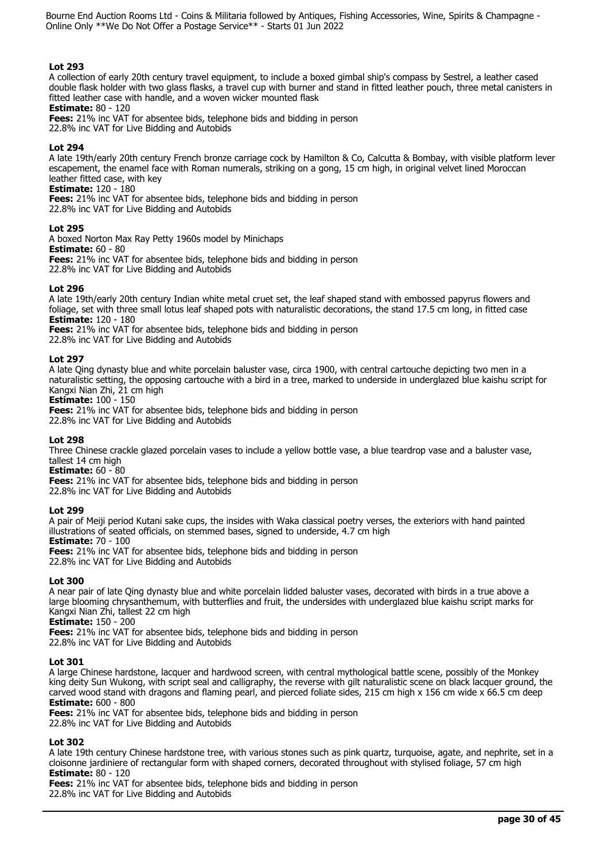# **Lot 293**

A collection of early 20th century travel equipment, to include a boxed gimbal ship's compass by Sestrel, a leather cased double flask holder with two glass flasks, a travel cup with burner and stand in fitted leather pouch, three metal canisters in fitted leather case with handle, and a woven wicker mounted flask

## **Estimate:** 80 - 120

**Fees:** 21% inc VAT for absentee bids, telephone bids and bidding in person 22.8% inc VAT for Live Bidding and Autobids

# **Lot 294**

A late 19th/early 20th century French bronze carriage cock by Hamilton & Co, Calcutta & Bombay, with visible platform lever escapement, the enamel face with Roman numerals, striking on a gong, 15 cm high, in original velvet lined Moroccan leather fitted case, with key

## **Estimate:** 120 - 180

**Fees:** 21% inc VAT for absentee bids, telephone bids and bidding in person

22.8% inc VAT for Live Bidding and Autobids

## **Lot 295**

A boxed Norton Max Ray Petty 1960s model by Minichaps **Estimate:** 60 - 80 **Fees:** 21% inc VAT for absentee bids, telephone bids and bidding in person 22.8% inc VAT for Live Bidding and Autobids

## **Lot 296**

A late 19th/early 20th century Indian white metal cruet set, the leaf shaped stand with embossed papyrus flowers and foliage, set with three small lotus leaf shaped pots with naturalistic decorations, the stand 17.5 cm long, in fitted case **Estimate:** 120 - 180

**Fees:** 21% inc VAT for absentee bids, telephone bids and bidding in person 22.8% inc VAT for Live Bidding and Autobids

## **Lot 297**

A late Qing dynasty blue and white porcelain baluster vase, circa 1900, with central cartouche depicting two men in a naturalistic setting, the opposing cartouche with a bird in a tree, marked to underside in underglazed blue kaishu script for Kangxi Nian Zhi, 21 cm high

**Estimate:** 100 - 150

**Fees:** 21% inc VAT for absentee bids, telephone bids and bidding in person

22.8% inc VAT for Live Bidding and Autobids

# **Lot 298**

Three Chinese crackle glazed porcelain vases to include a yellow bottle vase, a blue teardrop vase and a baluster vase, tallest 14 cm high

**Estimate:** 60 - 80

**Fees:** 21% inc VAT for absentee bids, telephone bids and bidding in person

22.8% inc VAT for Live Bidding and Autobids

# **Lot 299**

A pair of Meiji period Kutani sake cups, the insides with Waka classical poetry verses, the exteriors with hand painted illustrations of seated officials, on stemmed bases, signed to underside, 4.7 cm high

**Estimate:** 70 - 100

**Fees:** 21% inc VAT for absentee bids, telephone bids and bidding in person 22.8% inc VAT for Live Bidding and Autobids

## **Lot 300**

A near pair of late Qing dynasty blue and white porcelain lidded baluster vases, decorated with birds in a true above a large blooming chrysanthemum, with butterflies and fruit, the undersides with underglazed blue kaishu script marks for Kangxi Nian Zhi, tallest 22 cm high

**Estimate:** 150 - 200

**Fees:** 21% inc VAT for absentee bids, telephone bids and bidding in person 22.8% inc VAT for Live Bidding and Autobids

# **Lot 301**

A large Chinese hardstone, lacquer and hardwood screen, with central mythological battle scene, possibly of the Monkey king deity Sun Wukong, with script seal and calligraphy, the reverse with gilt naturalistic scene on black lacquer ground, the carved wood stand with dragons and flaming pearl, and pierced foliate sides, 215 cm high x 156 cm wide x 66.5 cm deep **Estimate:** 600 - 800

**Fees:** 21% inc VAT for absentee bids, telephone bids and bidding in person 22.8% inc VAT for Live Bidding and Autobids

# **Lot 302**

A late 19th century Chinese hardstone tree, with various stones such as pink quartz, turquoise, agate, and nephrite, set in a cloisonne jardiniere of rectangular form with shaped corners, decorated throughout with stylised foliage, 57 cm high **Estimate:** 80 - 120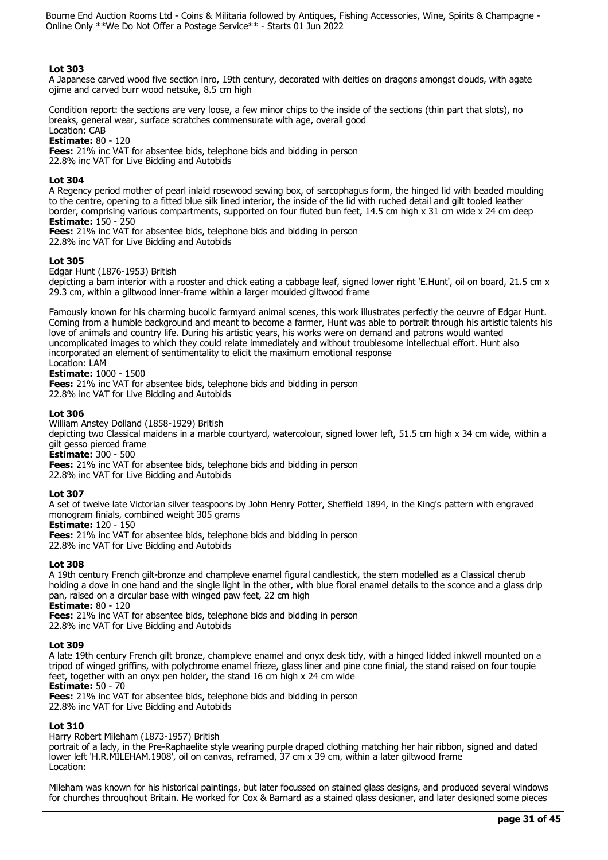# **Lot 303**

A Japanese carved wood five section inro, 19th century, decorated with deities on dragons amongst clouds, with agate ojime and carved burr wood netsuke, 8.5 cm high

Condition report: the sections are very loose, a few minor chips to the inside of the sections (thin part that slots), no breaks, general wear, surface scratches commensurate with age, overall good

Location: CAB

**Estimate:** 80 - 120 **Fees:** 21% inc VAT for absentee bids, telephone bids and bidding in person 22.8% inc VAT for Live Bidding and Autobids

# **Lot 304**

A Regency period mother of pearl inlaid rosewood sewing box, of sarcophagus form, the hinged lid with beaded moulding to the centre, opening to a fitted blue silk lined interior, the inside of the lid with ruched detail and gilt tooled leather border, comprising various compartments, supported on four fluted bun feet, 14.5 cm high x 31 cm wide x 24 cm deep **Estimate:** 150 - 250

**Fees:** 21% inc VAT for absentee bids, telephone bids and bidding in person 22.8% inc VAT for Live Bidding and Autobids

## **Lot 305**

Edgar Hunt (1876-1953) British depicting a barn interior with a rooster and chick eating a cabbage leaf, signed lower right 'E.Hunt', oil on board, 21.5 cm x 29.3 cm, within a giltwood inner-frame within a larger moulded giltwood frame

Famously known for his charming bucolic farmyard animal scenes, this work illustrates perfectly the oeuvre of Edgar Hunt. Coming from a humble background and meant to become a farmer, Hunt was able to portrait through his artistic talents his love of animals and country life. During his artistic years, his works were on demand and patrons would wanted uncomplicated images to which they could relate immediately and without troublesome intellectual effort. Hunt also incorporated an element of sentimentality to elicit the maximum emotional response Location: LAM

**Estimate:** 1000 - 1500

**Fees:** 21% inc VAT for absentee bids, telephone bids and bidding in person 22.8% inc VAT for Live Bidding and Autobids

## **Lot 306**

William Anstey Dolland (1858-1929) British

depicting two Classical maidens in a marble courtyard, watercolour, signed lower left, 51.5 cm high x 34 cm wide, within a gilt gesso pierced frame

**Estimate:** 300 - 500

**Fees:** 21% inc VAT for absentee bids, telephone bids and bidding in person

22.8% inc VAT for Live Bidding and Autobids

## **Lot 307**

A set of twelve late Victorian silver teaspoons by John Henry Potter, Sheffield 1894, in the King's pattern with engraved monogram finials, combined weight 305 grams

**Estimate:** 120 - 150

**Fees:** 21% inc VAT for absentee bids, telephone bids and bidding in person

22.8% inc VAT for Live Bidding and Autobids

# **Lot 308**

A 19th century French gilt-bronze and champleve enamel figural candlestick, the stem modelled as a Classical cherub holding a dove in one hand and the single light in the other, with blue floral enamel details to the sconce and a glass drip pan, raised on a circular base with winged paw feet, 22 cm high **Estimate:** 80 - 120

**Fees:** 21% inc VAT for absentee bids, telephone bids and bidding in person 22.8% inc VAT for Live Bidding and Autobids

# **Lot 309**

A late 19th century French gilt bronze, champleve enamel and onyx desk tidy, with a hinged lidded inkwell mounted on a tripod of winged griffins, with polychrome enamel frieze, glass liner and pine cone finial, the stand raised on four toupie feet, together with an onyx pen holder, the stand 16 cm high x 24 cm wide

**Estimate:** 50 - 70

**Fees:** 21% inc VAT for absentee bids, telephone bids and bidding in person 22.8% inc VAT for Live Bidding and Autobids

# **Lot 310**

Harry Robert Mileham (1873-1957) British

portrait of a lady, in the Pre-Raphaelite style wearing purple draped clothing matching her hair ribbon, signed and dated lower left 'H.R.MILEHAM.1908', oil on canvas, reframed, 37 cm x 39 cm, within a later giltwood frame Location:

Mileham was known for his historical paintings, but later focussed on stained glass designs, and produced several windows for churches throughout Britain. He worked for Cox & Barnard as a stained glass designer, and later designed some pieces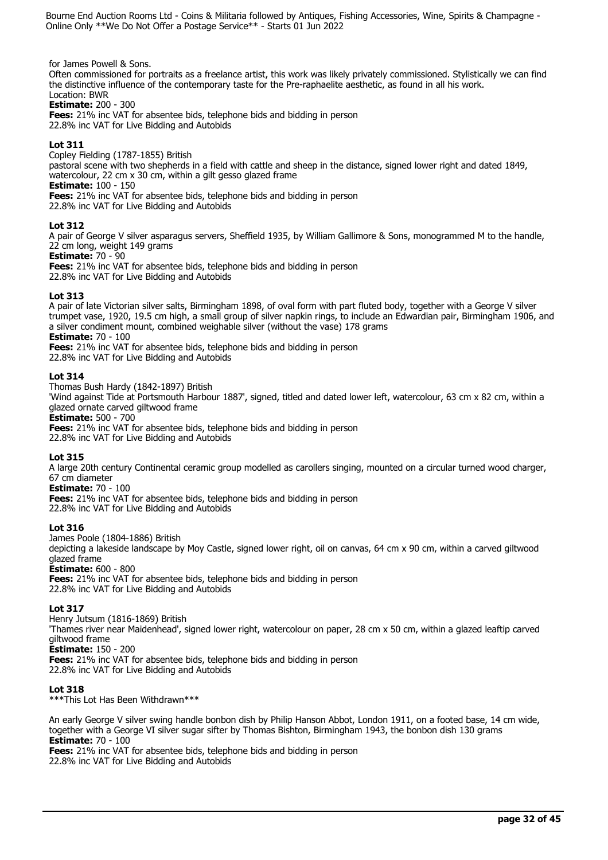for James Powell & Sons.

Often commissioned for portraits as a freelance artist, this work was likely privately commissioned. Stylistically we can find the distinctive influence of the contemporary taste for the Pre-raphaelite aesthetic, as found in all his work. Location: BWR

**Estimate:** 200 - 300

**Fees:** 21% inc VAT for absentee bids, telephone bids and bidding in person 22.8% inc VAT for Live Bidding and Autobids

# **Lot 311**

Copley Fielding (1787-1855) British

pastoral scene with two shepherds in a field with cattle and sheep in the distance, signed lower right and dated 1849, watercolour, 22 cm x 30 cm, within a gilt gesso glazed frame

**Estimate:** 100 - 150

**Fees:** 21% inc VAT for absentee bids, telephone bids and bidding in person

22.8% inc VAT for Live Bidding and Autobids

# **Lot 312**

A pair of George V silver asparagus servers, Sheffield 1935, by William Gallimore & Sons, monogrammed M to the handle, 22 cm long, weight 149 grams

**Estimate:** 70 - 90

**Fees:** 21% inc VAT for absentee bids, telephone bids and bidding in person 22.8% inc VAT for Live Bidding and Autobids

# **Lot 313**

A pair of late Victorian silver salts, Birmingham 1898, of oval form with part fluted body, together with a George V silver trumpet vase, 1920, 19.5 cm high, a small group of silver napkin rings, to include an Edwardian pair, Birmingham 1906, and a silver condiment mount, combined weighable silver (without the vase) 178 grams **Estimate:** 70 - 100

**Fees:** 21% inc VAT for absentee bids, telephone bids and bidding in person 22.8% inc VAT for Live Bidding and Autobids

# **Lot 314**

Thomas Bush Hardy (1842-1897) British 'Wind against Tide at Portsmouth Harbour 1887', signed, titled and dated lower left, watercolour, 63 cm x 82 cm, within a glazed ornate carved giltwood frame **Estimate:** 500 - 700 **Fees:** 21% inc VAT for absentee bids, telephone bids and bidding in person

22.8% inc VAT for Live Bidding and Autobids

# **Lot 315**

A large 20th century Continental ceramic group modelled as carollers singing, mounted on a circular turned wood charger, 67 cm diameter

# **Estimate:** 70 - 100

**Fees:** 21% inc VAT for absentee bids, telephone bids and bidding in person 22.8% inc VAT for Live Bidding and Autobids

# **Lot 316**

James Poole (1804-1886) British

depicting a lakeside landscape by Moy Castle, signed lower right, oil on canvas, 64 cm x 90 cm, within a carved giltwood glazed frame

# **Estimate:** 600 - 800

**Fees:** 21% inc VAT for absentee bids, telephone bids and bidding in person 22.8% inc VAT for Live Bidding and Autobids

# **Lot 317**

Henry Jutsum (1816-1869) British 'Thames river near Maidenhead', signed lower right, watercolour on paper, 28 cm x 50 cm, within a glazed leaftip carved giltwood frame **Estimate:** 150 - 200 **Fees:** 21% inc VAT for absentee bids, telephone bids and bidding in person 22.8% inc VAT for Live Bidding and Autobids

# **Lot 318**

\*\*\*This Lot Has Been Withdrawn\*\*\*

An early George V silver swing handle bonbon dish by Philip Hanson Abbot, London 1911, on a footed base, 14 cm wide, together with a George VI silver sugar sifter by Thomas Bishton, Birmingham 1943, the bonbon dish 130 grams **Estimate:** 70 - 100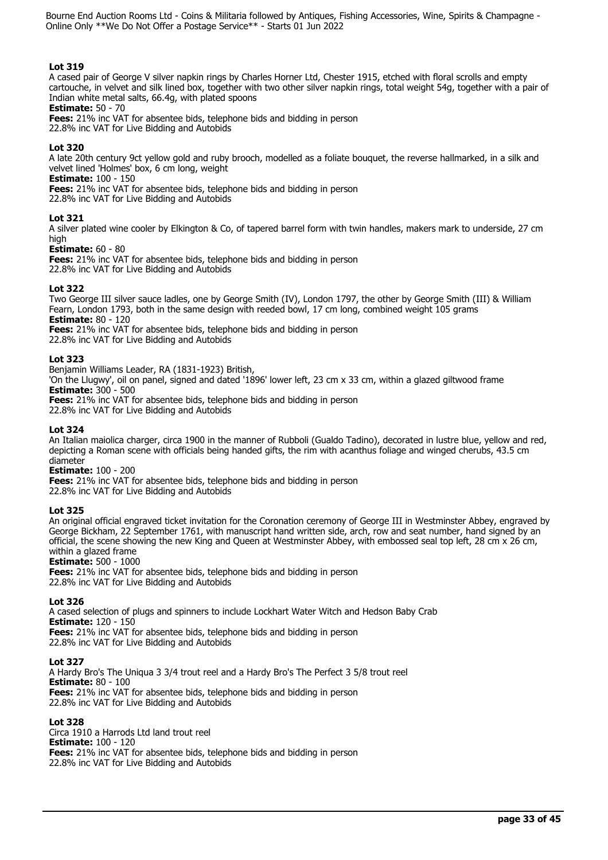## **Lot 319**

A cased pair of George V silver napkin rings by Charles Horner Ltd, Chester 1915, etched with floral scrolls and empty cartouche, in velvet and silk lined box, together with two other silver napkin rings, total weight 54g, together with a pair of Indian white metal salts, 66.4g, with plated spoons

## **Estimate:** 50 - 70

**Fees:** 21% inc VAT for absentee bids, telephone bids and bidding in person 22.8% inc VAT for Live Bidding and Autobids

## **Lot 320**

A late 20th century 9ct yellow gold and ruby brooch, modelled as a foliate bouquet, the reverse hallmarked, in a silk and velvet lined 'Holmes' box, 6 cm long, weight

**Estimate:** 100 - 150

**Fees:** 21% inc VAT for absentee bids, telephone bids and bidding in person

22.8% inc VAT for Live Bidding and Autobids

## **Lot 321**

A silver plated wine cooler by Elkington & Co, of tapered barrel form with twin handles, makers mark to underside, 27 cm high

## **Estimate:** 60 - 80

**Fees:** 21% inc VAT for absentee bids, telephone bids and bidding in person 22.8% inc VAT for Live Bidding and Autobids

## **Lot 322**

Two George III silver sauce ladles, one by George Smith (IV), London 1797, the other by George Smith (III) & William Fearn, London 1793, both in the same design with reeded bowl, 17 cm long, combined weight 105 grams **Estimate:** 80 - 120

**Fees:** 21% inc VAT for absentee bids, telephone bids and bidding in person 22.8% inc VAT for Live Bidding and Autobids

## **Lot 323**

Benjamin Williams Leader, RA (1831-1923) British,

'On the Llugwy', oil on panel, signed and dated '1896' lower left, 23 cm x 33 cm, within a glazed giltwood frame **Estimate:** 300 - 500

**Fees:** 21% inc VAT for absentee bids, telephone bids and bidding in person

22.8% inc VAT for Live Bidding and Autobids

# **Lot 324**

An Italian maiolica charger, circa 1900 in the manner of Rubboli (Gualdo Tadino), decorated in lustre blue, yellow and red, depicting a Roman scene with officials being handed gifts, the rim with acanthus foliage and winged cherubs, 43.5 cm diameter

## **Estimate:** 100 - 200

**Fees:** 21% inc VAT for absentee bids, telephone bids and bidding in person 22.8% inc VAT for Live Bidding and Autobids

## **Lot 325**

An original official engraved ticket invitation for the Coronation ceremony of George III in Westminster Abbey, engraved by George Bickham, 22 September 1761, with manuscript hand written side, arch, row and seat number, hand signed by an official, the scene showing the new King and Queen at Westminster Abbey, with embossed seal top left, 28 cm x 26 cm, within a glazed frame

## **Estimate:** 500 - 1000

**Fees:** 21% inc VAT for absentee bids, telephone bids and bidding in person 22.8% inc VAT for Live Bidding and Autobids

## **Lot 326**

A cased selection of plugs and spinners to include Lockhart Water Witch and Hedson Baby Crab **Estimate:** 120 - 150 **Fees:** 21% inc VAT for absentee bids, telephone bids and bidding in person 22.8% inc VAT for Live Bidding and Autobids

**Lot 327** 

A Hardy Bro's The Uniqua 3 3/4 trout reel and a Hardy Bro's The Perfect 3 5/8 trout reel **Estimate:** 80 - 100 **Fees:** 21% inc VAT for absentee bids, telephone bids and bidding in person 22.8% inc VAT for Live Bidding and Autobids

# **Lot 328**

Circa 1910 a Harrods Ltd land trout reel **Estimate:** 100 - 120 **Fees:** 21% inc VAT for absentee bids, telephone bids and bidding in person 22.8% inc VAT for Live Bidding and Autobids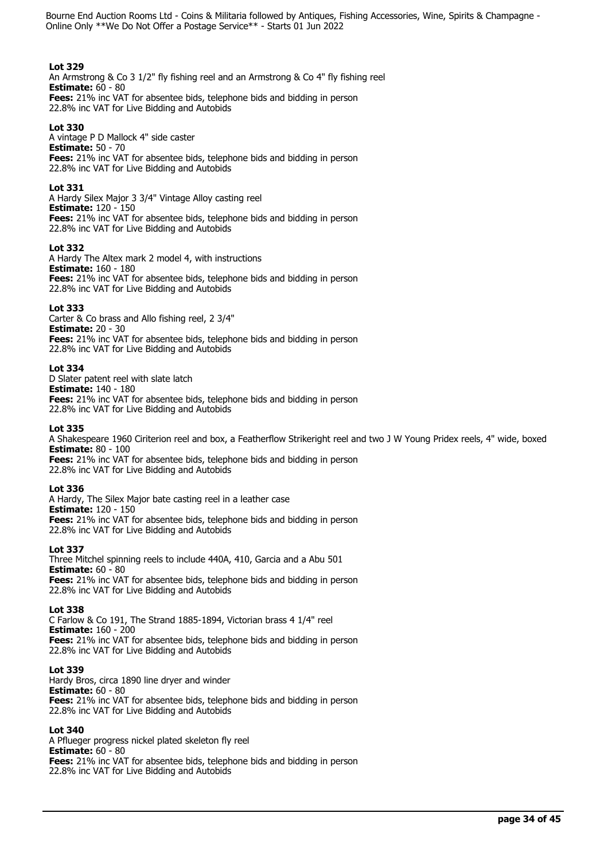## **Lot 329**

An Armstrong & Co 3 1/2" fly fishing reel and an Armstrong & Co 4" fly fishing reel **Estimate:** 60 - 80 **Fees:** 21% inc VAT for absentee bids, telephone bids and bidding in person

22.8% inc VAT for Live Bidding and Autobids

# **Lot 330**

A vintage P D Mallock 4" side caster **Estimate:** 50 - 70 **Fees:** 21% inc VAT for absentee bids, telephone bids and bidding in person 22.8% inc VAT for Live Bidding and Autobids

## **Lot 331**

A Hardy Silex Major 3 3/4" Vintage Alloy casting reel **Estimate:** 120 - 150 **Fees:** 21% inc VAT for absentee bids, telephone bids and bidding in person 22.8% inc VAT for Live Bidding and Autobids

## **Lot 332**

A Hardy The Altex mark 2 model 4, with instructions **Estimate:** 160 - 180 **Fees:** 21% inc VAT for absentee bids, telephone bids and bidding in person 22.8% inc VAT for Live Bidding and Autobids

## **Lot 333**

Carter & Co brass and Allo fishing reel, 2 3/4" **Estimate:** 20 - 30 **Fees:** 21% inc VAT for absentee bids, telephone bids and bidding in person 22.8% inc VAT for Live Bidding and Autobids

## **Lot 334**

D Slater patent reel with slate latch **Estimate:** 140 - 180 **Fees:** 21% inc VAT for absentee bids, telephone bids and bidding in person 22.8% inc VAT for Live Bidding and Autobids

## **Lot 335**

A Shakespeare 1960 Ciriterion reel and box, a Featherflow Strikeright reel and two J W Young Pridex reels, 4" wide, boxed **Estimate:** 80 - 100

**Fees:** 21% inc VAT for absentee bids, telephone bids and bidding in person 22.8% inc VAT for Live Bidding and Autobids

## **Lot 336**

A Hardy, The Silex Major bate casting reel in a leather case **Estimate:** 120 - 150 **Fees:** 21% inc VAT for absentee bids, telephone bids and bidding in person 22.8% inc VAT for Live Bidding and Autobids

# **Lot 337**

Three Mitchel spinning reels to include 440A, 410, Garcia and a Abu 501 **Estimate:** 60 - 80 **Fees:** 21% inc VAT for absentee bids, telephone bids and bidding in person 22.8% inc VAT for Live Bidding and Autobids

## **Lot 338**

C Farlow & Co 191, The Strand 1885-1894, Victorian brass 4 1/4" reel **Estimate:** 160 - 200 **Fees:** 21% inc VAT for absentee bids, telephone bids and bidding in person 22.8% inc VAT for Live Bidding and Autobids

## **Lot 339**

Hardy Bros, circa 1890 line dryer and winder **Estimate:** 60 - 80 **Fees:** 21% inc VAT for absentee bids, telephone bids and bidding in person 22.8% inc VAT for Live Bidding and Autobids

## **Lot 340**

A Pflueger progress nickel plated skeleton fly reel **Estimate:** 60 - 80 **Fees:** 21% inc VAT for absentee bids, telephone bids and bidding in person 22.8% inc VAT for Live Bidding and Autobids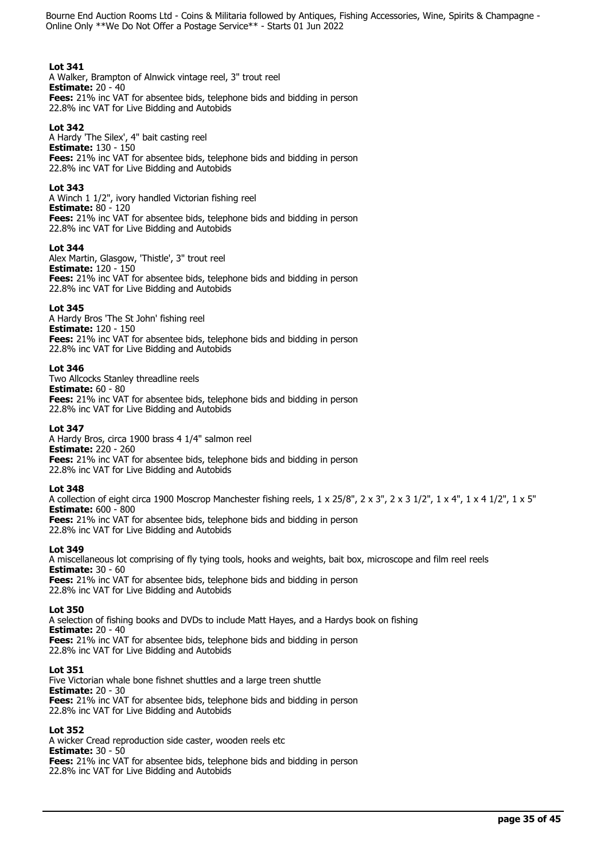## **Lot 341**

A Walker, Brampton of Alnwick vintage reel, 3" trout reel **Estimate:** 20 - 40 **Fees:** 21% inc VAT for absentee bids, telephone bids and bidding in person 22.8% inc VAT for Live Bidding and Autobids

# **Lot 342**

A Hardy 'The Silex', 4" bait casting reel **Estimate:** 130 - 150 **Fees:** 21% inc VAT for absentee bids, telephone bids and bidding in person 22.8% inc VAT for Live Bidding and Autobids

## **Lot 343**

A Winch 1 1/2", ivory handled Victorian fishing reel **Estimate:** 80 - 120 **Fees:** 21% inc VAT for absentee bids, telephone bids and bidding in person 22.8% inc VAT for Live Bidding and Autobids

## **Lot 344**

Alex Martin, Glasgow, 'Thistle', 3" trout reel **Estimate:** 120 - 150 **Fees:** 21% inc VAT for absentee bids, telephone bids and bidding in person 22.8% inc VAT for Live Bidding and Autobids

## **Lot 345**

A Hardy Bros 'The St John' fishing reel **Estimate:** 120 - 150 **Fees:** 21% inc VAT for absentee bids, telephone bids and bidding in person 22.8% inc VAT for Live Bidding and Autobids

## **Lot 346**

Two Allcocks Stanley threadline reels **Estimate:** 60 - 80 **Fees:** 21% inc VAT for absentee bids, telephone bids and bidding in person 22.8% inc VAT for Live Bidding and Autobids

## **Lot 347**

A Hardy Bros, circa 1900 brass 4 1/4" salmon reel **Estimate:** 220 - 260 **Fees:** 21% inc VAT for absentee bids, telephone bids and bidding in person 22.8% inc VAT for Live Bidding and Autobids

## **Lot 348**

A collection of eight circa 1900 Moscrop Manchester fishing reels, 1 x 25/8", 2 x 3", 2 x 3 1/2", 1 x 4", 1 x 4 1/2", 1 x 5" **Estimate:** 600 - 800 **Fees:** 21% inc VAT for absentee bids, telephone bids and bidding in person 22.8% inc VAT for Live Bidding and Autobids

## **Lot 349**

A miscellaneous lot comprising of fly tying tools, hooks and weights, bait box, microscope and film reel reels **Estimate:** 30 - 60 **Fees:** 21% inc VAT for absentee bids, telephone bids and bidding in person 22.8% inc VAT for Live Bidding and Autobids

## **Lot 350**

A selection of fishing books and DVDs to include Matt Hayes, and a Hardys book on fishing **Estimate:** 20 - 40 **Fees:** 21% inc VAT for absentee bids, telephone bids and bidding in person 22.8% inc VAT for Live Bidding and Autobids

## **Lot 351**

Five Victorian whale bone fishnet shuttles and a large treen shuttle **Estimate:** 20 - 30 **Fees:** 21% inc VAT for absentee bids, telephone bids and bidding in person 22.8% inc VAT for Live Bidding and Autobids

## **Lot 352**

A wicker Cread reproduction side caster, wooden reels etc **Estimate:** 30 - 50 **Fees:** 21% inc VAT for absentee bids, telephone bids and bidding in person 22.8% inc VAT for Live Bidding and Autobids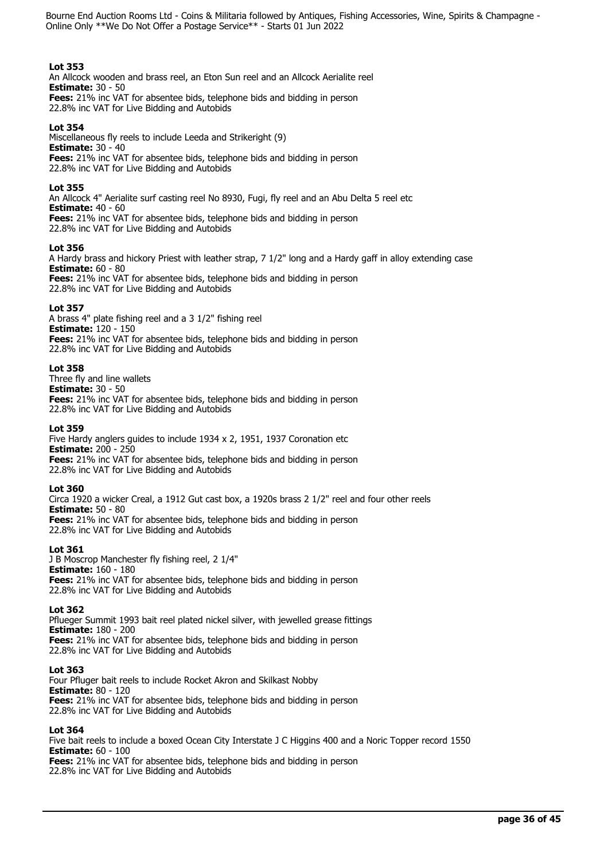## **Lot 353**

An Allcock wooden and brass reel, an Eton Sun reel and an Allcock Aerialite reel **Estimate:** 30 - 50 **Fees:** 21% inc VAT for absentee bids, telephone bids and bidding in person 22.8% inc VAT for Live Bidding and Autobids

## **Lot 354**

Miscellaneous fly reels to include Leeda and Strikeright (9) **Estimate:** 30 - 40 **Fees:** 21% inc VAT for absentee bids, telephone bids and bidding in person 22.8% inc VAT for Live Bidding and Autobids

## **Lot 355**

An Allcock 4" Aerialite surf casting reel No 8930, Fugi, fly reel and an Abu Delta 5 reel etc **Estimate:** 40 - 60 **Fees:** 21% inc VAT for absentee bids, telephone bids and bidding in person

22.8% inc VAT for Live Bidding and Autobids

## **Lot 356**

A Hardy brass and hickory Priest with leather strap, 7 1/2" long and a Hardy gaff in alloy extending case **Estimate:** 60 - 80

**Fees:** 21% inc VAT for absentee bids, telephone bids and bidding in person 22.8% inc VAT for Live Bidding and Autobids

## **Lot 357**

A brass 4" plate fishing reel and a 3 1/2" fishing reel **Estimate:** 120 - 150 **Fees:** 21% inc VAT for absentee bids, telephone bids and bidding in person 22.8% inc VAT for Live Bidding and Autobids

## **Lot 358**

Three fly and line wallets **Estimate:** 30 - 50 **Fees:** 21% inc VAT for absentee bids, telephone bids and bidding in person 22.8% inc VAT for Live Bidding and Autobids

## **Lot 359**

Five Hardy anglers guides to include 1934 x 2, 1951, 1937 Coronation etc **Estimate:** 200 - 250 **Fees:** 21% inc VAT for absentee bids, telephone bids and bidding in person 22.8% inc VAT for Live Bidding and Autobids

## **Lot 360**

Circa 1920 a wicker Creal, a 1912 Gut cast box, a 1920s brass 2 1/2" reel and four other reels **Estimate:** 50 - 80 **Fees:** 21% inc VAT for absentee bids, telephone bids and bidding in person 22.8% inc VAT for Live Bidding and Autobids

## **Lot 361**

J B Moscrop Manchester fly fishing reel, 2 1/4" **Estimate:** 160 - 180 **Fees:** 21% inc VAT for absentee bids, telephone bids and bidding in person 22.8% inc VAT for Live Bidding and Autobids

## **Lot 362**

Pflueger Summit 1993 bait reel plated nickel silver, with jewelled grease fittings **Estimate:** 180 - 200 **Fees:** 21% inc VAT for absentee bids, telephone bids and bidding in person 22.8% inc VAT for Live Bidding and Autobids

## **Lot 363**

Four Pfluger bait reels to include Rocket Akron and Skilkast Nobby **Estimate:** 80 - 120 **Fees:** 21% inc VAT for absentee bids, telephone bids and bidding in person 22.8% inc VAT for Live Bidding and Autobids

## **Lot 364**

Five bait reels to include a boxed Ocean City Interstate J C Higgins 400 and a Noric Topper record 1550 **Estimate:** 60 - 100 **Fees:** 21% inc VAT for absentee bids, telephone bids and bidding in person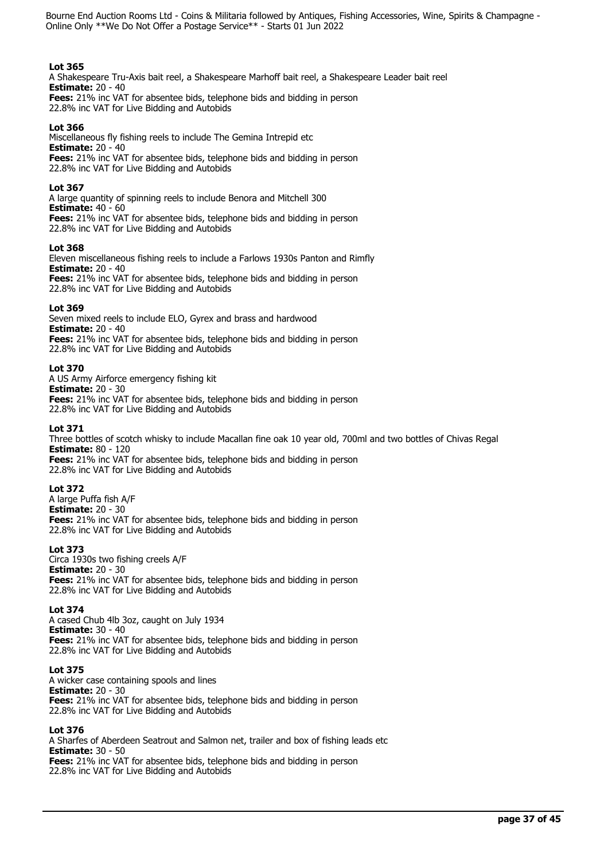## **Lot 365**

A Shakespeare Tru-Axis bait reel, a Shakespeare Marhoff bait reel, a Shakespeare Leader bait reel **Estimate:** 20 - 40

**Fees:** 21% inc VAT for absentee bids, telephone bids and bidding in person 22.8% inc VAT for Live Bidding and Autobids

# **Lot 366**

Miscellaneous fly fishing reels to include The Gemina Intrepid etc **Estimate:** 20 - 40 **Fees:** 21% inc VAT for absentee bids, telephone bids and bidding in person 22.8% inc VAT for Live Bidding and Autobids

## **Lot 367**

A large quantity of spinning reels to include Benora and Mitchell 300 **Estimate:** 40 - 60 **Fees:** 21% inc VAT for absentee bids, telephone bids and bidding in person 22.8% inc VAT for Live Bidding and Autobids

## **Lot 368**

Eleven miscellaneous fishing reels to include a Farlows 1930s Panton and Rimfly **Estimate:** 20 - 40

**Fees:** 21% inc VAT for absentee bids, telephone bids and bidding in person 22.8% inc VAT for Live Bidding and Autobids

## **Lot 369**

Seven mixed reels to include ELO, Gyrex and brass and hardwood **Estimate:** 20 - 40 **Fees:** 21% inc VAT for absentee bids, telephone bids and bidding in person 22.8% inc VAT for Live Bidding and Autobids

## **Lot 370**

A US Army Airforce emergency fishing kit **Estimate:** 20 - 30 **Fees:** 21% inc VAT for absentee bids, telephone bids and bidding in person 22.8% inc VAT for Live Bidding and Autobids

## **Lot 371**

Three bottles of scotch whisky to include Macallan fine oak 10 year old, 700ml and two bottles of Chivas Regal **Estimate:** 80 - 120 **Fees:** 21% inc VAT for absentee bids, telephone bids and bidding in person

22.8% inc VAT for Live Bidding and Autobids

## **Lot 372**

A large Puffa fish A/F **Estimate:** 20 - 30 **Fees:** 21% inc VAT for absentee bids, telephone bids and bidding in person 22.8% inc VAT for Live Bidding and Autobids

# **Lot 373**

Circa 1930s two fishing creels A/F **Estimate:** 20 - 30 **Fees:** 21% inc VAT for absentee bids, telephone bids and bidding in person 22.8% inc VAT for Live Bidding and Autobids

## **Lot 374**

A cased Chub 4lb 3oz, caught on July 1934 **Estimate:** 30 - 40 **Fees:** 21% inc VAT for absentee bids, telephone bids and bidding in person 22.8% inc VAT for Live Bidding and Autobids

## **Lot 375**

A wicker case containing spools and lines **Estimate:** 20 - 30 **Fees:** 21% inc VAT for absentee bids, telephone bids and bidding in person 22.8% inc VAT for Live Bidding and Autobids

## **Lot 376**

A Sharfes of Aberdeen Seatrout and Salmon net, trailer and box of fishing leads etc **Estimate:** 30 - 50 **Fees:** 21% inc VAT for absentee bids, telephone bids and bidding in person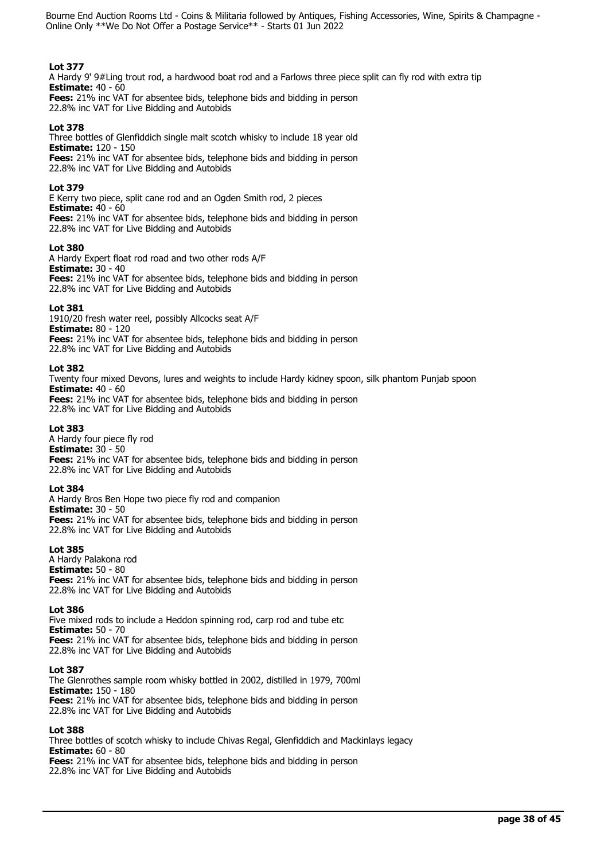# **Lot 377**

A Hardy 9' 9#Ling trout rod, a hardwood boat rod and a Farlows three piece split can fly rod with extra tip **Estimate:** 40 - 60

**Fees:** 21% inc VAT for absentee bids, telephone bids and bidding in person 22.8% inc VAT for Live Bidding and Autobids

## **Lot 378**

Three bottles of Glenfiddich single malt scotch whisky to include 18 year old **Estimate:** 120 - 150 **Fees:** 21% inc VAT for absentee bids, telephone bids and bidding in person 22.8% inc VAT for Live Bidding and Autobids

# **Lot 379**

E Kerry two piece, split cane rod and an Ogden Smith rod, 2 pieces **Estimate:** 40 - 60 **Fees:** 21% inc VAT for absentee bids, telephone bids and bidding in person

22.8% inc VAT for Live Bidding and Autobids

## **Lot 380**

A Hardy Expert float rod road and two other rods A/F **Estimate:** 30 - 40

**Fees:** 21% inc VAT for absentee bids, telephone bids and bidding in person 22.8% inc VAT for Live Bidding and Autobids

## **Lot 381**

1910/20 fresh water reel, possibly Allcocks seat A/F **Estimate:** 80 - 120 **Fees:** 21% inc VAT for absentee bids, telephone bids and bidding in person 22.8% inc VAT for Live Bidding and Autobids

## **Lot 382**

Twenty four mixed Devons, lures and weights to include Hardy kidney spoon, silk phantom Punjab spoon **Estimate:** 40 - 60 **Fees:** 21% inc VAT for absentee bids, telephone bids and bidding in person

22.8% inc VAT for Live Bidding and Autobids

## **Lot 383**

A Hardy four piece fly rod **Estimate:** 30 - 50 **Fees:** 21% inc VAT for absentee bids, telephone bids and bidding in person 22.8% inc VAT for Live Bidding and Autobids

## **Lot 384**

A Hardy Bros Ben Hope two piece fly rod and companion **Estimate:** 30 - 50 **Fees:** 21% inc VAT for absentee bids, telephone bids and bidding in person 22.8% inc VAT for Live Bidding and Autobids

## **Lot 385**

A Hardy Palakona rod **Estimate:** 50 - 80 **Fees:** 21% inc VAT for absentee bids, telephone bids and bidding in person 22.8% inc VAT for Live Bidding and Autobids

## **Lot 386**

Five mixed rods to include a Heddon spinning rod, carp rod and tube etc **Estimate:** 50 - 70 **Fees:** 21% inc VAT for absentee bids, telephone bids and bidding in person 22.8% inc VAT for Live Bidding and Autobids

## **Lot 387**

The Glenrothes sample room whisky bottled in 2002, distilled in 1979, 700ml **Estimate:** 150 - 180 **Fees:** 21% inc VAT for absentee bids, telephone bids and bidding in person 22.8% inc VAT for Live Bidding and Autobids

## **Lot 388**

Three bottles of scotch whisky to include Chivas Regal, Glenfiddich and Mackinlays legacy **Estimate:** 60 - 80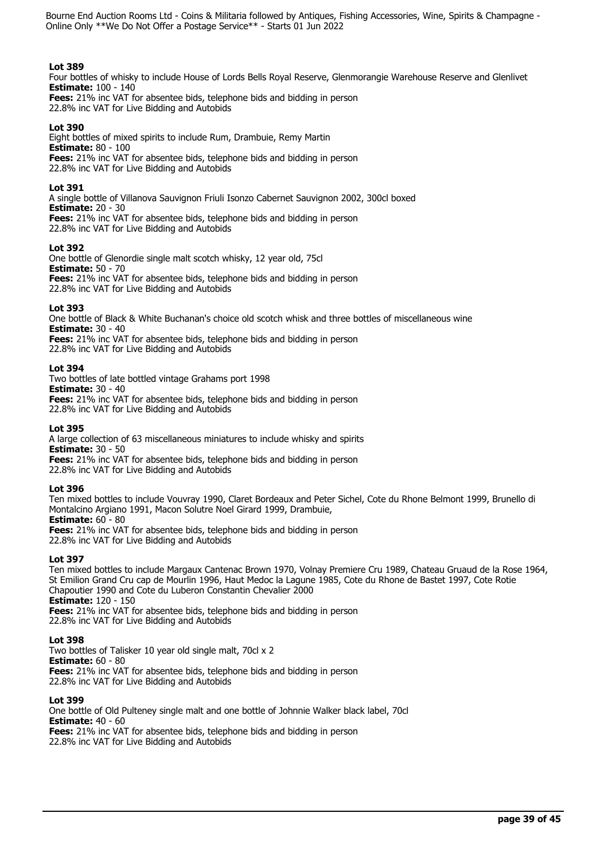## **Lot 389**

Four bottles of whisky to include House of Lords Bells Royal Reserve, Glenmorangie Warehouse Reserve and Glenlivet **Estimate:** 100 - 140

**Fees:** 21% inc VAT for absentee bids, telephone bids and bidding in person 22.8% inc VAT for Live Bidding and Autobids

## **Lot 390**

Eight bottles of mixed spirits to include Rum, Drambuie, Remy Martin **Estimate:** 80 - 100 **Fees:** 21% inc VAT for absentee bids, telephone bids and bidding in person 22.8% inc VAT for Live Bidding and Autobids

## **Lot 391**

A single bottle of Villanova Sauvignon Friuli Isonzo Cabernet Sauvignon 2002, 300cl boxed **Estimate:** 20 - 30 **Fees:** 21% inc VAT for absentee bids, telephone bids and bidding in person

22.8% inc VAT for Live Bidding and Autobids

## **Lot 392**

One bottle of Glenordie single malt scotch whisky, 12 year old, 75cl **Estimate:** 50 - 70 **Fees:** 21% inc VAT for absentee bids, telephone bids and bidding in person 22.8% inc VAT for Live Bidding and Autobids

## **Lot 393**

One bottle of Black & White Buchanan's choice old scotch whisk and three bottles of miscellaneous wine **Estimate:** 30 - 40

**Fees:** 21% inc VAT for absentee bids, telephone bids and bidding in person

22.8% inc VAT for Live Bidding and Autobids

## **Lot 394**

Two bottles of late bottled vintage Grahams port 1998

**Estimate:** 30 - 40 **Fees:** 21% inc VAT for absentee bids, telephone bids and bidding in person 22.8% inc VAT for Live Bidding and Autobids

## **Lot 395**

A large collection of 63 miscellaneous miniatures to include whisky and spirits **Estimate:** 30 - 50

**Fees:** 21% inc VAT for absentee bids, telephone bids and bidding in person 22.8% inc VAT for Live Bidding and Autobids

## **Lot 396**

Ten mixed bottles to include Vouvray 1990, Claret Bordeaux and Peter Sichel, Cote du Rhone Belmont 1999, Brunello di Montalcino Argiano 1991, Macon Solutre Noel Girard 1999, Drambuie, **Estimate:** 60 - 80

**Fees:** 21% inc VAT for absentee bids, telephone bids and bidding in person 22.8% inc VAT for Live Bidding and Autobids

# **Lot 397**

Ten mixed bottles to include Margaux Cantenac Brown 1970, Volnay Premiere Cru 1989, Chateau Gruaud de la Rose 1964, St Emilion Grand Cru cap de Mourlin 1996, Haut Medoc la Lagune 1985, Cote du Rhone de Bastet 1997, Cote Rotie Chapoutier 1990 and Cote du Luberon Constantin Chevalier 2000 **Estimate:** 120 - 150 **Fees:** 21% inc VAT for absentee bids, telephone bids and bidding in person 22.8% inc VAT for Live Bidding and Autobids

## **Lot 398**

Two bottles of Talisker 10 year old single malt, 70cl x 2 **Estimate:** 60 - 80 **Fees:** 21% inc VAT for absentee bids, telephone bids and bidding in person 22.8% inc VAT for Live Bidding and Autobids

## **Lot 399**

One bottle of Old Pulteney single malt and one bottle of Johnnie Walker black label, 70cl **Estimate:** 40 - 60 **Fees:** 21% inc VAT for absentee bids, telephone bids and bidding in person 22.8% inc VAT for Live Bidding and Autobids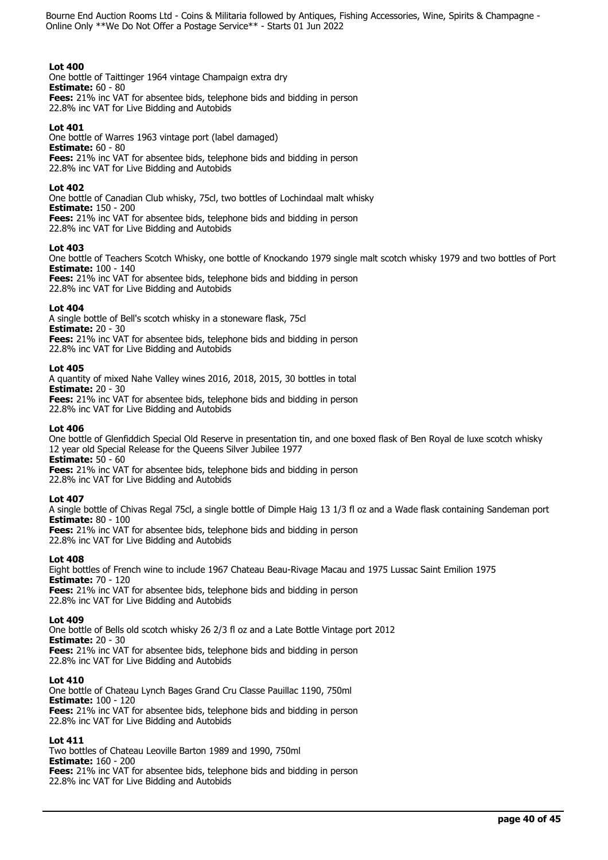# **Lot 400**

One bottle of Taittinger 1964 vintage Champaign extra dry **Estimate:** 60 - 80 **Fees:** 21% inc VAT for absentee bids, telephone bids and bidding in person 22.8% inc VAT for Live Bidding and Autobids

# **Lot 401**

One bottle of Warres 1963 vintage port (label damaged) **Estimate:** 60 - 80 **Fees:** 21% inc VAT for absentee bids, telephone bids and bidding in person 22.8% inc VAT for Live Bidding and Autobids

## **Lot 402**

One bottle of Canadian Club whisky, 75cl, two bottles of Lochindaal malt whisky **Estimate:** 150 - 200 **Fees:** 21% inc VAT for absentee bids, telephone bids and bidding in person 22.8% inc VAT for Live Bidding and Autobids

## **Lot 403**

One bottle of Teachers Scotch Whisky, one bottle of Knockando 1979 single malt scotch whisky 1979 and two bottles of Port **Estimate:** 100 - 140

**Fees:** 21% inc VAT for absentee bids, telephone bids and bidding in person 22.8% inc VAT for Live Bidding and Autobids

## **Lot 404**

A single bottle of Bell's scotch whisky in a stoneware flask, 75cl **Estimate:** 20 - 30 **Fees:** 21% inc VAT for absentee bids, telephone bids and bidding in person 22.8% inc VAT for Live Bidding and Autobids

## **Lot 405**

A quantity of mixed Nahe Valley wines 2016, 2018, 2015, 30 bottles in total **Estimate:** 20 - 30

**Fees:** 21% inc VAT for absentee bids, telephone bids and bidding in person 22.8% inc VAT for Live Bidding and Autobids

## **Lot 406**

One bottle of Glenfiddich Special Old Reserve in presentation tin, and one boxed flask of Ben Royal de luxe scotch whisky 12 year old Special Release for the Queens Silver Jubilee 1977 **Estimate:** 50 - 60

**Fees:** 21% inc VAT for absentee bids, telephone bids and bidding in person

22.8% inc VAT for Live Bidding and Autobids

# **Lot 407**

A single bottle of Chivas Regal 75cl, a single bottle of Dimple Haig 13 1/3 fl oz and a Wade flask containing Sandeman port **Estimate:** 80 - 100 **Fees:** 21% inc VAT for absentee bids, telephone bids and bidding in person

22.8% inc VAT for Live Bidding and Autobids

# **Lot 408**

Eight bottles of French wine to include 1967 Chateau Beau-Rivage Macau and 1975 Lussac Saint Emilion 1975 **Estimate:** 70 - 120 **Fees:** 21% inc VAT for absentee bids, telephone bids and bidding in person 22.8% inc VAT for Live Bidding and Autobids

# **Lot 409**

One bottle of Bells old scotch whisky 26 2/3 fl oz and a Late Bottle Vintage port 2012 **Estimate:** 20 - 30 **Fees:** 21% inc VAT for absentee bids, telephone bids and bidding in person 22.8% inc VAT for Live Bidding and Autobids

## **Lot 410**

One bottle of Chateau Lynch Bages Grand Cru Classe Pauillac 1190, 750ml **Estimate:** 100 - 120 **Fees:** 21% inc VAT for absentee bids, telephone bids and bidding in person 22.8% inc VAT for Live Bidding and Autobids

# **Lot 411**

Two bottles of Chateau Leoville Barton 1989 and 1990, 750ml **Estimate:** 160 - 200 **Fees:** 21% inc VAT for absentee bids, telephone bids and bidding in person 22.8% inc VAT for Live Bidding and Autobids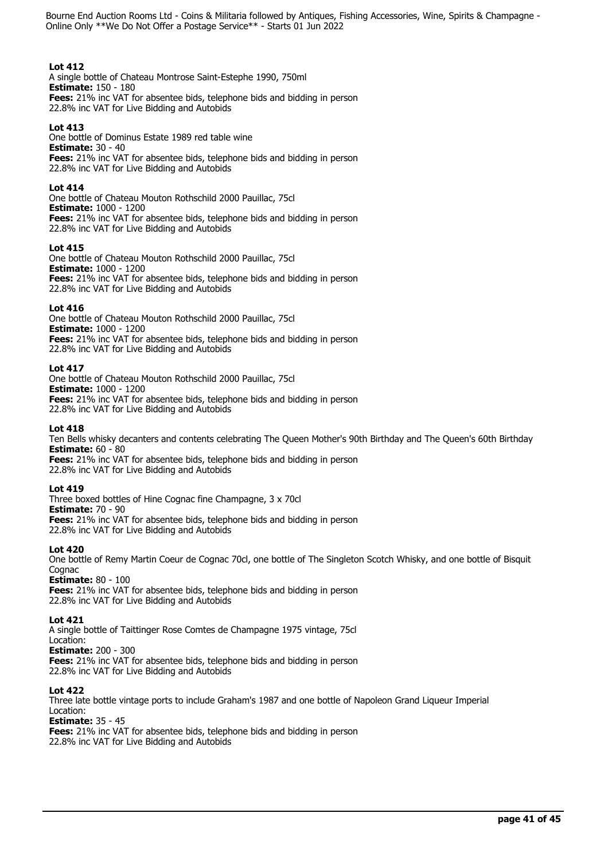# **Lot 412**

A single bottle of Chateau Montrose Saint-Estephe 1990, 750ml **Estimate:** 150 - 180 **Fees:** 21% inc VAT for absentee bids, telephone bids and bidding in person 22.8% inc VAT for Live Bidding and Autobids

## **Lot 413**

One bottle of Dominus Estate 1989 red table wine **Estimate:** 30 - 40 **Fees:** 21% inc VAT for absentee bids, telephone bids and bidding in person 22.8% inc VAT for Live Bidding and Autobids

## **Lot 414**

One bottle of Chateau Mouton Rothschild 2000 Pauillac, 75cl **Estimate:** 1000 - 1200 **Fees:** 21% inc VAT for absentee bids, telephone bids and bidding in person 22.8% inc VAT for Live Bidding and Autobids

## **Lot 415**

One bottle of Chateau Mouton Rothschild 2000 Pauillac, 75cl **Estimate:** 1000 - 1200 **Fees:** 21% inc VAT for absentee bids, telephone bids and bidding in person 22.8% inc VAT for Live Bidding and Autobids

## **Lot 416**

One bottle of Chateau Mouton Rothschild 2000 Pauillac, 75cl **Estimate:** 1000 - 1200 **Fees:** 21% inc VAT for absentee bids, telephone bids and bidding in person 22.8% inc VAT for Live Bidding and Autobids

## **Lot 417**

One bottle of Chateau Mouton Rothschild 2000 Pauillac, 75cl **Estimate:** 1000 - 1200 **Fees:** 21% inc VAT for absentee bids, telephone bids and bidding in person 22.8% inc VAT for Live Bidding and Autobids

## **Lot 418**

Ten Bells whisky decanters and contents celebrating The Queen Mother's 90th Birthday and The Queen's 60th Birthday **Estimate:** 60 - 80

**Fees:** 21% inc VAT for absentee bids, telephone bids and bidding in person 22.8% inc VAT for Live Bidding and Autobids

## **Lot 419**

Three boxed bottles of Hine Cognac fine Champagne, 3 x 70cl **Estimate:** 70 - 90 **Fees:** 21% inc VAT for absentee bids, telephone bids and bidding in person 22.8% inc VAT for Live Bidding and Autobids

## **Lot 420**

One bottle of Remy Martin Coeur de Cognac 70cl, one bottle of The Singleton Scotch Whisky, and one bottle of Bisquit Cognac

## **Estimate:** 80 - 100

**Fees:** 21% inc VAT for absentee bids, telephone bids and bidding in person 22.8% inc VAT for Live Bidding and Autobids

## **Lot 421**

A single bottle of Taittinger Rose Comtes de Champagne 1975 vintage, 75cl Location: **Estimate:** 200 - 300 **Fees:** 21% inc VAT for absentee bids, telephone bids and bidding in person 22.8% inc VAT for Live Bidding and Autobids

## **Lot 422**

Three late bottle vintage ports to include Graham's 1987 and one bottle of Napoleon Grand Liqueur Imperial Location:

## **Estimate:** 35 - 45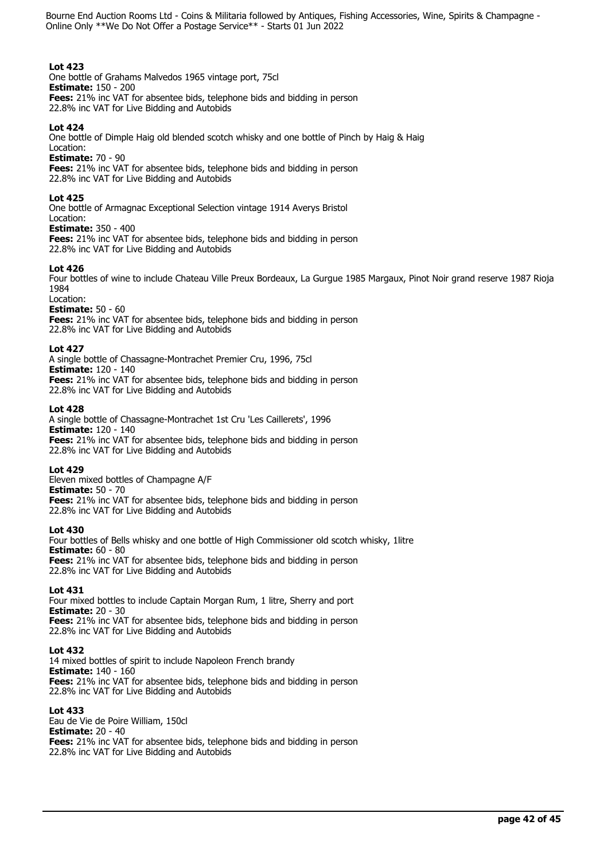# **Lot 423**

One bottle of Grahams Malvedos 1965 vintage port, 75cl **Estimate:** 150 - 200 **Fees:** 21% inc VAT for absentee bids, telephone bids and bidding in person 22.8% inc VAT for Live Bidding and Autobids

## **Lot 424**

One bottle of Dimple Haig old blended scotch whisky and one bottle of Pinch by Haig & Haig Location:

**Estimate:** 70 - 90

**Fees:** 21% inc VAT for absentee bids, telephone bids and bidding in person 22.8% inc VAT for Live Bidding and Autobids

## **Lot 425**

One bottle of Armagnac Exceptional Selection vintage 1914 Averys Bristol

Location:

**Estimate:** 350 - 400 **Fees:** 21% inc VAT for absentee bids, telephone bids and bidding in person 22.8% inc VAT for Live Bidding and Autobids

## **Lot 426**

Four bottles of wine to include Chateau Ville Preux Bordeaux, La Gurgue 1985 Margaux, Pinot Noir grand reserve 1987 Rioja 1984

Location:

## **Estimate:** 50 - 60

**Fees:** 21% inc VAT for absentee bids, telephone bids and bidding in person 22.8% inc VAT for Live Bidding and Autobids

## **Lot 427**

A single bottle of Chassagne-Montrachet Premier Cru, 1996, 75cl **Estimate:** 120 - 140 **Fees:** 21% inc VAT for absentee bids, telephone bids and bidding in person 22.8% inc VAT for Live Bidding and Autobids

## **Lot 428**

A single bottle of Chassagne-Montrachet 1st Cru 'Les Caillerets', 1996 **Estimate:** 120 - 140 **Fees:** 21% inc VAT for absentee bids, telephone bids and bidding in person 22.8% inc VAT for Live Bidding and Autobids

# **Lot 429**

Eleven mixed bottles of Champagne A/F **Estimate:** 50 - 70 **Fees:** 21% inc VAT for absentee bids, telephone bids and bidding in person 22.8% inc VAT for Live Bidding and Autobids

## **Lot 430**

Four bottles of Bells whisky and one bottle of High Commissioner old scotch whisky, 1litre **Estimate:** 60 - 80 **Fees:** 21% inc VAT for absentee bids, telephone bids and bidding in person 22.8% inc VAT for Live Bidding and Autobids

## **Lot 431**

Four mixed bottles to include Captain Morgan Rum, 1 litre, Sherry and port **Estimate:** 20 - 30 **Fees:** 21% inc VAT for absentee bids, telephone bids and bidding in person 22.8% inc VAT for Live Bidding and Autobids

## **Lot 432**

14 mixed bottles of spirit to include Napoleon French brandy **Estimate:** 140 - 160 **Fees:** 21% inc VAT for absentee bids, telephone bids and bidding in person 22.8% inc VAT for Live Bidding and Autobids

# **Lot 433**

Eau de Vie de Poire William, 150cl **Estimate:** 20 - 40 **Fees:** 21% inc VAT for absentee bids, telephone bids and bidding in person 22.8% inc VAT for Live Bidding and Autobids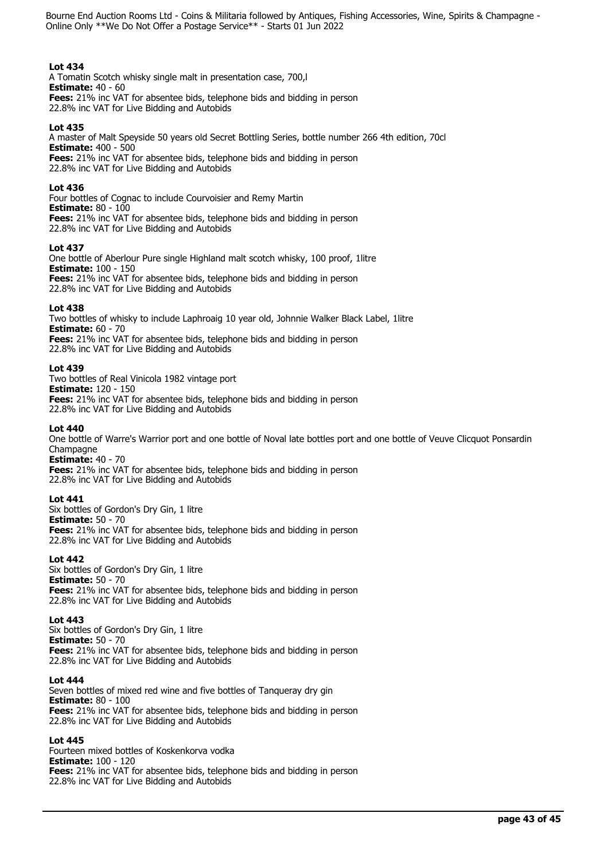# **Lot 434**

A Tomatin Scotch whisky single malt in presentation case, 700,l **Estimate:** 40 - 60 **Fees:** 21% inc VAT for absentee bids, telephone bids and bidding in person 22.8% inc VAT for Live Bidding and Autobids

## **Lot 435**

A master of Malt Speyside 50 years old Secret Bottling Series, bottle number 266 4th edition, 70cl **Estimate:** 400 - 500 **Fees:** 21% inc VAT for absentee bids, telephone bids and bidding in person 22.8% inc VAT for Live Bidding and Autobids

# **Lot 436**

Four bottles of Cognac to include Courvoisier and Remy Martin **Estimate:** 80 - 100 **Fees:** 21% inc VAT for absentee bids, telephone bids and bidding in person 22.8% inc VAT for Live Bidding and Autobids

## **Lot 437**

One bottle of Aberlour Pure single Highland malt scotch whisky, 100 proof, 1litre **Estimate:** 100 - 150 **Fees:** 21% inc VAT for absentee bids, telephone bids and bidding in person 22.8% inc VAT for Live Bidding and Autobids

## **Lot 438**

Two bottles of whisky to include Laphroaig 10 year old, Johnnie Walker Black Label, 1litre **Estimate:** 60 - 70 **Fees:** 21% inc VAT for absentee bids, telephone bids and bidding in person 22.8% inc VAT for Live Bidding and Autobids

## **Lot 439**

Two bottles of Real Vinicola 1982 vintage port **Estimate:** 120 - 150 **Fees:** 21% inc VAT for absentee bids, telephone bids and bidding in person 22.8% inc VAT for Live Bidding and Autobids

# **Lot 440**

One bottle of Warre's Warrior port and one bottle of Noval late bottles port and one bottle of Veuve Clicquot Ponsardin Champagne

# **Estimate:** 40 - 70

**Fees:** 21% inc VAT for absentee bids, telephone bids and bidding in person 22.8% inc VAT for Live Bidding and Autobids

## **Lot 441**

Six bottles of Gordon's Dry Gin, 1 litre **Estimate:** 50 - 70 **Fees:** 21% inc VAT for absentee bids, telephone bids and bidding in person 22.8% inc VAT for Live Bidding and Autobids

## **Lot 442**

Six bottles of Gordon's Dry Gin, 1 litre **Estimate:** 50 - 70 **Fees:** 21% inc VAT for absentee bids, telephone bids and bidding in person 22.8% inc VAT for Live Bidding and Autobids

## **Lot 443**

Six bottles of Gordon's Dry Gin, 1 litre **Estimate:** 50 - 70 **Fees:** 21% inc VAT for absentee bids, telephone bids and bidding in person 22.8% inc VAT for Live Bidding and Autobids

## **Lot 444**

Seven bottles of mixed red wine and five bottles of Tanqueray dry gin **Estimate:** 80 - 100 **Fees:** 21% inc VAT for absentee bids, telephone bids and bidding in person 22.8% inc VAT for Live Bidding and Autobids

## **Lot 445**

Fourteen mixed bottles of Koskenkorva vodka **Estimate:** 100 - 120 **Fees:** 21% inc VAT for absentee bids, telephone bids and bidding in person 22.8% inc VAT for Live Bidding and Autobids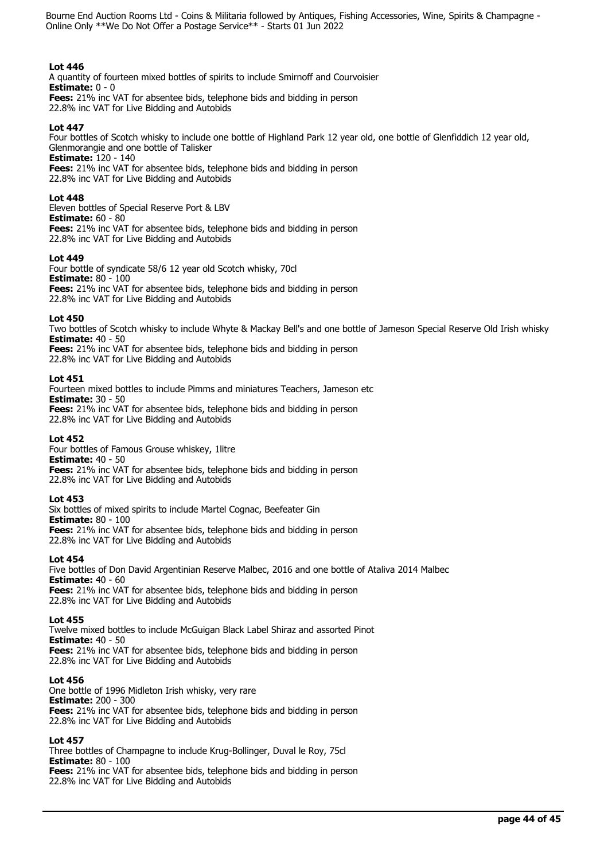## **Lot 446**

A quantity of fourteen mixed bottles of spirits to include Smirnoff and Courvoisier **Estimate:** 0 - 0 **Fees:** 21% inc VAT for absentee bids, telephone bids and bidding in person 22.8% inc VAT for Live Bidding and Autobids

## **Lot 447**

Four bottles of Scotch whisky to include one bottle of Highland Park 12 year old, one bottle of Glenfiddich 12 year old, Glenmorangie and one bottle of Talisker

**Estimate:** 120 - 140 **Fees:** 21% inc VAT for absentee bids, telephone bids and bidding in person 22.8% inc VAT for Live Bidding and Autobids

## **Lot 448**

Eleven bottles of Special Reserve Port & LBV **Estimate:** 60 - 80 **Fees:** 21% inc VAT for absentee bids, telephone bids and bidding in person 22.8% inc VAT for Live Bidding and Autobids

## **Lot 449**

Four bottle of syndicate 58/6 12 year old Scotch whisky, 70cl **Estimate:** 80 - 100 **Fees:** 21% inc VAT for absentee bids, telephone bids and bidding in person 22.8% inc VAT for Live Bidding and Autobids

## **Lot 450**

Two bottles of Scotch whisky to include Whyte & Mackay Bell's and one bottle of Jameson Special Reserve Old Irish whisky **Estimate:** 40 - 50

**Fees:** 21% inc VAT for absentee bids, telephone bids and bidding in person 22.8% inc VAT for Live Bidding and Autobids

## **Lot 451**

Fourteen mixed bottles to include Pimms and miniatures Teachers, Jameson etc **Estimate:** 30 - 50 **Fees:** 21% inc VAT for absentee bids, telephone bids and bidding in person 22.8% inc VAT for Live Bidding and Autobids

## **Lot 452**

Four bottles of Famous Grouse whiskey, 1litre **Estimate:** 40 - 50 **Fees:** 21% inc VAT for absentee bids, telephone bids and bidding in person 22.8% inc VAT for Live Bidding and Autobids

## **Lot 453**

Six bottles of mixed spirits to include Martel Cognac, Beefeater Gin **Estimate:** 80 - 100 **Fees:** 21% inc VAT for absentee bids, telephone bids and bidding in person 22.8% inc VAT for Live Bidding and Autobids

## **Lot 454**

Five bottles of Don David Argentinian Reserve Malbec, 2016 and one bottle of Ataliva 2014 Malbec **Estimate:** 40 - 60 **Fees:** 21% inc VAT for absentee bids, telephone bids and bidding in person 22.8% inc VAT for Live Bidding and Autobids

## **Lot 455**

Twelve mixed bottles to include McGuigan Black Label Shiraz and assorted Pinot **Estimate:** 40 - 50 **Fees:** 21% inc VAT for absentee bids, telephone bids and bidding in person 22.8% inc VAT for Live Bidding and Autobids

## **Lot 456**

One bottle of 1996 Midleton Irish whisky, very rare **Estimate:** 200 - 300 **Fees:** 21% inc VAT for absentee bids, telephone bids and bidding in person 22.8% inc VAT for Live Bidding and Autobids

# **Lot 457**

Three bottles of Champagne to include Krug-Bollinger, Duval le Roy, 75cl **Estimate:** 80 - 100 **Fees:** 21% inc VAT for absentee bids, telephone bids and bidding in person 22.8% inc VAT for Live Bidding and Autobids